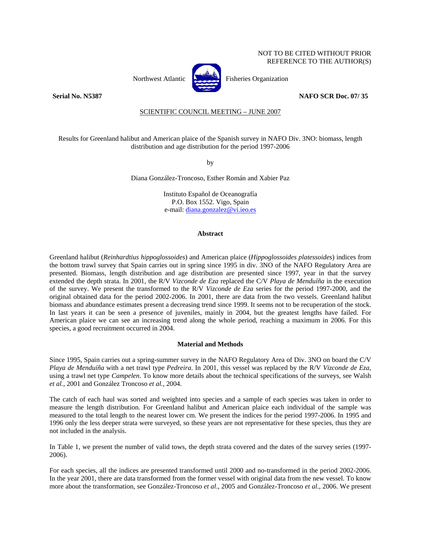# NOT TO BE CITED WITHOUT PRIOR REFERENCE TO THE AUTHOR(S)



Northwest Atlantic **Northuse** Fisheries Organization

# **Serial No. N5387 NAFO SCR Doc. 07/ 35**

SCIENTIFIC COUNCIL MEETING – JUNE 2007

Results for Greenland halibut and American plaice of the Spanish survey in NAFO Div. 3NO: biomass, length distribution and age distribution for the period 1997-2006

by

Diana González-Troncoso, Esther Román and Xabier Paz

Instituto Español de Oceanografía P.O. Box 1552. Vigo, Spain e-mail: diana.gonzalez@vi.ieo.es

## **Abstract**

Greenland halibut (*Reinhardtius hippoglossoides*) and American plaice (*Hippoglossoides platessoides*) indices from the bottom trawl survey that Spain carries out in spring since 1995 in div. 3NO of the NAFO Regulatory Area are presented. Biomass, length distribution and age distribution are presented since 1997, year in that the survey extended the depth strata. In 2001, the R/V *Vizconde de Eza* replaced the C/V *Playa de Menduíña* in the execution of the survey. We present the transformed to the R/V *Vizconde de Eza* series for the period 1997-2000, and the original obtained data for the period 2002-2006. In 2001, there are data from the two vessels. Greenland halibut biomass and abundance estimates present a decreasing trend since 1999. It seems not to be recuperation of the stock. In last years it can be seen a presence of juveniles, mainly in 2004, but the greatest lengths have failed. For American plaice we can see an increasing trend along the whole period, reaching a maximum in 2006. For this species, a good recruitment occurred in 2004.

# **Material and Methods**

Since 1995, Spain carries out a spring-summer survey in the NAFO Regulatory Area of Div. 3NO on board the C/V *Playa de Menduíña* with a net trawl type *Pedreira*. In 2001, this vessel was replaced by the R/V *Vizconde de Eza*, using a trawl net type *Campelen*. To know more details about the technical specifications of the surveys, see Walsh *et al.*, 2001 and González Troncoso *et al.*, 2004.

The catch of each haul was sorted and weighted into species and a sample of each species was taken in order to measure the length distribution. For Greenland halibut and American plaice each individual of the sample was measured to the total length to the nearest lower cm. We present the indices for the period 1997-2006. In 1995 and 1996 only the less deeper strata were surveyed, so these years are not representative for these species, thus they are not included in the analysis.

In Table 1, we present the number of valid tows, the depth strata covered and the dates of the survey series (1997- 2006).

For each species, all the indices are presented transformed until 2000 and no-transformed in the period 2002-2006. In the year 2001, there are data transformed from the former vessel with original data from the new vessel. To know more about the transformation, see González-Troncoso *et al*., 2005 and González-Troncoso *et al*., 2006. We present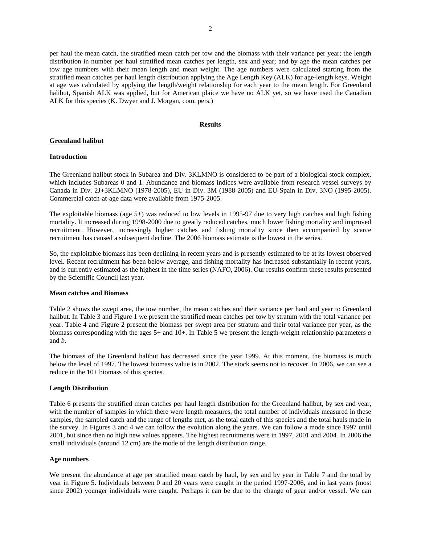per haul the mean catch, the stratified mean catch per tow and the biomass with their variance per year; the length distribution in number per haul stratified mean catches per length, sex and year; and by age the mean catches per tow age numbers with their mean length and mean weight. The age numbers were calculated starting from the stratified mean catches per haul length distribution applying the Age Length Key (ALK) for age-length keys. Weight at age was calculated by applying the length/weight relationship for each year to the mean length. For Greenland halibut, Spanish ALK was applied, but for American plaice we have no ALK yet, so we have used the Canadian ALK for this species (K. Dwyer and J. Morgan, com. pers.)

# **Results**

## **Greenland halibut**

#### **Introduction**

The Greenland halibut stock in Subarea and Div. 3KLMNO is considered to be part of a biological stock complex, which includes Subareas 0 and 1. Abundance and biomass indices were available from research vessel surveys by Canada in Div. 2J+3KLMNO (1978-2005), EU in Div. 3M (1988-2005) and EU-Spain in Div. 3NO (1995-2005). Commercial catch-at-age data were available from 1975-2005.

The exploitable biomass (age  $5+$ ) was reduced to low levels in 1995-97 due to very high catches and high fishing mortality. It increased during 1998-2000 due to greatly reduced catches, much lower fishing mortality and improved recruitment. However, increasingly higher catches and fishing mortality since then accompanied by scarce recruitment has caused a subsequent decline. The 2006 biomass estimate is the lowest in the series.

So, the exploitable biomass has been declining in recent years and is presently estimated to be at its lowest observed level. Recent recruitment has been below average, and fishing mortality has increased substantially in recent years, and is currently estimated as the highest in the time series (NAFO, 2006). Our results confirm these results presented by the Scientific Council last year.

#### **Mean catches and Biomass**

Table 2 shows the swept area, the tow number, the mean catches and their variance per haul and year to Greenland halibut. In Table 3 and Figure 1 we present the stratified mean catches per tow by stratum with the total variance per year. Table 4 and Figure 2 present the biomass per swept area per stratum and their total variance per year, as the biomass corresponding with the ages 5+ and 10+. In Table 5 we present the length-weight relationship parameters *a* and *b*.

The biomass of the Greenland halibut has decreased since the year 1999. At this moment, the biomass is much below the level of 1997. The lowest biomass value is in 2002. The stock seems not to recover. In 2006, we can see a reduce in the 10+ biomass of this species.

#### **Length Distribution**

Table 6 presents the stratified mean catches per haul length distribution for the Greenland halibut, by sex and year, with the number of samples in which there were length measures, the total number of individuals measured in these samples, the sampled catch and the range of lengths met, as the total catch of this species and the total hauls made in the survey. In Figures 3 and 4 we can follow the evolution along the years. We can follow a mode since 1997 until 2001, but since then no high new values appears. The highest recruitments were in 1997, 2001 and 2004. In 2006 the small individuals (around 12 cm) are the mode of the length distribution range.

#### **Age numbers**

We present the abundance at age per stratified mean catch by haul, by sex and by year in Table 7 and the total by year in Figure 5. Individuals between 0 and 20 years were caught in the period 1997-2006, and in last years (most since 2002) younger individuals were caught. Perhaps it can be due to the change of gear and/or vessel. We can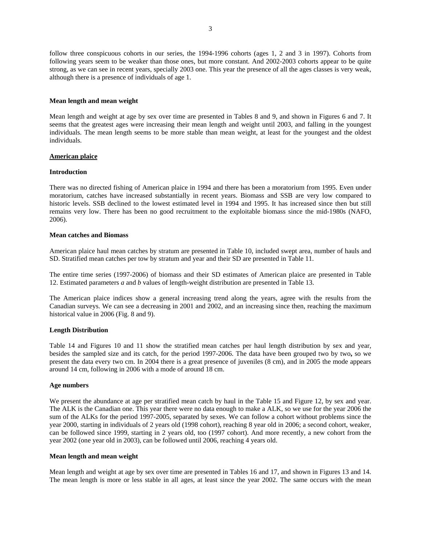follow three conspicuous cohorts in our series, the 1994-1996 cohorts (ages 1, 2 and 3 in 1997). Cohorts from following years seem to be weaker than those ones, but more constant. And 2002-2003 cohorts appear to be quite strong, as we can see in recent years, specially 2003 one. This year the presence of all the ages classes is very weak, although there is a presence of individuals of age 1.

## **Mean length and mean weight**

Mean length and weight at age by sex over time are presented in Tables 8 and 9, and shown in Figures 6 and 7. It seems that the greatest ages were increasing their mean length and weight until 2003, and falling in the youngest individuals. The mean length seems to be more stable than mean weight, at least for the youngest and the oldest individuals.

# **American plaice**

## **Introduction**

There was no directed fishing of American plaice in 1994 and there has been a moratorium from 1995. Even under moratorium, catches have increased substantially in recent years. Biomass and SSB are very low compared to historic levels. SSB declined to the lowest estimated level in 1994 and 1995. It has increased since then but still remains very low. There has been no good recruitment to the exploitable biomass since the mid-1980s (NAFO, 2006).

## **Mean catches and Biomass**

American plaice haul mean catches by stratum are presented in Table 10, included swept area, number of hauls and SD. Stratified mean catches per tow by stratum and year and their SD are presented in Table 11.

The entire time series (1997-2006) of biomass and their SD estimates of American plaice are presented in Table 12. Estimated parameters *a* and *b* values of length-weight distribution are presented in Table 13.

The American plaice indices show a general increasing trend along the years, agree with the results from the Canadian surveys. We can see a decreasing in 2001 and 2002, and an increasing since then, reaching the maximum historical value in 2006 (Fig. 8 and 9).

# **Length Distribution**

Table 14 and Figures 10 and 11 show the stratified mean catches per haul length distribution by sex and year, besides the sampled size and its catch, for the period 1997-2006. The data have been grouped two by two**,** so we present the data every two cm. In 2004 there is a great presence of juveniles (8 cm), and in 2005 the mode appears around 14 cm, following in 2006 with a mode of around 18 cm.

#### **Age numbers**

We present the abundance at age per stratified mean catch by haul in the Table 15 and Figure 12, by sex and year. The ALK is the Canadian one. This year there were no data enough to make a ALK, so we use for the year 2006 the sum of the ALKs for the period 1997-2005, separated by sexes. We can follow a cohort without problems since the year 2000, starting in individuals of 2 years old (1998 cohort), reaching 8 year old in 2006; a second cohort, weaker, can be followed since 1999, starting in 2 years old, too (1997 cohort). And more recently, a new cohort from the year 2002 (one year old in 2003), can be followed until 2006, reaching 4 years old.

#### **Mean length and mean weight**

Mean length and weight at age by sex over time are presented in Tables 16 and 17, and shown in Figures 13 and 14. The mean length is more or less stable in all ages, at least since the year 2002. The same occurs with the mean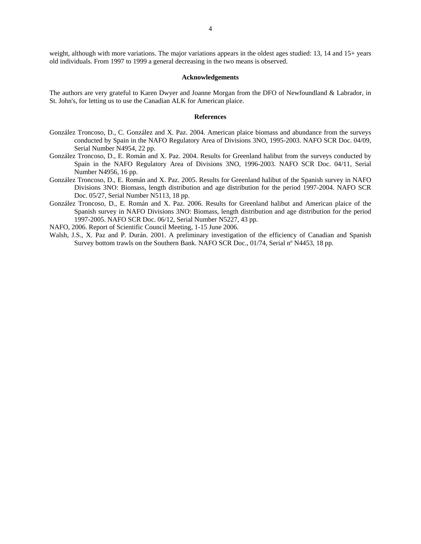#### **Acknowledgements**

The authors are very grateful to Karen Dwyer and Joanne Morgan from the DFO of Newfoundland & Labrador, in St. John's, for letting us to use the Canadian ALK for American plaice.

## **References**

- González Troncoso, D., C. González and X. Paz. 2004. American plaice biomass and abundance from the surveys conducted by Spain in the NAFO Regulatory Area of Divisions 3NO, 1995-2003. NAFO SCR Doc. 04/09, Serial Number N4954, 22 pp.
- González Troncoso, D., E. Román and X. Paz. 2004. Results for Greenland halibut from the surveys conducted by Spain in the NAFO Regulatory Area of Divisions 3NO, 1996-2003. NAFO SCR Doc. 04/11, Serial Number N4956, 16 pp.
- González Troncoso, D., E. Román and X. Paz. 2005. Results for Greenland halibut of the Spanish survey in NAFO Divisions 3NO: Biomass, length distribution and age distribution for the period 1997-2004. NAFO SCR Doc. 05/27, Serial Number N5113, 18 pp.
- González Troncoso, D., E. Román and X. Paz. 2006. Results for Greenland halibut and American plaice of the Spanish survey in NAFO Divisions 3NO: Biomass, length distribution and age distribution for the period 1997-2005. NAFO SCR Doc. 06/12, Serial Number N5227, 43 pp.

NAFO, 2006. Report of Scientific Council Meeting, 1-15 June 2006.

Walsh, J.S., X. Paz and P. Durán. 2001. A preliminary investigation of the efficiency of Canadian and Spanish Survey bottom trawls on the Southern Bank. NAFO SCR Doc., 01/74, Serial nº N4453, 18 pp.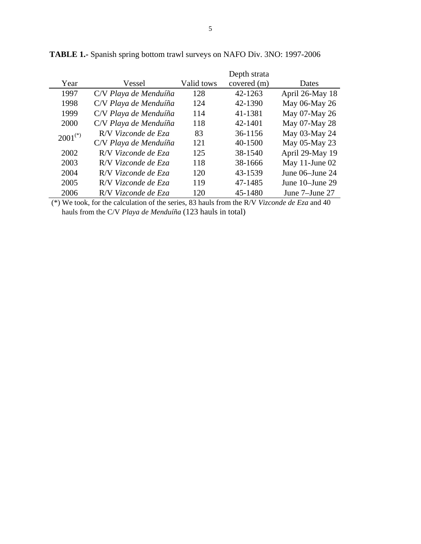|              |                       |            | Depth strata |                 |
|--------------|-----------------------|------------|--------------|-----------------|
| Year         | Vessel                | Valid tows | covered (m)  | Dates           |
| 1997         | C/V Playa de Menduíña | 128        | 42-1263      | April 26-May 18 |
| 1998         | C/V Playa de Menduíña | 124        | 42-1390      | May 06-May 26   |
| 1999         | C/V Playa de Menduíña | 114        | 41-1381      | May 07-May 26   |
| 2000         | C/V Playa de Menduíña | 118        | 42-1401      | May 07-May 28   |
| $2001^{(*)}$ | R/V Vizconde de Eza   | 83         | 36-1156      | May 03-May 24   |
|              | C/V Playa de Menduíña | 121        | 40-1500      | May 05-May 23   |
| 2002         | R/V Vizconde de Eza   | 125        | 38-1540      | April 29-May 19 |
| 2003         | R/V Vizconde de Eza   | 118        | 38-1666      | May 11-June 02  |
| 2004         | R/V Vizconde de Eza   | 120        | 43-1539      | June 06–June 24 |
| 2005         | R/V Vizconde de Eza   | 119        | 47-1485      | June 10–June 29 |
| 2006         | R/V Vizconde de Eza   | 120        | 45-1480      | June 7–June 27  |

**TABLE 1.-** Spanish spring bottom trawl surveys on NAFO Div. 3NO: 1997-2006

 (\*) We took, for the calculation of the series, 83 hauls from the R/V *Vizconde de Eza* and 40 hauls from the C/V *Playa de Menduíña* (123 hauls in total)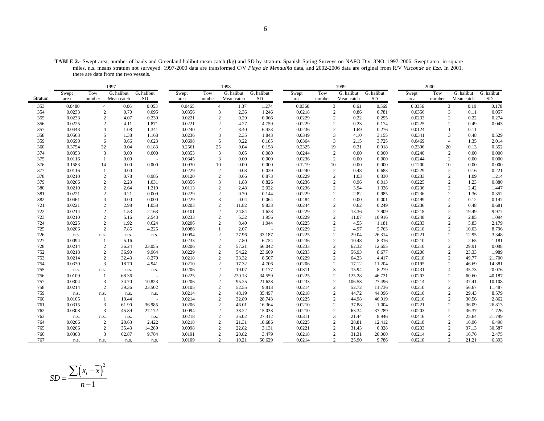**TABLE 2.-** Swept area, number of hauls and Greenland halibut mean catch (kg) and SD by stratum. Spanish Spring Surveys on NAFO Div. 3NO: 1997-2006. Swept area in square miles. n.s. means stratum not surveyed. 1997-2000 data are transformed C/V *Playa de Menduíña* data, and 2002-2006 data are original from R/V *Vizconde de Eza*. In 2001, there are data from the two vessels.

|         |        |                | 1997       |                |        |                        | 1998       |            |        |                | 1999       |            |        | 2000           |            |            |
|---------|--------|----------------|------------|----------------|--------|------------------------|------------|------------|--------|----------------|------------|------------|--------|----------------|------------|------------|
|         | Swept  | Tow            | G. halibut | G. halibut     | Swept  | Tow                    | G. halibut | G. halibut | Swept  | Tow            | G. halibut | G. halibut | Swept  | Tow            | G. halibut | G. halibut |
| Stratum | area   | number         | Mean catch | SD             | area   | number                 | Mean catch | SD         | area   | number         | Mean catch | SD         | area   | number         | Mean catch | SD         |
| 353     | 0.0480 | $\overline{4}$ | 0.06       | 0.053          | 0.0465 | $\overline{4}$         | 1.37       | 1.274      | 0.0360 | $\mathfrak{Z}$ | 0.61       | 0.569      | 0.0356 | 3              | 0.19       | 0.178      |
| 354     | 0.0233 | 2              | 0.70       | 0.095          | 0.0356 | 3                      | 2.36       | 1.246      | 0.0218 | 2              | 0.86       | 0.781      | 0.0356 | 3              | 0.11       | 0.057      |
| 355     | 0.0233 | 2              | 4.07       | 0.230          | 0.0221 | $\overline{c}$         | 0.29       | 0.066      | 0.0229 | $\overline{c}$ | 0.22       | 0.295      | 0.0233 | $\overline{2}$ | 0.22       | 0.274      |
| 356     | 0.0225 | 2              | 4.11       | 1.871          | 0.0221 | $\mathcal{D}_{\alpha}$ | 4.27       | 4.759      | 0.0229 | $\mathcal{D}$  | 0.23       | 0.174      | 0.0225 | $\overline{2}$ | 0.49       | 0.043      |
| 357     | 0.0443 | $\overline{A}$ | 1.08       | 1.341          | 0.0240 | $\overline{c}$         | 8.40       | 6.433      | 0.0236 | $\overline{c}$ | 1.69       | 0.276      | 0.0124 | $\mathbf{1}$   | 0.11       |            |
| 358     | 0.0563 | 5              | 1.38       | 1.168          | 0.0236 | 3                      | 2.35       | 1.843      | 0.0349 | 3              | 4.10       | 3.155      | 0.0341 | 3              | 0.48       | 0.529      |
| 359     | 0.0690 | 6              | 0.66       | 0.623          | 0.0698 | 6                      | 0.22       | 0.185      | 0.0364 | $\overline{3}$ | 2.15       | 3.725      | 0.0469 | $\overline{4}$ | 1.35       | 2.014      |
| 360     | 0.3754 | 32             | 0.04       | 0.183          | 0.2561 | 25                     | 0.04       | 0.158      | 0.2325 | 19             | 0.31       | 0.918      | 0.2396 | 20             | 0.13       | 0.352      |
| 374     | 0.0353 | 3              | 0.00       | 0.000          | 0.0353 | 3                      | 0.05       | 0.080      | 0.0244 | $\overline{2}$ | 0.00       | 0.000      | 0.0240 | $\overline{c}$ | 0.00       | 0.000      |
| 375     | 0.0116 | $\overline{1}$ | 0.00       |                | 0.0345 | 3                      | 0.00       | 0.000      | 0.0236 | $\overline{2}$ | 0.00       | 0.000      | 0.0244 | $\overline{2}$ | 0.00       | 0.000      |
| 376     | 0.1583 | 14             | 0.00       | 0.000          | 0.0930 | 10                     | 0.00       | 0.000      | 0.1219 | 10             | 0.00       | 0.000      | 0.1200 | 10             | 0.00       | 0.000      |
| 377     | 0.0116 | 1              | 0.00       |                | 0.0229 | $\overline{2}$         | 0.03       | 0.039      | 0.0240 | 2              | 0.48       | 0.683      | 0.0229 | $\overline{2}$ | 0.16       | 0.221      |
| 378     | 0.0210 | 2              | 0.78       | 0.985          | 0.0120 | 2                      | 0.66       | 0.873      | 0.0229 | $\overline{2}$ | 1.03       | 0.330      | 0.0233 | $\overline{c}$ | 1.09       | 1.214      |
| 379     | 0.0206 | 2              | 2.23       | 1.031          | 0.0356 | 3                      | 1.88       | 0.826      | 0.0236 | $\overline{2}$ | 0.96       | 0.013      | 0.0225 | $\overline{c}$ | 1.23       | 0.880      |
| 380     | 0.0210 | 2              | 2.64       | 1.210          | 0.0113 | $\overline{2}$         | 2.48       | 2.022      | 0.0236 | $\overline{c}$ | 3.94       | 1.326      | 0.0236 | $\overline{2}$ | 2.42       | 1.447      |
| 381     | 0.0221 | $\overline{c}$ | 0.21       | 0.009          | 0.0229 | $\overline{2}$         | 0.70       | 0.144      | 0.0229 | $\overline{2}$ | 2.82       | 0.985      | 0.0236 | $\overline{2}$ | 1.36       | 0.352      |
| 382     | 0.0461 | $\overline{A}$ | 0.00       | 0.000          | 0.0229 | 3                      | 0.04       | 0.064      | 0.0484 | $\overline{A}$ | 0.00       | 0.001      | 0.0499 | $\overline{4}$ | 0.12       | 0.147      |
| 721     | 0.0221 | $\overline{2}$ | 2.98       | 1.053          | 0.0203 | $\overline{2}$         | 11.82      | 9.833      | 0.0244 | $\overline{2}$ | 0.62       | 0.249      | 0.0236 | $\overline{c}$ | 0.48       | 0.681      |
| 722     | 0.0214 | $\overline{c}$ | 1.53       | 2.163          | 0.0101 | $\overline{c}$         | 24.84      | 1.628      | 0.0229 | $\overline{c}$ | 13.36      | 7.909      | 0.0218 | $\overline{2}$ | 19.49      | 9.977      |
| 723     | 0.0210 | $\overline{2}$ | 5.16       | 2.543          | 0.0233 | $\overline{2}$         | 5.32       | 1.956      | 0.0229 | $\overline{2}$ | 11.07      | 10.916     | 0.0248 | $\overline{2}$ | 2.85       | 1.094      |
| 724     | 0.0225 | $\overline{2}$ | 1.92       | 0.624          | 0.0206 | $\overline{c}$         | 8.40       | 1.044      | 0.0225 | $\overline{c}$ | 4.55       | 1.181      | 0.0233 | $\overline{c}$ | 5.83       | 2.179      |
| 725     | 0.0206 | $\overline{c}$ | 7.85       | 4.225          | 0.0086 |                        | 2.07       | $\sim$     | 0.0229 | $\overline{c}$ | 4.97       | 5.763      | 0.0210 | $\sqrt{2}$     | 10.03      | 8.796      |
| 726     | n.s.   | n.s.           | n.s.       | n.s.           | 0.0094 | $\overline{2}$         | 27.96      | 33.187     | 0.0225 | $\overline{2}$ | 29.04      | 26.314     | 0.0221 | $\overline{c}$ | 12.95      | 3.348      |
| 727     | 0.0094 | -1             | 5.16       |                | 0.0233 | $\overline{2}$         | 7.80       | 6.754      | 0.0236 | $\overline{c}$ | 10.48      | 8.316      | 0.0210 | $\overline{c}$ | 2.65       | 1.181      |
| 728     | 0.0214 | $\overline{c}$ | 36.24      | 23.055         | 0.0206 | $\overline{c}$         | 57.21      | 56.042     | 0.0233 | $\overline{2}$ | 62.32      | 12.655     | 0.0210 | $\overline{2}$ | 29.91      | 0.098      |
| 752     | 0.0218 | 2              | 36.90      | 9.964          | 0.0229 | 2                      | 54.22      | 23.669     | 0.0233 | $\overline{c}$ | 56.93      | 8.677      | 0.0206 | $\overline{c}$ | 23.33      | 1.989      |
| 753     | 0.0214 | $\overline{c}$ | 32.43      | 8.270          | 0.0218 | 2                      | 33.32      | 8.507      | 0.0229 | $\overline{2}$ | 64.23      | 4.417      | 0.0218 | 2              | 49.77      | 21.700     |
| 754     | 0.0330 | 3              | 18.70      | 4.941          | 0.0210 | $\overline{c}$         | 17.32      | 4.706      | 0.0206 | $\overline{c}$ | 17.12      | 11.204     | 0.0195 | $\sqrt{2}$     | 46.69      | 14.381     |
| 755     | n.s.   | n.s.           | n.s.       | n.s.           | 0.0206 | $\overline{2}$         | 19.07      | 0.177      | 0.0311 | $\overline{3}$ | 15.94      | 8.279      | 0.0431 | $\overline{4}$ | 35.73      | 20.076     |
| 756     | 0.0109 | -1             | 68.36      |                | 0.0225 | $\overline{c}$         | 220.13     | 34.559     | 0.0225 | $\overline{c}$ | 125.28     | 46.721     | 0.0203 | $\overline{c}$ | 60.60      | 40.187     |
| 757     | 0.0304 | 3              | 34.70      | 10.823         | 0.0206 | $\overline{c}$         | 95.25      | 21.628     | 0.0233 | $\overline{2}$ | 106.53     | 27.496     | 0.0214 | $\sqrt{2}$     | 37.41      | 10.108     |
| 758     | 0.0214 | $\overline{c}$ | 39.36      | 23.502         | 0.0105 | $\overline{2}$         | 52.55      | 9.813      | 0.0214 | $\overline{c}$ | 52.72      | 11.736     | 0.0210 | $\overline{c}$ | 56.67      | 11.487     |
| 759     | n.s.   | n.s.           | n.s.       | n.s.           | 0.0214 | $\overline{2}$         | 48.19      | 35.497     | 0.0218 | 2              | 44.72      | 44.096     | 0.0210 | $\overline{2}$ | 29.43      | 8.579      |
| 760     | 0.0105 | -1             | 10.44      | $\overline{a}$ | 0.0214 | $\overline{2}$         | 32.89      | 28.743     | 0.0225 | $\overline{c}$ | 44.98      | 46.019     | 0.0210 | $\sqrt{2}$     | 30.56      | 2.862      |
| 761     | 0.0315 | 3              | 61.90      | 36.985         | 0.0206 | $\overline{2}$         | 46.01      | 16.364     | 0.0210 | $\overline{2}$ | 37.88      | 1.004      | 0.0221 | $\overline{2}$ | 36.09      | 26.813     |
| 762     | 0.0308 | 3              | 45.89      | 27.172         | 0.0094 | $\overline{2}$         | 38.22      | 15.038     | 0.0210 | 2              | 63.34      | 37.289     | 0.0203 | $\overline{c}$ | 36.37      | 1.726      |
| 763     | n.s.   | n.s.           | n.s.       | n.s.           | 0.0218 | $\overline{2}$         | 35.02      | 27.312     | 0.0311 | 3              | 21.44      | 8.946      | 0.0416 | $\overline{4}$ | 25.64      | 21.799     |
| 764     | 0.0206 | $\overline{c}$ | 20.63      | 2.422          | 0.0218 | 2                      | 21.31      | 10.686     | 0.0225 | $\overline{c}$ | 28.81      | 12.412     | 0.0218 | $\overline{c}$ | 16.96      | 6.498      |
| 765     | 0.0206 | $\overline{c}$ | 35.43      | 14.289         | 0.0098 | $\overline{2}$         | 22.82      | 3.131      | 0.0221 | $\overline{c}$ | 31.43      | 0.328      | 0.0203 | $\overline{2}$ | 37.13      | 30.587     |
| 766     | 0.0308 | 3              | 62.87      | 9.784          | 0.0191 | $\overline{2}$         | 20.82      | 3.479      | 0.0218 | $\overline{2}$ | 31.31      | 20.000     | 0.0214 | $\overline{2}$ | 16.76      | 2.475      |
| 767     | n.s.   | n.s.           | n.s.       | n.s.           | 0.0109 | $\overline{2}$         | 10.21      | 50.629     | 0.0214 | 2              | 25.90      | 9.786      | 0.0210 | $\overline{2}$ | 21.21      | 6.393      |

$$
SD = \frac{\sum (x_i - \overline{x})^2}{n - 1}
$$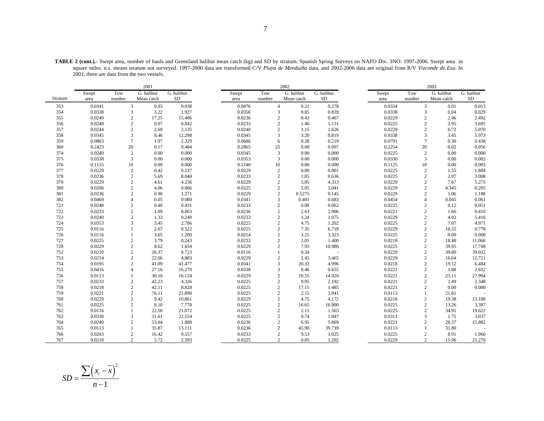|         |        |        | 2001                           |            |        |                | 2002       |            |        |                | 2003       |            |
|---------|--------|--------|--------------------------------|------------|--------|----------------|------------|------------|--------|----------------|------------|------------|
|         | Swept  | Tow    | G. halibut                     | G. halibut | Swept  | Tow            | G. halibut | G. halibut | Swept  | Tow            | G. halibut | G. halibut |
| Stratum | area   | number | Mean catch                     | <b>SD</b>  | area   | number         | Mean catch | SD         | area   | number         | Mean catch | SD         |
| 353     | 0.0341 |        | 3<br>0.03                      | 0.038      | 0.0476 | $\overline{4}$ | 0.21       | 0.278      | 0.0334 | 3              | 0.01       | 0.013      |
| 354     | 0.0338 |        | 3<br>3.22                      | 1.927      | 0.0356 | 3              | 0.85       | 0.839      | 0.0338 | 3              | 0.04       | 0.029      |
| 355     | 0.0240 |        | $\boldsymbol{2}$<br>17.25      | 15.486     | 0.0236 | $\mathbf{2}$   | 0.43       | 0.467      | 0.0229 | $\overline{2}$ | 2.46       | 2.492      |
| 356     | 0.0240 |        | $\mathfrak{2}$<br>0.07         | 0.042      | 0.0233 | $\overline{c}$ | 1.40       | 1.131      | 0.0225 | $\overline{2}$ | 2.95       | 3.695      |
| 357     | 0.0244 |        | $\mathfrak{2}$<br>2.69         | 2.135      | 0.0240 | $\mathbf{2}$   | 1.15       | 1.626      | 0.0229 | 2              | 6.72       | 5.070      |
| 358     | 0.0345 |        | 3<br>8.46                      | 12.298     | 0.0345 | 3              | 3.20       | 0.819      | 0.0338 | 3              | 3.45       | 5.973      |
| 359     | 0.0803 |        | $\tau$<br>1.97                 | 2.329      | 0.0686 | 6              | 0.28       | 0.219      | 0.0791 | $\tau$         | 0.30       | 0.438      |
| 360     | 0.2423 | 20     | 0.17                           | 0.484      | 0.2865 | 25             | 0.00       | 0.007      | 0.2254 | 20             | 0.02       | 0.056      |
| 374     | 0.0240 |        | 0.00<br>$\boldsymbol{2}$       | 0.000      | 0.0345 | $\overline{3}$ | 0.00       | 0.000      | 0.0225 | $\overline{c}$ | 0.00       | 0.000      |
| 375     | 0.0338 |        | 3<br>0.00                      | 0.000      | 0.0353 | 3              | 0.00       | 0.000      | 0.0330 | 3              | 0.00       | 0.002      |
| 376     | 0.1155 | 10     | 0.00                           | 0.000      | 0.1140 | 10             | 0.00       | 0.000      | 0.1125 | 10             | 0.00       | 0.003      |
| 377     | 0.0229 |        | $\boldsymbol{2}$<br>0.42       | 0.537      | 0.0229 | 2              | 0.00       | 0.001      | 0.0225 | 2              | 1.55       | 1.884      |
| 378     | 0.0236 |        | $\overline{c}$<br>5.69         | 8.040      | 0.0233 | 2              | 1.85       | 0.636      | 0.0225 | $\overline{2}$ | 2.97       | 3.008      |
| 379     | 0.0229 |        | $\mathfrak{2}$<br>4.61         | 4.236      | 0.0229 | $\mathbf{2}$   | 5.85       | 4.313      | 0.0229 | 2              | 7.67       | 5.275      |
| 380     | 0.0206 |        | 2<br>4.06                      | 0.066      | 0.0225 | $\sqrt{2}$     | 5.05       | 3.041      | 0.0229 | $\overline{2}$ | 4.345      | 0.205      |
| 381     | 0.0236 |        | $\overline{c}$<br>0.90         | 1.271      | 0.0229 | $\overline{c}$ | 0.5275     | 0.145      | 0.0229 | $\overline{2}$ | 1.06       | 1.188      |
| 382     | 0.0469 |        | 0.05<br>$\overline{4}$         | 0.080      | 0.0341 | 3              | 0.401      | 0.683      | 0.0454 | 4              | 0.045      | 0.061      |
| 721     | 0.0248 |        | 0.40<br>2                      | 0.431      | 0.0233 | $\sqrt{2}$     | 0.08       | 0.062      | 0.0225 | $\overline{2}$ | 0.12       | 0.051      |
| 722     | 0.0233 |        | $\mathfrak{2}$<br>1.09         | 0.863      | 0.0236 | $\mathbf{2}$   | 2.63       | 2.906      | 0.0221 | $\overline{2}$ | 1.66       | 0.410      |
| 723     | 0.0240 |        | $\mathfrak{2}$<br>1.33         | 0.240      | 0.0233 | $\mathbf{2}$   | 1.24       | 1.075      | 0.0229 | 2              | 4.02       | 5.416      |
| 724     | 0.0353 |        | 3<br>3.45                      | 2.786      | 0.0225 | $\sqrt{2}$     | 4.75       | 1.202      | 0.0225 | $\overline{2}$ | 7.07       | 4.971      |
| 725     | 0.0116 |        | 2.67<br>1                      | 0.522      | 0.0225 | $\mathbf{2}$   | 7.35       | 6.718      | 0.0229 | 2              | 10.55      | 0.778      |
| 726     | 0.0116 |        | 3.65<br>$\mathbf{1}$           | 1.200      | 0.0214 | 2              | 3.25       | 3.323      | 0.0225 | 2              | 0.00       | 0.000      |
| 727     | 0.0225 |        | $\mathfrak{2}$<br>3.79         | 0.243      | 0.0233 | $\mathbf{2}$   | 2.01       | 1.400      | 0.0218 | $\overline{2}$ | 18.48      | 11.066     |
| 728     | 0.0229 |        | $\overline{c}$<br>8.62         | 1.654      | 0.0229 | $\overline{2}$ | 7.93       | 10.986     | 0.0225 | $\overline{2}$ | 39.95      | 17.748     |
| 752     | 0.0210 |        | 26.37<br>$\mathfrak{2}$        | 8.723      | 0.0116 | $\mathbf{1}$   | 0.34       |            | 0.0229 | 2              | 39.80      | 39.032     |
| 753     | 0.0214 |        | $\mathfrak{2}$<br>22.66        | 4.883      | 0.0229 | $\mathbf{2}$   | 2.45       | 3.465      | 0.0229 | $\overline{c}$ | 16.64      | 12.721     |
| 754     | 0.0195 |        | $\overline{c}$<br>41.09        | 41.477     | 0.0341 | $\overline{3}$ | 20.33      | 4.996      | 0.0218 | $\overline{c}$ | 19.12      | 6.484      |
| 755     | 0.0416 |        | $\overline{4}$<br>27.16        | 16.279     | 0.0338 | 3              | 0.46       | 0.655      | 0.0221 | $\overline{c}$ | 1.88       | 2.652      |
| 756     | 0.0113 |        | 30.10                          | 16.124     | 0.0229 | $\mathbf{2}$   | 10.55      | 14.920     | 0.0221 | $\overline{2}$ | 23.11      | 27.994     |
| 757     | 0.0233 |        | $\overline{c}$<br>42.23        | 4.326      | 0.0225 | $\mathbf{2}$   | 9.95       | 2.192      | 0.0221 | $\overline{2}$ | 2.49       | 2.348      |
| 758     | 0.0218 |        | $\mathfrak{2}$<br>42.11        | 8.828      | 0.0225 | 2              | 17.15      | 1.485      | 0.0221 | 2              | 0.00       | 0.000      |
| 759     | 0.0221 |        | $\sqrt{2}$<br>76.11            | 21.890     | 0.0225 | $\sqrt{2}$     | 2.15       | 3.041      | 0.0113 | 1              | 21.61      |            |
| 760     | 0.0229 |        | $\mathfrak{2}$<br>9.42         | 10.861     | 0.0229 | $\mathbf{2}$   | 4.75       | 4.172      | 0.0218 | $\overline{2}$ | 19.38      | 13.188     |
| 761     | 0.0225 |        | $\overline{c}$<br>8.10         | 7.778      | 0.0225 | $\overline{2}$ | 16.65      | 16.900     | 0.0225 | 2              | 13.26      | 3.387      |
| 762     | 0.0116 |        | 1<br>22.50                     | 21.072     | 0.0225 | $\mathbf{2}$   | 2.11       | 1.563      | 0.0225 | $\overline{2}$ | 34.91      | 19.622     |
| 763     | 0.0330 |        | 3<br>31.61                     | 22.554     | 0.0225 | $\overline{c}$ | 0.74       | 1.047      | 0.0311 | 3              | 1.75       | 3.037      |
| 764     | 0.0240 |        | $\mathfrak{2}$<br>53.64        | 1.888      | 0.0236 | $\mathbf{2}$   | 6.95       | 5.869      | 0.0221 | 2              | 28.37      | 15.882     |
| 765     | 0.0113 |        | 35.87<br>1                     | 13.111     | 0.0236 | $\mathbf{2}$   | 45.90      | 39.739     | 0.0113 | $\mathbf{1}$   | 31.80      |            |
| 766     | 0.0203 |        | $\mathfrak{2}$<br>16.42        | 9.557      | 0.0233 | $\overline{2}$ | 9.53       | 1.025      | 0.0225 | $\overline{c}$ | 8.91       | 1.966      |
| 767     | 0.0218 |        | $\mathcal{D}_{\alpha}$<br>5.72 | 2.593      | 0.0225 | $\mathfrak{D}$ | 0.85       | 1.202      | 0.0229 | $\overline{2}$ | 15.96      | 21.270     |

**TABLE 2 (cont.).-** Swept area, number of hauls and Greenland halibut mean catch (kg) and SD by stratum. Spanish Spring Surveys on NAFO Div. 3NO: 1997-2006. Swept area in square miles. n.s. means stratum not surveyed. 1997-2000 data are transformed C/V *Playa de Menduíña* data, and 2002-2006 data are original from R/V *Vizconde de Eza*. In 2001, there are data from the two vessels.

$$
SD = \frac{\sum (x_i - \overline{x})^2}{n - 1}
$$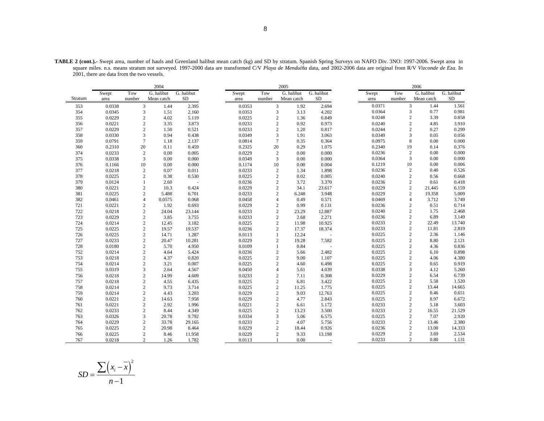|         |        |        | 2004                     |            |        |        | 2005                            |            |        |                | 2006                   |            |
|---------|--------|--------|--------------------------|------------|--------|--------|---------------------------------|------------|--------|----------------|------------------------|------------|
|         | Swept  | Tow    | G. halibut               | G. halibut | Swept  | Tow    | G. halibut                      | G. halibut | Swept  | Tow            | G. halibut             | G. halibut |
| Stratum | area   | number | Mean catch               | <b>SD</b>  | area   | number | Mean catch                      | <b>SD</b>  | area   | number         | Mean catch             | SD         |
| 353     | 0.0338 |        | $\overline{3}$<br>1.44   | 2.395      | 0.0353 |        | 3<br>1.92                       | 2.694      | 0.0371 | 3              | 1.44                   | 1.561      |
| 354     | 0.0345 |        | 3<br>1.51                | 2.160      | 0.0353 |        | 3<br>3.13                       | 4.202      | 0.0364 | $\mathfrak{Z}$ | 0.77                   | 0.981      |
| 355     | 0.0229 |        | $\overline{2}$<br>4.02   | 5.119      | 0.0225 |        | $\overline{2}$<br>1.36          | 0.849      | 0.0248 | $\sqrt{2}$     | 3.39                   | 0.858      |
| 356     | 0.0221 |        | $\overline{2}$<br>3.35   | 3.873      | 0.0233 |        | $\overline{2}$<br>0.92          | 0.973      | 0.0240 | $\mathbf{2}$   | 4.85                   | 3.910      |
| 357     | 0.0229 |        | $\overline{2}$<br>1.50   | 0.521      | 0.0233 |        | $\overline{2}$<br>1.20          | 0.817      | 0.0244 | 2              | 0.27                   | 0.299      |
| 358     | 0.0330 |        | 3<br>0.94                | 0.438      | 0.0349 |        | 3<br>1.91                       | 3.063      | 0.0349 | $\overline{3}$ | 0.05                   | 0.056      |
| 359     | 0.0791 |        | $7\phantom{.0}$<br>1.18  | 2.137      | 0.0814 |        | $7\phantom{.0}$<br>0.35         | 0.364      | 0.0975 | 8              | 0.00                   | 0.000      |
| 360     | 0.2310 | 20     | 0.11                     | 0.459      | 0.2325 | 20     | 0.29                            | 1.075      | 0.2340 | 19             | 0.14                   | 0.376      |
| 374     | 0.0233 |        | $\overline{2}$<br>0.00   | 0.005      | 0.0229 |        | $\overline{c}$<br>0.00          | 0.000      | 0.0236 | 2              | 0.00                   | 0.000      |
| 375     | 0.0338 |        | 3<br>0.00                | 0.000      | 0.0349 |        | 3<br>0.00                       | 0.000      | 0.0364 | 3              | 0.00                   | 0.000      |
| 376     | 0.1166 | 10     | 0.00                     | 0.000      | 0.1174 | 10     | 0.00                            | 0.004      | 0.1219 | 10             | 0.00                   | 0.006      |
| 377     | 0.0218 |        | $\overline{2}$<br>0.07   | 0.011      | 0.0233 |        | $\overline{c}$<br>1.34          | 1.898      | 0.0236 | 2              | 0.40                   | 0.526      |
| 378     | 0.0225 |        | $\overline{2}$<br>0.38   | 0.530      | 0.0225 |        | $\overline{2}$<br>0.02          | 0.005      | 0.0240 | $\overline{c}$ | 0.56                   | 0.668      |
| 379     | 0.0124 |        | 2.60<br>1                |            | 0.0236 |        | $\overline{2}$<br>3.72          | 3.370      | 0.0236 | 2              | 0.61                   | 0.418      |
| 380     | 0.0221 |        | $\overline{2}$<br>10.3   | 0.424      | 0.0229 |        | $\overline{2}$<br>34.1          | 23.617     | 0.0229 | $\overline{c}$ | 21.445                 | 6.159      |
| 381     | 0.0225 |        | $\overline{c}$<br>5.488  | 6.701      | 0.0233 |        | $\overline{c}$<br>6.248         | 3.948      | 0.0229 | 2              | 19.358                 | 5.009      |
| 382     | 0.0461 |        | $\overline{4}$<br>0.0575 | 0.068      | 0.0458 |        | $\overline{4}$<br>0.49          | 0.571      | 0.0469 | $\overline{4}$ | 3.712                  | 3.749      |
| 721     | 0.0221 |        | $\overline{2}$<br>1.92   | 0.693      | 0.0229 |        | $\overline{2}$<br>0.99          | 0.131      | 0.0236 | $\mathbf{2}$   | 0.51                   | 0.714      |
| 722     | 0.0218 |        | $\overline{2}$<br>24.04  | 23.144     | 0.0233 |        | $\overline{2}$<br>23.29         | 12.887     | 0.0240 | $\overline{2}$ | 1.75                   | 2.468      |
| 723     | 0.0229 |        | $\overline{2}$<br>3.85   | 3.755      | 0.0233 |        | 2<br>2.68                       | 2.271      | 0.0236 |                | 6.89<br>2              | 3.149      |
| 724     | 0.0214 |        | $\overline{2}$<br>12.45  | 3.182      | 0.0225 |        | $\overline{2}$<br>11.98         | 10.925     | 0.0233 | $\mathbf{2}$   | 22.49                  | 13.740     |
| 725     | 0.0225 |        | $\overline{2}$<br>19.57  | 19.537     | 0.0236 |        | $\overline{2}$<br>17.37         | 18.374     | 0.0233 | $\mathbf{2}$   | 11.81                  | 2.819      |
| 726     | 0.0225 |        | $\overline{2}$<br>14.71  | 1.287      | 0.0113 |        | 12.24<br>1                      |            | 0.0225 | $\sqrt{2}$     | 2.36                   | 1.146      |
| 727     | 0.0233 |        | $\overline{2}$<br>20.47  | 10.281     | 0.0229 |        | $\overline{2}$<br>19.28         | 7.582      | 0.0225 | $\mathbf{2}$   | 8.80                   | 2.121      |
| 728     | 0.0180 |        | $\overline{2}$<br>5.70   | 4.950      | 0.0109 |        | $\mathbf{1}$<br>0.84            |            | 0.0225 | $\sqrt{2}$     | 4.36                   | 0.836      |
| 752     | 0.0214 |        | $\overline{2}$<br>4.64   | 5.424      | 0.0236 |        | $\overline{2}$<br>5.66          | 2.482      | 0.0225 |                | $\overline{c}$<br>6.10 | 0.898      |
| 753     | 0.0218 |        | $\overline{2}$<br>4.37   | 0.820      | 0.0225 |        | $\overline{2}$<br>9.00          | 1.107      | 0.0225 | $\mathbf{2}$   | 4.06                   | 4.380      |
| 754     | 0.0214 |        | $\overline{2}$<br>3.21   | 0.007      | 0.0225 |        | $\overline{2}$<br>4.60          | 6.498      | 0.0225 | $\mathbf{2}$   | 0.65                   | 0.919      |
| 755     | 0.0319 |        | 3<br>2.64                | 4.567      | 0.0450 |        | $\overline{\mathbf{4}}$<br>5.61 | 4.039      | 0.0338 | 3              | 4.12                   | 5.260      |
| 756     | 0.0218 |        | $\overline{2}$<br>14.99  | 4.609      | 0.0233 |        | $\overline{2}$<br>7.11          | 0.308      | 0.0229 | 2              | 6.54                   | 6.739      |
| 757     | 0.0218 |        | $\overline{2}$<br>4.55   | 6.435      | 0.0225 |        | $\overline{2}$<br>6.81          | 3.422      | 0.0225 | $\sqrt{2}$     | 5.58                   | 1.520      |
| 758     | 0.0214 |        | $\overline{2}$<br>9.73   | 3.714      | 0.0225 |        | $\mathbf{2}$<br>11.25           | 1.775      | 0.0225 | $\overline{c}$ | 13.44                  | 14.665     |
| 759     | 0.0214 |        | $\sqrt{2}$<br>4.43       | 3.203      | 0.0229 |        | $\sqrt{2}$<br>9.03              | 12.763     | 0.0225 | 2              | 0.46                   | 0.651      |
| 760     | 0.0221 |        | $\overline{2}$<br>14.63  | 7.958      | 0.0229 |        | $\sqrt{2}$<br>4.77              | 2.843      | 0.0225 | $\sqrt{2}$     | 8.97                   | 6.672      |
| 761     | 0.0221 |        | $\overline{2}$<br>2.92   | 1.996      | 0.0221 |        | $\mathbf{2}$<br>6.61            | 5.172      | 0.0233 | $\overline{c}$ | 5.18                   | 3.603      |
| 762     | 0.0233 |        | $\sqrt{2}$<br>8.44       | 4.349      | 0.0225 |        | $\overline{2}$<br>13.23         | 3.500      | 0.0233 | 2              | 16.55                  | 21.529     |
| 763     | 0.0326 |        | 3<br>20.78               | 9.792      | 0.0334 |        | 3<br>5.06                       | 6.575      | 0.0225 | $\mathbf{2}$   | 7.07                   | 2.920      |
| 764     | 0.0229 |        | $\overline{2}$<br>33.78  | 29.165     | 0.0233 |        | $\overline{c}$<br>4.07          | 5.756      | 0.0233 | 2              | 13.46                  | 2.380      |
| 765     | 0.0225 |        | $\overline{2}$<br>20.98  | 8.464      | 0.0229 |        | $\overline{2}$<br>18.44         | 0.926      | 0.0236 | $\mathbf{2}$   | 13.00                  | 14.333     |
| 766     | 0.0225 |        | $\overline{2}$<br>8.46   | 11.958     | 0.0229 |        | $\overline{c}$<br>9.33          | 13.198     | 0.0229 | $\mathbf{2}$   | 3.69                   | 2.534      |
| 767     | 0.0218 |        | $\overline{2}$<br>1.26   | 1.782      | 0.0113 |        | 0.00<br>$\mathbf{1}$            |            | 0.0233 | 2              | 0.80                   | 1.131      |

**TABLE 2 (cont.).-** Swept area, number of hauls and Greenland halibut mean catch (kg) and SD by stratum. Spanish Spring Surveys on NAFO Div. 3NO: 1997-2006. Swept area in square miles. n.s. means stratum not surveyed. 1997-2000 data are transformed C/V *Playa de Menduíña* data, and 2002-2006 data are original from R/V *Vizconde de Eza*. In 2001, there are data from the two vessels.

 $\left( x_i - \overline{x} \right)^2$ 1  $SD = \frac{\sum (x_i - x_i)}{n-1}$  $=\frac{\sum (x_i - n)}{n-1}$ ∑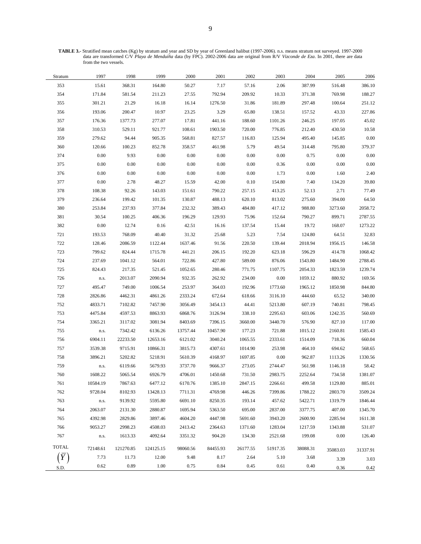**TABLE 3.-** Stratified mean catches (Kg) by stratum and year and SD by year of Greenland halibut (1997-2006). n.s. means stratum not surveyed. 1997-2000 data are transformed C/V *Playa de Menduíña* data (by FPC). 2002-2006 data are original from R/V *Vizconde de Eza*. In 2001, there are data from the two vessels.

| Stratum      | 1997     | 1998      | 1999      | 2000     | 2001     | 2002     | 2003     | 2004     | 2005     | 2006             |
|--------------|----------|-----------|-----------|----------|----------|----------|----------|----------|----------|------------------|
| 353          | 15.61    | 368.31    | 164.80    | 50.27    | 7.17     | 57.16    | 2.06     | 387.99   | 516.48   | 386.10           |
| 354          | 171.84   | 581.54    | 211.23    | 27.55    | 792.94   | 209.92   | 10.33    | 371.38   | 769.98   | 188.27           |
| 355          | 301.21   | 21.29     | 16.18     | 16.14    | 1276.50  | 31.86    | 181.89   | 297.48   | 100.64   | 251.12           |
| 356          | 193.06   | 200.47    | 10.97     | 23.25    | 3.29     | 65.80    | 138.51   | 157.52   | 43.33    | 227.86           |
| 357          | 176.36   | 1377.73   | 277.07    | 17.81    | 441.16   | 188.60   | 1101.26  | 246.25   | 197.05   | 45.02            |
| 358          | 310.53   | 529.11    | 921.77    | 108.61   | 1903.50  | 720.00   | 776.85   | 212.40   | 430.50   | 10.58            |
| 359          | 279.62   | 94.44     | 905.35    | 568.81   | 827.57   | 116.83   | 125.94   | 495.40   | 145.85   | $0.00\,$         |
| 360          | 120.66   | 100.23    | 852.78    | 358.57   | 461.98   | 5.79     | 49.54    | 314.48   | 795.80   | 379.37           |
| 374          | 0.00     | 9.93      | 0.00      | $0.00\,$ | 0.00     | 0.00     | $0.00\,$ | 0.75     | 0.00     | $0.00\,$         |
| 375          | 0.00     | 0.00      | 0.00      | $0.00\,$ | 0.00     | 0.00     | 0.36     | $0.00\,$ | 0.00     | $0.00\,$         |
| 376          | 0.00     | 0.00      | 0.00      | $0.00\,$ | 0.00     | 0.00     | 1.73     | $0.00\,$ | 1.60     | 2.40             |
| 377          | 0.00     | 2.78      | 48.27     | 15.59    | 42.00    | 0.10     | 154.80   | 7.40     | 134.20   | 39.80            |
| 378          | 108.38   | 92.26     | 143.03    | 151.61   | 790.22   | 257.15   | 413.25   | 52.13    | 2.71     | 77.49            |
| 379          | 236.64   | 199.42    | 101.35    | 130.87   | 488.13   | 620.10   | 813.02   | 275.60   | 394.00   | 64.50            |
| 380          | 253.84   | 237.93    | 377.84    | 232.32   | 389.43   | 484.80   | 417.12   | 988.80   | 3273.60  | 2058.72          |
| 381          | 30.54    | 100.25    | 406.36    | 196.29   | 129.93   | 75.96    | 152.64   | 790.27   | 899.71   | 2787.55          |
| 382          | 0.00     | 12.74     | 0.16      | 42.51    | 16.16    | 137.54   | 15.44    | 19.72    | 168.07   | 1273.22          |
| 721          | 193.53   | 768.09    | 40.40     | 31.32    | 25.68    | 5.23     | 7.54     | 124.80   | 64.51    | 32.83            |
| 722          | 128.46   | 2086.59   | 1122.44   | 1637.46  | 91.56    | 220.50   | 139.44   | 2018.94  | 1956.15  | 146.58           |
| 723          | 799.62   | 824.44    | 1715.78   | 441.21   | 206.15   | 192.20   | 623.18   | 596.29   | 414.78   | 1068.42          |
| 724          | 237.69   | 1041.12   | 564.01    | 722.86   | 427.80   | 589.00   | 876.06   | 1543.80  | 1484.90  | 2788.45          |
| 725          | 824.43   | 217.35    | 521.45    | 1052.65  | 280.46   | 771.75   | 1107.75  | 2054.33  | 1823.59  | 1239.74          |
| 726          | n.s.     | 2013.07   | 2090.94   | 932.35   | 262.92   | 234.00   | 0.00     | 1059.12  | 880.92   | 169.56           |
| 727          | 495.47   | 749.00    | 1006.54   | 253.97   | 364.03   | 192.96   | 1773.60  | 1965.12  | 1850.98  | 844.80           |
| 728          | 2826.86  | 4462.31   | 4861.26   | 2333.24  | 672.64   | 618.66   | 3116.10  | 444.60   | 65.52    | 340.00           |
| 752          | 4833.71  | 7102.82   | 7457.90   | 3056.49  | 3454.13  | 44.41    | 5213.80  | 607.19   | 740.81   | 798.45           |
| 753          | 4475.84  | 4597.53   | 8863.93   | 6868.76  | 3126.94  | 338.10   | 2295.63  | 603.06   | 1242.35  | 560.69           |
| 754          | 3365.21  | 3117.02   | 3081.94   | 8403.69  | 7396.15  | 3660.00  | 3440.70  | 576.90   | 827.10   | 117.00           |
| 755          | n.s.     | 7342.42   | 6136.26   | 13757.44 | 10457.90 | 177.23   | 721.88   | 1015.12  | 2160.81  | 1585.43          |
| 756          | 6904.11  | 22233.50  | 12653.16  | 6121.02  | 3040.24  | 1065.55  | 2333.61  | 1514.09  | 718.36   | 660.04           |
| 757          | 3539.38  | 9715.91   | 10866.31  | 3815.73  | 4307.61  | 1014.90  | 253.98   | 464.10   | 694.62   | 568.65           |
| 758          | 3896.21  | 5202.82   | 5218.91   | 5610.39  | 4168.97  | 1697.85  | $0.00\,$ | 962.87   | 1113.26  | 1330.56          |
| 759          | n.s.     | 6119.66   | 5679.93   | 3737.70  | 9666.37  | 273.05   | 2744.47  | 561.98   | 1146.18  | 58.42            |
| 760          | 1608.22  | 5065.54   | 6926.79   | 4706.01  | 1450.68  | 731.50   | 2983.75  | 2252.64  | 734.58   | 1381.07          |
| 761          | 10584.19 | 7867.63   | 6477.12   | 6170.76  | 1385.10  | 2847.15  | 2266.61  | 499.58   | 1129.80  | 885.01           |
| 762          | 9728.04  | 8102.93   | 13428.13  | 7711.31  | 4769.98  | 446.26   | 7399.86  | 1788.22  | 2803.70  | 3509.24          |
| 763          | n.s.     | 9139.92   | 5595.80   | 6691.10  | 8250.35  | 193.14   | 457.62   | 5422.71  | 1319.79  | 1846.44          |
| 764          | 2063.07  | 2131.30   | 2880.87   | 1695.94  | 5363.50  | 695.00   | 2837.00  | 3377.75  | 407.00   | 1345.70          |
| 765          | 4392.98  | 2829.86   | 3897.46   | 4604.20  | 4447.98  | 5691.60  | 3943.20  | 2600.90  | 2285.94  | 1611.38          |
| 766          | 9053.27  | 2998.23   | 4508.03   | 2413.42  | 2364.63  | 1371.60  | 1283.04  | 1217.59  | 1343.88  | 531.07           |
| 767          | n.s.     | 1613.33   | 4092.64   | 3351.32  | 904.20   | 134.30   | 2521.68  | 199.08   | 0.00     | 126.40           |
| <b>TOTAL</b> | 72148.61 | 121270.85 | 124125.15 | 98060.56 | 84455.93 | 26177.55 | 51917.35 | 38088.31 | 35083.03 |                  |
|              | 7.73     | 11.73     | 12.00     | 9.48     | 8.17     | 2.64     | 5.10     | 3.68     | 3.39     | 31337.91<br>3.03 |
|              | 0.62     | 0.89      | 1.00      | 0.75     | 0.84     | 0.45     | 0.61     | 0.40     |          |                  |
| S.D.         |          |           |           |          |          |          |          |          | 0.36     | 0.42             |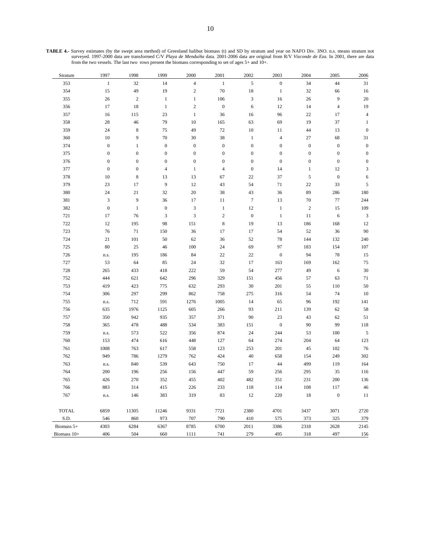| Stratum       | 1997             | 1998             | 1999             | 2000                      | 2001             | 2002             | 2003             | 2004             | 2005             | 2006                        |
|---------------|------------------|------------------|------------------|---------------------------|------------------|------------------|------------------|------------------|------------------|-----------------------------|
| 353           | $\mathbf{1}$     | 32               | 14               | $\overline{4}$            | $\mathbf{1}$     | $\sqrt{5}$       | $\boldsymbol{0}$ | 34               | 44               | 31                          |
| 354           | 15               | 49               | 19               | $\sqrt{2}$                | $70\,$           | 18               | $\mathbf{1}$     | 32               | 66               | 16                          |
| 355           | $26\,$           | $\sqrt{2}$       | $\mathbf{1}$     | $\,1$                     | 106              | $\mathfrak{Z}$   | 16               | 26               | $\overline{9}$   | $20\,$                      |
| 356           | 17               | 18               | $\mathbf{1}$     | $\sqrt{2}$                | $\boldsymbol{0}$ | 6                | 12               | 14               | $\overline{4}$   | 19                          |
| 357           | 16               | $115\,$          | 23               | $\mathbf{1}$              | 36               | 16               | 96               | $22\,$           | 17               | $\sqrt{4}$                  |
| 358           | 28               | $46\,$           | 79               | 10                        | 165              | 63               | 69               | 19               | 37               | $\mathbf{1}$                |
| 359           | 24               | $\,$ 8 $\,$      | 75               | 49                        | $72\,$           | 10               | 11               | 44               | 13               | $\boldsymbol{0}$            |
| 360           | 10               | 9                | 70               | 30                        | 38               | $\mathbf{1}$     | $\overline{4}$   | $27\,$           | 68               | 31                          |
| 374           | $\boldsymbol{0}$ | $\mathbf{1}$     | $\boldsymbol{0}$ | $\boldsymbol{0}$          | $\boldsymbol{0}$ | $\boldsymbol{0}$ | $\boldsymbol{0}$ | $\boldsymbol{0}$ | $\boldsymbol{0}$ | $\boldsymbol{0}$            |
| 375           | $\boldsymbol{0}$ | $\boldsymbol{0}$ | $\boldsymbol{0}$ | $\boldsymbol{0}$          | $\boldsymbol{0}$ | $\boldsymbol{0}$ | $\boldsymbol{0}$ | $\boldsymbol{0}$ | $\boldsymbol{0}$ | $\boldsymbol{0}$            |
| 376           | $\boldsymbol{0}$ | $\boldsymbol{0}$ | $\boldsymbol{0}$ | $\boldsymbol{0}$          | $\boldsymbol{0}$ | $\boldsymbol{0}$ | $\boldsymbol{0}$ | $\boldsymbol{0}$ | $\boldsymbol{0}$ | $\boldsymbol{0}$            |
| 377           | $\boldsymbol{0}$ | $\boldsymbol{0}$ | 4                | $\mathbf{1}$              | $\overline{4}$   | $\boldsymbol{0}$ | 14               | $\mathbf{1}$     | 12               | $\ensuremath{\mathfrak{Z}}$ |
| 378           | $10\,$           | $\,$ 8 $\,$      | 13               | 13                        | 67               | $22\,$           | 37               | 5                | $\boldsymbol{0}$ | 6                           |
| 379           | 23               | 17               | 9                | $12\,$                    | 43               | 54               | $71\,$           | $22\,$           | 33               | $\sqrt{5}$                  |
| 380           | 24               | $21\,$           | 32               | $20\,$                    | 38               | 43               | 36               | 89               | 286              | 180                         |
| 381           | 3                | 9                | 36               | 17                        | 11               | $\boldsymbol{7}$ | 13               | $70\,$           | 77               | 244                         |
| 382           | $\boldsymbol{0}$ | $\mathbf{1}$     | $\boldsymbol{0}$ | $\ensuremath{\mathsf{3}}$ | $\mathbf{1}$     | 12               | $\mathbf{1}$     | $\sqrt{2}$       | 15               | 109                         |
| 721           | 17               | 76               | $\mathfrak{Z}$   | $\mathfrak z$             | $\sqrt{2}$       | $\boldsymbol{0}$ | $\mathbf{1}$     | 11               | 6                | $\mathbf{3}$                |
| 722           | 12               | 195              | 98               | 151                       | $\,$ 8 $\,$      | 19               | 13               | 186              | 168              | 12                          |
| 723           | 76               | 71               | 150              | 36                        | 17               | 17               | 54               | 52               | 36               | $90\,$                      |
| 724           | 21               | 101              | 50               | 62                        | 36               | 52               | $78\,$           | 144              | 132              | 240                         |
| 725           | 80               | 25               | 46               | 100                       | $24\,$           | 69               | 97               | 183              | 154              | 107                         |
| 726           | n.s.             | 195              | 186              | 84                        | $22\,$           | 22               | $\boldsymbol{0}$ | 94               | 78               | 15                          |
| 727           | 53               | 64               | 85               | 24                        | 32               | 17               | 163              | 169              | 162              | $75\,$                      |
| 728           | 265              | 433              | 418              | 222                       | 59               | 54               | 277              | 49               | 6                | $30\,$                      |
| 752           | 444              | 621              | 642              | 296                       | 329              | 151              | 456              | 57               | 63               | 71                          |
| 753           | 419              | 423              | 775              | 632                       | 293              | $30\,$           | 201              | 55               | 110              | 50                          |
| 754           | 306              | 297              | 299              | 862                       | 758              | 275              | 316              | 54               | 74               | $10\,$                      |
| 755           | $\rm n.s.$       | 712              | 591              | 1276                      | 1005             | 14               | 65               | 96               | 192              | 141                         |
| 756           | 635              | 1976             | 1125             | 605                       | 266              | 93               | 211              | 139              | 62               | 58                          |
| 757           | 350              | 942              | 935              | 357                       | 371              | 90               | $23\,$           | 43               | 62               | 51                          |
| 758           | 365              | 478              | 488              | 534                       | 383              | 151              | $\boldsymbol{0}$ | 90               | 99               | 118                         |
| 759           | n.s.             | 573              | 522              | 356                       | 874              | 24               | 244              | 53               | $100\,$          | $\sqrt{5}$                  |
| 760           | 153              | 474              | 616              | 448                       | 127              | 64               | 274              | 204              | 64               | 123                         |
| 761           | 1008             | 763              | 617              | 558                       | 123              | 253              | 201              | 45               | 102              | 76                          |
| 762           | 949              | 786              | 1279             | 762                       | 424              | 40               | 658              | 154              | 249              | 302                         |
| 763           | n.s.             | 840              | 539              | 643                       | 750              | 17               | 44               | 499              | 119              | 164                         |
| 764           | 200              | 196              | 256              | 156                       | 447              | 59               | 256              | 295              | 35               | 116                         |
| 765           | 426              | 270              | 352              | 455                       | 402              | 482              | 351              | 231              | 200              | 136                         |
| 766           | 883              | 314              | 415              | 226                       | 233              | 118              | 114              | 108              | 117              | 46                          |
| 767           | n.s.             | 146              | 383              | 319                       | 83               | 12               | 220              | 18               | $\boldsymbol{0}$ | 11                          |
| <b>TOTAL</b>  | 6859             | 11305            | 11246            | 9331                      | 7721             | 2380             | 4701             | 3437             | 3071             | 2720                        |
| S.D.          | 546              | 860              | 973              | 707                       | 790              | 410              | 575              | 373              | 325              | 379                         |
| Biomass 5+    | 4303             | 6284             | 6367             | 8785                      | 6700             | 2011             | 3386             | 2318             | 2628             | 2145                        |
| Biomass $10+$ | 406              | 504              | 660              | 1111                      | 741              | 279              | 495              | 318              | 497              | 156                         |

**TABLE 4.-** Survey estimates (by the swept area method) of Greenland halibut biomass (t) and SD by stratum and year on NAFO Div. 3NO. n.s. means stratum not surveyed. 1997-2000 data are transformed C/V *Playa de Menduíña* data. 2001-2006 data are original from R/V *Vizconde de Eza*. In 2001, there are data from the two vessels. The last two rows present the biomass corresponding to set of ages 5+ and 10+.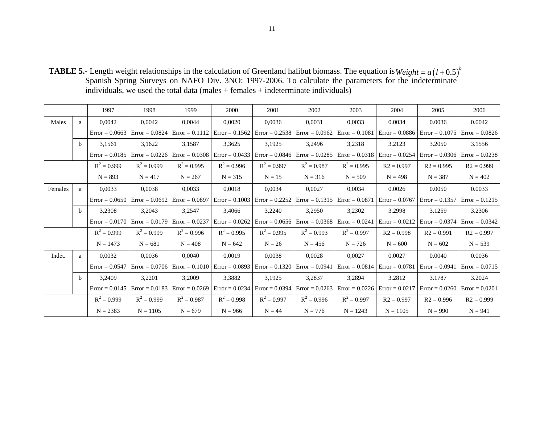**TABLE 5.-** Length weight relationships in the calculation of Greenland halibut biomass. The equation is Spanish Spring Surveys on NAFO Div. 3NO: 1997-2006. To calculate the parameters for the indeterminate individuals, we used the total data (males + females + indeterminate individuals)  $Weight = a(l+0.5)^{b}$ 

|         |              | 1997                              | 1998                              | 1999             | 2000                              | 2001                              | 2002                                                                | 2003             | 2004                              | 2005                                                                                                                                  | 2006             |
|---------|--------------|-----------------------------------|-----------------------------------|------------------|-----------------------------------|-----------------------------------|---------------------------------------------------------------------|------------------|-----------------------------------|---------------------------------------------------------------------------------------------------------------------------------------|------------------|
| Males   | a            | 0.0042                            | 0,0042                            | 0,0044           | 0.0020                            | 0.0036                            | 0,0031                                                              | 0,0033           | 0.0034                            | 0.0036                                                                                                                                | 0.0042           |
|         |              | $Error = 0.0663$                  | $Error = 0.0824$                  | $Error = 0.1112$ | $Error = 0.1562$                  | $Error = 0.2538$ $Error = 0.0962$ |                                                                     |                  | $Error = 0.1081$ $Error = 0.0886$ | $Error = 0.1075$ Error = 0.0826                                                                                                       |                  |
|         | b.           | 3,1561                            | 3,1622                            | 3,1587           | 3,3625                            | 3,1925                            | 3,2496                                                              | 3,2318           | 3.2123                            | 3.2050                                                                                                                                | 3.1556           |
|         |              | $Error = 0.0185$                  | $Error = 0.0226$                  | $Error = 0.0308$ | $Error = 0.0433$                  | $Error = 0.0846$                  | $Error = 0.0285$                                                    |                  | $Error = 0.0318$ $Error = 0.0254$ | $Error = 0.0306$ $Error = 0.0238$                                                                                                     |                  |
|         |              | $R^2 = 0.999$                     | $R^2 = 0.999$                     | $R^2 = 0.995$    | $R^2 = 0.996$                     | $R^2 = 0.997$                     | $R^2 = 0.987$                                                       | $R^2 = 0.995$    | $R2 = 0.997$                      | $R2 = 0.995$                                                                                                                          | $R2 = 0.999$     |
|         |              | $N = 893$                         | $N = 417$                         | $N = 267$        | $N = 315$                         | $N = 15$                          | $N = 316$                                                           | $N = 509$        | $N = 498$                         | $N = 387$                                                                                                                             | $N = 402$        |
| Females | a            | 0.0033                            | 0,0038                            | 0,0033           | 0.0018                            | 0,0034                            | 0,0027                                                              | 0,0034           | 0.0026                            | 0.0050                                                                                                                                | 0.0033           |
|         |              |                                   | $Error = 0.0650$ $Error = 0.0692$ |                  |                                   |                                   |                                                                     |                  |                                   | Error = 0.0897   Error = 0.1003   Error = 0.2252   Error = 0.1315   Error = 0.0871   Error = 0.0767   Error = 0.1357   Error = 0.1215 |                  |
|         | b.           | 3,2308                            | 3,2043                            | 3,2547           | 3,4066                            | 3,2240                            | 3,2950                                                              | 3,2302           | 3.2998                            | 3.1259                                                                                                                                | 3.2306           |
|         |              | $Error = 0.0170$ $Error = 0.0179$ |                                   | $Error = 0.0237$ | $Error = 0.0262$                  |                                   | $Error = 0.0656$ $Error = 0.0368$                                   | $Error = 0.0241$ | $Error = 0.0212$                  | $Error = 0.0374$ Error = 0.0342                                                                                                       |                  |
|         |              | $R^2 = 0.999$                     | $R^2 = 0.999$                     | $R^2 = 0.996$    | $R^2 = 0.995$                     | $R^2 = 0.995$                     | $R^2 = 0.993$                                                       | $R^2 = 0.997$    | $R2 = 0.998$                      | $R2 = 0.991$                                                                                                                          | $R2 = 0.997$     |
|         |              | $N = 1473$                        | $N = 681$                         | $N = 408$        | $N = 642$                         | $N = 26$                          | $N = 456$                                                           | $N = 726$        | $N = 600$                         | $N = 602$                                                                                                                             | $N = 539$        |
| Indet.  | a            | 0,0032                            | 0,0036                            | 0,0040           | 0,0019                            | 0,0038                            | 0,0028                                                              | 0,0027           | 0.0027                            | 0.0040                                                                                                                                | 0.0036           |
|         |              | $Error = 0.0547$                  | $Error = 0.0706$                  |                  | $Error = 0.1010$ $Error = 0.0893$ | $Error = 0.1320$ $Error = 0.0941$ |                                                                     |                  | $Error = 0.0814$ $Error = 0.0781$ | $Error = 0.0941$                                                                                                                      | $Error = 0.0715$ |
|         | <sub>b</sub> | 3,2409                            | 3,2201                            | 3,2009           | 3,3882                            | 3,1925                            | 3,2837                                                              | 3,2894           | 3.2812                            | 3.1787                                                                                                                                | 3.2024           |
|         |              |                                   | $Error = 0.0145$ $Error = 0.0183$ |                  |                                   |                                   | $Error = 0.0269$ $Error = 0.0234$ $Error = 0.0394$ $Error = 0.0263$ |                  | $Error = 0.0226$ Error = 0.0217   | $Error = 0.0260$ $Error = 0.0201$                                                                                                     |                  |
|         |              | $R^2 = 0.999$                     | $R^2 = 0.999$                     | $R^2 = 0.987$    | $R^2 = 0.998$                     | $R^2 = 0.997$                     | $R^2 = 0.996$                                                       | $R^2 = 0.997$    | $R2 = 0.997$                      | $R2 = 0.996$                                                                                                                          | $R2 = 0.999$     |
|         |              | $N = 2383$                        | $N = 1105$                        | $N = 679$        | $N = 966$                         | $N = 44$                          | $N = 776$                                                           | $N = 1243$       | $N = 1105$                        | $N = 990$                                                                                                                             | $N = 941$        |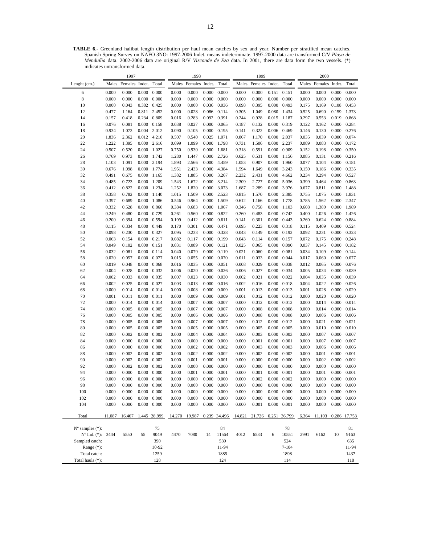**TABLE 6.-** Greenland halibut length distribution per haul mean catches by sex and year. Number per stratified mean catches. Spanish Spring Survey on NAFO 3NO: 1997-2006 Indet. means indeterminate. 1997-2000 data are transformed C/V *Playa de Menduíña* data. 2002-2006 data are original R/V *Vizconde de Eza* data. In 2001, there are data form the two vessels. (\*) indicates untransformed data.

|                             |                | 1997                 |                              |                |                | 1998                 |                |                              |                | 1999                 |                      |                     |                | 2000                 |                     |                              |
|-----------------------------|----------------|----------------------|------------------------------|----------------|----------------|----------------------|----------------|------------------------------|----------------|----------------------|----------------------|---------------------|----------------|----------------------|---------------------|------------------------------|
| Lenght (cm.)                |                | Males Females Indet. |                              | Total          |                | Males Females Indet. |                | Total                        |                | Males Females Indet. |                      | Total               |                | Males Females Indet. |                     | Total                        |
| 6                           | 0.000          | 0.000                | 0.000                        | 0.000          | 0.000          | 0.000                | 0.000          | 0.000                        | 0.000          | 0.000                | 0.151                | 0.151               | 0.000          | 0.000                | 0.000               | 0.000                        |
| 8                           | 0.000          | 0.000                | 0.000                        | 0.000          | 0.000          | 0.000                | 0.000          | 0.000                        | 0.000          | 0.000                | 0.000                | 0.000               | 0.000          | 0.000                | 0.000               | 0.000                        |
| 10                          | 0.000          | 0.043                | 0.382                        | 0.425          | 0.000          | 0.000                | 0.036          | 0.036                        | 0.098          | 0.395                | 0.000                | 0.493               | 0.175          | 0.169                | 0.108               | 0.453                        |
| 12                          | 0.477          | 1.164                | 0.811                        | 2.452          | 0.000          | 0.028                | 0.086          | 0.114                        | 0.305          | 1.049                | 0.080                | 1.434               | 0.525          | 0.690                | 0.159               | 1.373                        |
| 14                          | 0.157          | 0.418                | 0.234                        | 0.809          | 0.016          | 0.283                |                | 0.092 0.391                  | 0.244          | 0.928                | 0.015                | 1.187               | 0.297          | 0.553                | 0.019               | 0.868                        |
| 16                          | 0.076          | 0.081                | 0.000                        | 0.158          | 0.038          | 0.027                | 0.000          | 0.065                        | 0.187          | 0.132                | 0.000                | 0.319               | 0.122          | 0.162                | 0.000               | 0.284                        |
| 18                          | 0.934          | 1.073                | 0.004 2.012                  |                | 0.090          | 0.105                |                | $0.000 \quad 0.195$          | 0.141          | 0.322                | 0.006 0.469          |                     | 0.146          | 0.130                |                     | $0.000 \quad 0.276$          |
| 20<br>22                    | 1.836<br>1.222 | 2.362<br>1.395       | 0.012 4.210<br>$0.000$ 2.616 |                | 0.507<br>0.699 | 0.540<br>1.099       | 0.025          | 1.071<br>0.000 1.798         | 0.867<br>0.731 | 1.170<br>1.506       | 0.000<br>0.000 2.237 | 2.037               | 0.035<br>0.089 | 0.039<br>0.083       | 0.000<br>0.000      | 0.074<br>0.172               |
| 24                          | 0.507          | 0.520                | 0.000                        | 1.027          | 0.750          | 0.930                | 0.000          | 1.681                        | 0.318          | 0.591                | 0.000                | 0.909               | 0.152          | 0.198                | 0.000               | 0.350                        |
| 26                          | 0.769          | 0.973                | 0.000                        | 1.742          | 1.280          | 1.447                | 0.000          | 2.726                        | 0.625          | 0.531                | 0.000                | 1.156               | 0.085          | 0.131                | 0.000               | 0.216                        |
| 28                          | 1.103          | 1.091                | 0.000 2.194                  |                | 1.893          | 2.566                |                | 0.000 4.459                  | 1.053          | 0.907                | 0.000                | 1.960               | 0.077          | 0.104                | 0.000               | 0.181                        |
| 30                          | 0.676          | 1.098                | 0.000 1.774                  |                | 1.951          | 2.433                |                | 0.000 4.384                  | 1.594          | 1.649                |                      | 0.000 3.243         | 0.150          | 0.186                | 0.000               | 0.335                        |
| 32                          | 0.491          | 0.675                | 0.000                        | 1.165          | 1.382          | 1.885                |                | 0.000 3.267                  | 2.232          | 2.431                | 0.000                | 4.662               | 0.234          | 0.294                | 0.000               | 0.527                        |
| 34                          | 0.485          | 0.723                | 0.000                        | 1.209          | 1.543          | 1.672                |                | 0.000 3.214                  | 2.309          | 2.727                | 0.000                | 5.036               | 0.399          | 0.464                | 0.000               | 0.863                        |
| 36                          | 0.412          | 0.822                | 0.000                        | 1.234          | 1.252          | 1.820                |                | 0.000 3.073                  | 1.687          | 2.289                | 0.000                | 3.976               | 0.677          | 0.811                | 0.000               | 1.488                        |
| 38                          | 0.358          | 0.782                | 0.000                        | 1.140          | 1.015          | 1.509                | $0.000\,$      | 2.523                        | 0.815          | 1.570                | 0.000                | 2.385               | 0.755          | 1.075                | 0.000               | 1.831                        |
| 40                          | 0.397          | 0.689                | 0.000                        | 1.086          | 0.546          | 0.964                |                | 0.000 1.509                  | 0.612          | 1.166                |                      | 0.000 1.778         | 0.785          | 1.562                | 0.000 2.347         |                              |
| 42                          | 0.332          | 0.528                | 0.000                        | 0.860          | 0.384          | 0.683                |                | 0.000 1.067                  | 0.346          | 0.758                | 0.000                | 1.103               | 0.608          | 1.380                | 0.000               | 1.989                        |
| 44                          | 0.249          | 0.480                | 0.000                        | 0.729          | 0.261          | 0.560                | 0.000          | 0.822                        | 0.260          | 0.483                | 0.000                | 0.742               | 0.400          | 1.026                | 0.000               | 1.426                        |
| 46                          | 0.200          | 0.394                | 0.000                        | 0.594          | 0.199          | 0.412                | 0.000          | 0.611                        | 0.141          | 0.301                | 0.000                | 0.443               | 0.260          | 0.624                | 0.000               | 0.884                        |
| 48                          | 0.115          | 0.334                | 0.000                        | 0.449          | 0.170          | 0.301                | 0.000          | 0.471                        | 0.095          | 0.223                |                      | 0.000 0.318         | 0.115          | 0.409                | 0.000               | 0.524                        |
| 50                          | 0.098          | 0.230                | 0.000                        | 0.327          | 0.095          | 0.233                | 0.000          | 0.328<br>$0.000 \quad 0.199$ | 0.043          | 0.149                | 0.000                | 0.192               | 0.092          | 0.231                | 0.000               | 0.323                        |
| 52<br>54                    | 0.063<br>0.049 | 0.154<br>0.102       | 0.000<br>0.000               | 0.217<br>0.151 | 0.082<br>0.031 | 0.117<br>0.089       | 0.000          | 0.121                        | 0.043<br>0.025 | 0.114<br>0.065       | 0.000 0.157<br>0.000 | 0.090               | 0.072<br>0.037 | 0.175<br>0.145       | 0.000               | $0.000 \quad 0.248$<br>0.182 |
| 56                          | 0.032          | 0.081                | 0.000                        | 0.114          | 0.040          | 0.079                | 0.000          | 0.119                        | 0.021          | 0.060                | 0.000                | 0.081               | 0.034          | 0.109                | 0.000               | 0.144                        |
| 58                          | 0.020          | 0.057                | 0.000                        | 0.077          | 0.015          | 0.055                | 0.000          | 0.070                        | 0.011          | 0.033                | 0.000                | 0.044               | 0.017          | 0.060                | 0.000               | 0.077                        |
| 60                          | 0.019          | 0.048                | 0.000                        | 0.068          | 0.016          | 0.035                | 0.000          | 0.051                        | 0.008          | 0.029                | 0.000                | 0.038               | 0.012          | 0.065                | 0.000               | 0.076                        |
| 62                          | 0.004          | 0.028                | 0.000                        | 0.032          | 0.006          | 0.020                | 0.000          | 0.026                        | 0.006          | 0.027                | 0.000                | 0.034               | 0.005          | 0.034                | 0.000               | 0.039                        |
| 64                          | 0.002          | 0.033                | 0.000                        | 0.035          | 0.007          | 0.023                | 0.000          | 0.030                        | 0.002          | 0.021                | 0.000                | 0.022               | 0.004          | 0.035                | 0.000               | 0.039                        |
| 66                          | 0.002          | 0.025                | 0.000                        | 0.027          | 0.003          | 0.013                | 0.000          | 0.016                        | 0.002          | 0.016                | 0.000                | 0.018               | 0.004          | 0.022                | 0.000               | 0.026                        |
| 68                          | 0.000          | 0.014                | 0.000                        | 0.014          | 0.000          | 0.008                | 0.000          | 0.009                        | 0.001          | 0.013                | 0.000                | 0.013               | 0.001          | 0.028                | 0.000               | 0.029                        |
| 70                          | 0.001          | 0.011                | 0.000                        | 0.011          | 0.000          | 0.009                | 0.000          | 0.009                        | 0.001          | 0.012                | 0.000                | 0.012               | 0.000          | 0.020                | 0.000               | 0.020                        |
| 72                          | 0.000          | 0.014                | 0.000                        | 0.014          | 0.000          | 0.007                | 0.000          | 0.007                        | 0.000          | 0.012                | 0.000                | 0.012               | 0.000          | 0.014                | 0.000               | 0.014                        |
| 74                          | 0.000          | 0.005                | 0.000                        | 0.005          | 0.000          | 0.007                | 0.000          | 0.007                        | 0.000          | 0.008                | 0.000                | 0.008               | 0.000          | 0.014                | 0.000               | 0.014                        |
| 76                          | 0.000          | 0.005                | 0.000                        | 0.005          | 0.000          | 0.006                | 0.000          | 0.006                        | 0.000          | 0.008                | 0.000                | 0.008               | 0.000          | 0.006                | 0.000               | 0.006                        |
| 78                          | 0.000          | 0.005                | 0.000                        | 0.005          | 0.000          | 0.007                | 0.000          | 0.007                        | 0.000          | 0.012                | 0.000                | 0.012               | 0.000          | 0.021                | 0.000               | 0.021                        |
| 80                          | 0.000          | 0.005                | 0.000                        | 0.005          | 0.000          | 0.005                | 0.000          | 0.005                        | 0.000          | 0.005                | 0.000                | 0.005               | 0.000          | 0.010                | 0.000               | 0.010                        |
| 82                          | 0.000          | 0.002                | 0.000                        | 0.002          | 0.000          | 0.004                | 0.000          | 0.004                        | 0.000          | 0.003                | 0.000                | 0.003               | 0.000          | 0.007                | 0.000               | 0.007                        |
| 84                          | 0.000          | 0.000                | 0.000                        | 0.000          | 0.000          | 0.000                | 0.000          | 0.000                        | 0.000          | 0.001                | 0.000                | 0.001               | 0.000          | 0.007                | 0.000               | 0.007                        |
| 86                          | 0.000          | 0.000                | 0.000<br>0.000               | 0.000<br>0.002 | 0.000          | 0.002<br>0.002       | 0.000<br>0.000 | 0.002<br>0.002               | 0.000<br>0.000 | 0.003<br>0.002       | 0.000                | 0.003               | 0.000          | 0.006<br>0.001       | 0.000               | 0.006<br>0.001               |
| 88<br>90                    | 0.000<br>0.000 | 0.002<br>0.002       | 0.000                        | 0.002          | 0.000<br>0.000 | 0.001                | 0.000          | 0.001                        | 0.000          | 0.000                | 0.000<br>0.000       | 0.002<br>0.000      | 0.000<br>0.000 | 0.002                | 0.000<br>0.000      | 0.002                        |
| 92                          | 0.000          | 0.002                | 0.000                        | 0.002          | 0.000          | 0.000                | 0.000          | 0.000                        | 0.000          | 0.000                | 0.000                | 0.000               | 0.000          | 0.000                | 0.000               | 0.000                        |
| 94                          | 0.000          | 0.000                | 0.000                        | 0.000          | 0.000          | 0.001                | 0.000          | 0.001                        | 0.000          | 0.001                | $0.000 \quad 0.001$  |                     | 0.000          | 0.001                | $0.000 \quad 0.001$ |                              |
| 96                          | 0.000          | 0.000                | 0.000                        | 0.000          | 0.000          | 0.000                | 0.000          | 0.000                        | 0.000          | 0.002                |                      | $0.000 \quad 0.002$ | 0.000          | 0.000                |                     | $0.000 \quad 0.000$          |
| 98                          | 0.000          | 0.000                | $0.000 \quad 0.000$          |                | 0.000          | 0.000                |                | $0.000 \quad 0.000$          | 0.000          | 0.000                |                      | $0.000 \quad 0.000$ | 0.000          | 0.000                |                     | $0.000 \quad 0.000$          |
| 100                         | 0.000          | 0.000                | 0.000                        | 0.000          | 0.000          | 0.000                | 0.000          | 0.000                        | 0.000          | 0.000                | 0.000                | 0.000               | 0.000          | 0.000                | 0.000               | 0.000                        |
| 102                         | 0.000          | 0.000                | 0.000                        | 0.000          | 0.000          | 0.000                | 0.000          | 0.000                        | 0.000          | 0.000                | 0.000                | 0.000               | 0.000          | 0.000                | 0.000               | 0.000                        |
| 104                         | 0.000          | 0.000                | 0.000                        | 0.000          | 0.000          | 0.000                | 0.000          | 0.000                        | 0.000          | 0.001                | $0.000 \quad 0.001$  |                     | 0.000          | 0.000                | 0.000               | 0.000                        |
| Total                       | 11.087         | 16.467               |                              | 1.445 28.999   | 14.270         | 19.987               |                | 0.239 34.496                 | 14.821         | 21.726               | 0.251                | 36.799              | 6.364          | 11.103               |                     | 0.286 17.753                 |
|                             |                |                      |                              |                |                |                      |                |                              |                |                      |                      |                     |                |                      |                     |                              |
| $N^{\circ}$ samples $(*)$ : |                |                      |                              | 75             |                |                      |                | 84                           |                |                      |                      | 78                  |                |                      |                     | 81                           |
| N° Ind. (*): 3444           |                | 5550                 | 55                           | 9049           | 4470           | 7080                 | 14             | 11564                        | 4012           | 6533                 | 6                    | 10551               | 2991           | 6162                 | 10                  | 9163                         |
| Sampled catch:              |                |                      |                              | 390            |                |                      |                | 539                          |                |                      |                      | 524                 |                |                      |                     | 635                          |
| Range (*):                  |                |                      |                              | 10-92          |                |                      |                | 11-94                        |                |                      |                      | $7 - 104$           |                |                      |                     | 11-94                        |
| Total catch:                |                |                      |                              | 1259           |                |                      |                | 1885                         |                |                      |                      | 1898                |                |                      |                     | 1437                         |
| Total hauls (*):            |                |                      |                              | 128            |                |                      |                | 124                          |                |                      |                      | 114                 |                |                      |                     | 118                          |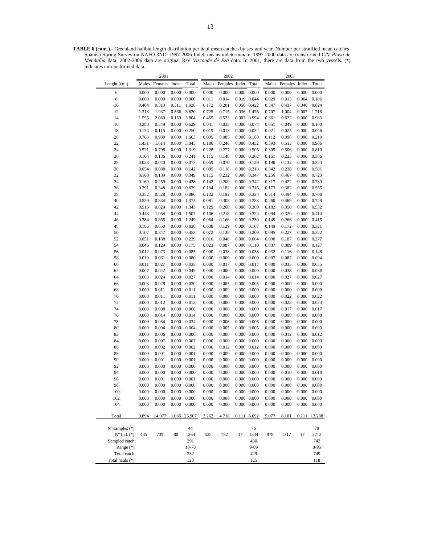**TABLE 6 (cont.).-** Greenland halibut length distribution per haul mean catches by sex and year. Number per stratified mean catches. Spanish Spring Survey on NAFO 3NO: 1997-2006 Indet. means indeterminate. 1997-2000 data are transformed C/V *Playa de Menduíña* data. 2002-2006 data are original R/V *Vizconde de Eza* data. In 2001, there are data from the two vessels. (\*) indicates untransformed data.

|                             |                | 2001           |                |                |                | 2002           |                     |                                            |                | 2003           |                |                |
|-----------------------------|----------------|----------------|----------------|----------------|----------------|----------------|---------------------|--------------------------------------------|----------------|----------------|----------------|----------------|
| Lenght (cm.)                | Males          | Females        | Indet.         | Total          | Males          | Females        | Indet.              | Total                                      | Males          | Females        | Indet.         | Total          |
| 6                           | 0.000          | 0.000          | 0.000          | 0.000          | 0.000          | 0.000          |                     | $0.000 \quad 0.000$                        | 0.000          | 0.000          | 0.000          | 0.000          |
| 8                           | 0.000          | 0.000          | 0.000          | 0.000          | 0.011          | 0.014          |                     | 0.019 0.044                                | 0.029          | 0.013          | 0.064          | 0.106          |
| 10                          | 0.404          | 0.313          | 0.311          | 1.028          | 0.172          | 0.201          |                     | 0.050 0.422                                | 0.347          | 0.437          | 0.040          | 0.824          |
| 12                          | 1.318          | 1.937          | 0.566          | 3.820          | 0.725          | 0.715          |                     | 0.036 1.476                                | 0.707          | 1.004          | 0.007          | 1.718          |
| 14                          | 1.555          | 2.089          | 0.159          | 3.804          | 0.465          | 0.523          |                     | 0.007 0.994                                | 0.361          | 0.622          | 0.000          | 0.983          |
| 16                          | 0.280          | 0.349          | 0.000          | 0.629          | 0.041          | 0.033          |                     | 0.000 0.074                                | 0.051          | 0.049          | 0.000          | 0.100          |
| 18                          | 0.134          | 0.115          | 0.000          | 0.250          | 0.019          | 0.013          |                     | 0.000 0.032                                | 0.021          | 0.025          | 0.000          | 0.046          |
| 20                          | 0.763          | 0.900          | 0.000          | 1.663          | 0.095          | 0.085          |                     | $0.000 \quad 0.180$                        | 0.112          | 0.098          | 0.000          | 0.210          |
| 22                          | 1.431          | 1.614          | 0.000          | 3.045          | 0.186          | 0.246          |                     | 0.000 0.432                                | 0.393          | 0.513          | 0.000          | 0.906          |
| 24                          | 0.521          | 0.798          | 0.000          | 1.319          | 0.228          | 0.277          |                     | $0.000 \quad 0.505$                        | 0.305          | 0.506          | 0.000          | 0.810          |
| 26                          | 0.104          | 0.136          | 0.000          | 0.241          | 0.115          | 0.148          |                     | $0.000$ $0.262$                            | 0.161          | 0.225          | 0.000          | 0.386          |
| 28                          | 0.033          | 0.040          | 0.000          | 0.073          | 0.059          | 0.070          |                     | 0.000 0.129                                | 0.190          | 0.132          | 0.000          | 0.323          |
| 30                          | 0.054          | 0.088          | 0.000          | 0.142          | 0.095          | 0.118          |                     | $0.000 \quad 0.213$                        | 0.342          | 0.238          | 0.000          | 0.581          |
| 32                          | 0.160          | 0.189          | 0.000          | 0.349          | 0.115          | 0.232          |                     | 0.000 0.347                                | 0.256          | 0.467          | 0.000          | 0.723          |
| 34                          | 0.169          | 0.259          | 0.000          | 0.428          | 0.142          | 0.200          |                     | 0.000 0.342                                | 0.317          | 0.422          | 0.000          | 0.739          |
| 36<br>38                    | 0.291<br>0.352 | 0.348<br>0.528 | 0.000<br>0.000 | 0.639<br>0.880 | 0.134<br>0.132 | 0.182<br>0.192 | 0.000 0.324         | 0.000 0.316                                | 0.173<br>0.214 | 0.382<br>0.494 | 0.000<br>0.000 | 0.555<br>0.708 |
| 40                          | 0.539          | 0.834          | 0.000          | 1.373          | 0.081          | 0.303          |                     | 0.000 0.383                                | 0.260          | 0.469          | 0.000          | 0.729          |
| 42                          | 0.515          | 0.829          | 0.000          | 1.343          | 0.129          | 0.260          | 0.000 0.389         |                                            | 0.182          | 0.350          | 0.000          | 0.532          |
| 44                          | 0.443          | 1.064          | 0.000          | 1.507          | 0.106          | 0.218          |                     | 0.000 0.324                                | 0.094          | 0.320          | 0.000          | 0.414          |
| 46                          | 0.384          | 0.865          | 0.000          | 1.249          | 0.064          | 0.166          |                     | 0.000 0.230                                | 0.149          | 0.266          | 0.000          | 0.415          |
| 48                          | 0.186          | 0.650          | 0.000          | 0.836          | 0.038          | 0.129          | $0.000 \quad 0.167$ |                                            | 0.149          | 0.172          | 0.000          | 0.321          |
| 50                          | 0.107          | 0.347          | 0.000          | 0.453          | 0.072          | 0.138          |                     | 0.000 0.209                                | 0.095          | 0.227          | 0.000          | 0.322          |
| 52                          | 0.051          | 0.188          | 0.000          | 0.239          | 0.016          | 0.048          |                     | 0.000 0.064                                | 0.090          | 0.187          | 0.000          | 0.277          |
| 54                          | 0.046          | 0.129          | 0.000          | 0.175          | 0.023          | 0.087          |                     | $0.000 \quad 0.110$                        | 0.037          | 0.089          | 0.000          | 0.127          |
| 56                          | 0.012          | 0.073          | 0.000          | 0.085          | 0.000          | 0.038          |                     | 0.000 0.038                                | 0.032          | 0.116          | 0.000          | 0.148          |
| 58                          | 0.019          | 0.061          | 0.000          | 0.080          | 0.000          | 0.009          |                     | $0.000 \quad 0.009$                        | 0.007          | 0.087          | 0.000          | 0.094          |
| 60                          | 0.011          | 0.027          | 0.000          | 0.038          | 0.000          | 0.017          |                     | 0.000 0.017                                | 0.000          | 0.035          | 0.000          | 0.035          |
| 62                          | 0.007          | 0.042          | 0.000          | 0.049          | 0.000          | 0.000          |                     | $0.000 \quad 0.000$                        | 0.000          | 0.038          | 0.000          | 0.038          |
| 64                          | 0.003          | 0.024          | 0.000          | 0.027          | 0.000          | 0.014          |                     | 0.000 0.014                                | 0.000          | 0.027          | 0.000          | 0.027          |
| 66                          | 0.003          | 0.028          | 0.000          | 0.030          | 0.000          | 0.005          | $0.000 \quad 0.005$ |                                            | 0.000          | 0.000          | 0.000          | 0.000          |
| 68                          | 0.000          | 0.011          | 0.000          | 0.011          | 0.000          | 0.009          | 0.000 0.009         |                                            | 0.000          | 0.000          | 0.000          | 0.000          |
| 70                          | 0.000          | 0.011          | 0.000          | 0.011          | 0.000          | 0.000          |                     | $0.000 \quad 0.000$                        | 0.000          | 0.022          | 0.000          | 0.022          |
| 72                          | 0.000          | 0.012          | 0.000          | 0.012          | 0.000          | 0.000          |                     | $0.000 \quad 0.000$                        | 0.000          | 0.023          | 0.000          | 0.023          |
| 74                          | 0.000          | 0.008          | 0.000          | 0.008          | 0.000          | 0.000          |                     | $0.000 \quad 0.000$                        | 0.000          | 0.017          | 0.000          | 0.017          |
| 76                          | 0.000          | 0.014          | 0.000          | 0.014          | 0.000          | 0.000          |                     | $0.000 \quad 0.000$                        | 0.000          | 0.008          | 0.000          | 0.008          |
| 78                          | 0.000          | 0.034          | 0.000          | 0.034          | 0.000          | 0.006          |                     | $0.000$ $0.006$                            | 0.000          | 0.000          | 0.000          | 0.000          |
| 80                          | 0.000          | 0.004          | 0.000          | 0.004          | 0.000          | 0.005          |                     | 0.000 0.005                                | 0.000          | 0.000          | 0.000          | 0.000          |
| 82                          | 0.000          | 0.006          | 0.000          | 0.006          | 0.000          | 0.000          |                     | $0.000 \quad 0.000$                        | 0.000          | 0.012          | 0.000          | 0.012          |
| 84                          | 0.000          | 0.007          | 0.000          | 0.007          | 0.000          | 0.000          |                     | $0.000 \quad 0.000$                        | 0.000          | 0.000          | 0.000          | 0.000          |
| 86                          | 0.000          | 0.002          | 0.000          | 0.002          | 0.000          | 0.012          |                     | 0.000 0.012                                | 0.000          | 0.000          | 0.000          | 0.000          |
| 88                          | 0.000          | 0.001          | 0.000<br>0.000 | 0.001          | 0.000          | 0.009          |                     | 0.000 0.009                                | 0.000          | 0.000          | 0.000<br>0.000 | 0.000          |
| 90<br>92                    | 0.000<br>0.000 | 0.001<br>0.000 | 0.000          | 0.001<br>0.000 | 0.000<br>0.000 | 0.000<br>0.000 |                     | $0.000 \quad 0.000$<br>$0.000 \quad 0.000$ | 0.000<br>0.000 | 0.000<br>0.000 | 0.000          | 0.000<br>0.000 |
| 94                          | 0.000          | 0.000          | 0.000          | 0.000          | 0.000          | 0.000          |                     | $0.000 \quad 0.000$                        | 0.000          | 0.010          | 0.000          | 0.010          |
| 96                          | 0.000          | 0.001          | 0.000          | 0.001          | 0.000          | 0.000          |                     | $0.000 \quad 0.000$                        | 0.000          | 0.000          | 0.000          | 0.000          |
| 98                          | 0.000          | 0.000          | 0.000          | 0.000          | 0.000          | 0.000          |                     | $0.000 \quad 0.000$                        | 0.000          | 0.000          | 0.000          | 0.000          |
| 100                         | 0.000          | 0.000          | 0.000          | 0.000          | 0.000          | 0.000          |                     | $0.000 \quad 0.000$                        | 0.000          | 0.000          | 0.000          | 0.000          |
| 102                         | 0.000          | 0.000          | 0.000          | 0.000          | 0.000          | 0.000          |                     | $0.000 \quad 0.000$                        | 0.000          | 0.000          | 0.000          | 0.000          |
| 104                         | 0.000          | 0.000          | 0.000          | 0.000          | 0.000          | 0.000          |                     | $0.000 \quad 0.000$                        | 0.000          | 0.000          | 0.000          | 0.000          |
|                             |                |                |                |                |                |                |                     |                                            |                |                |                |                |
| Total                       | 9.894          | 14.977         |                | 1.036 25.907   | 3.262          | 4.718          |                     | 0.111 8.092                                | 5.077          | 8.101          | 0.111          | 13.288         |
| $N^{\circ}$ samples $(*)$ : |                |                |                | 44             |                |                |                     | 76                                         |                |                |                | 79             |
| $N^{\circ}$ Ind. $(*)$ :    | 445            | 739            | 80             | 1264           | 535            | 782            | 17                  | 1334                                       | 878            | 1317           | 17             | 2212           |
| Sampled catch:              |                |                |                | 291            |                |                |                     | 430                                        |                |                |                | 742            |
| Range (*):                  |                |                |                | 10-78          |                |                |                     | 9-89                                       |                |                |                | 8-95           |
| Total catch:                |                |                |                | 332            |                |                |                     | 429                                        |                |                |                | 749            |
| Total hauls (*):            |                |                |                | 123            |                |                |                     | 125                                        |                |                |                | 118            |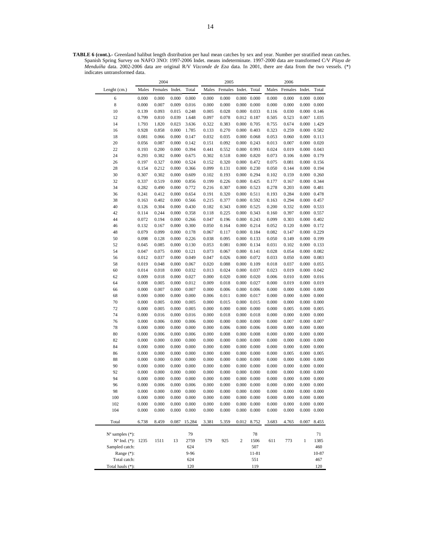**TABLE 6 (cont.).-** Greenland halibut length distribution per haul mean catches by sex and year. Number per stratified mean catches. Spanish Spring Survey on NAFO 3NO: 1997-2006 Indet. means indeterminate. 1997-2000 data are transformed C/V *Playa de Menduíña* data. 2002-2006 data are original R/V *Vizconde de Eza* data. In 2001, there are data from the two vessels. (\*) indicates untransformed data.

|                             |       | 2004           |       |        |       | 2005    |                     |                     |       | 2006    |                     |                     |
|-----------------------------|-------|----------------|-------|--------|-------|---------|---------------------|---------------------|-------|---------|---------------------|---------------------|
| Lenght (cm.)                | Males | Females Indet. |       | Total  | Males | Females | Indet.              | Total               | Males | Females | Indet.              | Total               |
| 6                           | 0.000 | 0.000          | 0.000 | 0.000  | 0.000 | 0.000   | 0.000               | 0.000               | 0.000 | 0.000   | 0.000               | 0.000               |
| $\,$ 8 $\,$                 | 0.000 | 0.007          | 0.009 | 0.016  | 0.000 | 0.000   | 0.000               | 0.000               | 0.000 | 0.000   | 0.000               | 0.000               |
| 10                          | 0.139 | 0.093          | 0.015 | 0.248  | 0.005 | 0.028   | 0.000               | 0.033               | 0.116 | 0.030   | 0.000               | 0.146               |
| 12                          | 0.799 | 0.810          | 0.039 | 1.648  | 0.097 | 0.078   | 0.012 0.187         |                     | 0.505 | 0.523   | 0.007               | 1.035               |
| 14                          | 1.793 | 1.820          | 0.023 | 3.636  | 0.322 | 0.383   | 0.000               | 0.705               | 0.755 | 0.674   | 0.000               | 1.429               |
| 16                          | 0.928 | 0.858          | 0.000 | 1.785  | 0.133 | 0.270   | 0.000               | 0.403               | 0.323 | 0.259   | 0.000 0.582         |                     |
| 18                          | 0.081 | 0.066          | 0.000 | 0.147  | 0.032 | 0.035   | 0.000               | 0.068               | 0.053 | 0.060   | 0.000               | 0.113               |
| 20                          | 0.056 | 0.087          | 0.000 | 0.142  | 0.151 | 0.092   | 0.000               | 0.243               | 0.013 | 0.007   | $0.000 \quad 0.020$ |                     |
| 22                          | 0.193 | 0.200          | 0.000 | 0.394  | 0.441 | 0.552   | 0.000               | 0.993               | 0.024 | 0.019   | 0.000               | 0.043               |
| 24                          | 0.293 | 0.382          | 0.000 | 0.675  | 0.302 | 0.518   | 0.000               | 0.820               | 0.073 | 0.106   | 0.000               | 0.179               |
| 26                          | 0.197 | 0.327          | 0.000 | 0.524  | 0.152 | 0.320   | 0.000               | 0.472               | 0.075 | 0.081   | 0.000               | 0.156               |
| 28                          | 0.154 | 0.212          | 0.000 | 0.366  | 0.099 | 0.131   | 0.000               | 0.230               | 0.050 | 0.144   | 0.000               | 0.194               |
| 30                          | 0.307 | 0.302          | 0.000 | 0.609  | 0.102 | 0.193   | 0.000               | 0.294               | 0.102 | 0.159   | 0.000               | 0.260               |
| 32                          | 0.337 | 0.519          | 0.000 | 0.856  | 0.199 | 0.226   | 0.000               | 0.425               | 0.177 | 0.167   | 0.000               | 0.344               |
| 34                          | 0.282 | 0.490          | 0.000 | 0.772  | 0.216 | 0.307   | 0.000               | 0.523               | 0.278 | 0.203   | 0.000               | 0.481               |
| 36                          | 0.241 | 0.412          | 0.000 | 0.654  | 0.191 | 0.320   | 0.000               | 0.511               | 0.193 | 0.284   | 0.000               | 0.478               |
| 38                          | 0.163 | 0.402          | 0.000 | 0.566  | 0.215 | 0.377   | 0.000               | 0.592               | 0.163 | 0.294   | 0.000               | 0.457               |
| 40                          | 0.126 | 0.304          | 0.000 | 0.430  | 0.182 | 0.343   | 0.000               | 0.525               | 0.200 | 0.332   | 0.000               | 0.533               |
| 42                          | 0.114 | 0.244          | 0.000 | 0.358  | 0.118 | 0.225   | 0.000               | 0.343               | 0.160 | 0.397   | 0.000 0.557         |                     |
| 44                          | 0.072 | 0.194          | 0.000 | 0.266  | 0.047 | 0.196   | 0.000               | 0.243               | 0.099 | 0.303   | 0.000               | 0.402               |
| 46                          | 0.132 | 0.167          | 0.000 | 0.300  | 0.050 | 0.164   | 0.000               | 0.214               | 0.052 | 0.120   | 0.000               | 0.172               |
| 48                          | 0.079 | 0.099          | 0.000 | 0.178  | 0.067 | 0.117   | 0.000               | 0.184               | 0.082 | 0.147   | 0.000               | 0.229               |
| 50                          | 0.098 | 0.128          | 0.000 | 0.226  | 0.038 | 0.095   | 0.000               | 0.133               | 0.050 | 0.149   | 0.000               | 0.199               |
| 52                          | 0.045 | 0.085          | 0.000 | 0.130  | 0.053 | 0.081   | 0.000               | 0.134               | 0.031 | 0.102   | 0.000               | 0.133               |
| 54                          | 0.047 | 0.075          | 0.000 | 0.121  | 0.073 | 0.067   | 0.000               | 0.141               | 0.028 | 0.054   | 0.000               | 0.082               |
| 56                          | 0.012 | 0.037          | 0.000 | 0.049  | 0.047 | 0.026   | 0.000               | 0.072               | 0.033 | 0.050   | 0.000               | 0.083               |
| 58                          | 0.019 | 0.048          | 0.000 | 0.067  | 0.020 | 0.088   | 0.000               | 0.109               | 0.018 | 0.037   | 0.000               | 0.055               |
| 60                          | 0.014 | 0.018          | 0.000 | 0.032  | 0.013 | 0.024   | 0.000               | 0.037               | 0.023 | 0.019   | 0.000               | 0.042               |
| 62                          | 0.009 | 0.018          | 0.000 | 0.027  | 0.000 | 0.020   | 0.000               | 0.020               | 0.006 | 0.010   | 0.000               | 0.016               |
| 64                          | 0.008 | 0.005          | 0.000 | 0.012  | 0.009 | 0.018   | 0.000               | 0.027               | 0.000 | 0.019   | 0.000               | 0.019               |
| 66                          | 0.000 | 0.007          | 0.000 | 0.007  | 0.000 | 0.006   | 0.000               | 0.006               | 0.000 | 0.000   | 0.000               | 0.000               |
| 68                          | 0.000 | 0.000          | 0.000 | 0.000  | 0.006 | 0.011   | 0.000               | 0.017               | 0.000 | 0.000   | 0.000               | 0.000               |
| 70                          | 0.000 | 0.005          | 0.000 | 0.005  | 0.000 | 0.015   | 0.000               | 0.015               | 0.000 | 0.000   | 0.000               | 0.000               |
| 72                          | 0.000 | 0.005          | 0.000 | 0.005  | 0.000 | 0.000   | 0.000               | 0.000               | 0.000 | 0.005   | 0.000               | 0.005               |
| 74                          | 0.000 | 0.016          | 0.000 | 0.016  | 0.000 | 0.018   | 0.000               | 0.018               | 0.000 | 0.000   | 0.000               | 0.000               |
| 76                          | 0.000 | 0.006          | 0.000 | 0.006  | 0.000 | 0.000   | 0.000               | 0.000               | 0.000 | 0.007   | 0.000               | 0.007               |
| 78                          | 0.000 | 0.000          | 0.000 | 0.000  | 0.000 | 0.006   | 0.000               | 0.006               | 0.000 | 0.000   | 0.000               | 0.000               |
| 80                          | 0.000 | 0.006          | 0.000 | 0.006  | 0.000 | 0.008   | 0.000               | 0.008               | 0.000 | 0.000   | 0.000               | 0.000               |
| 82                          | 0.000 | 0.000          | 0.000 | 0.000  | 0.000 | 0.000   | 0.000               | 0.000               | 0.000 | 0.000   | 0.000               | 0.000               |
| 84                          | 0.000 | 0.000          | 0.000 | 0.000  | 0.000 | 0.000   | 0.000               | 0.000               | 0.000 | 0.000   | 0.000               | 0.000               |
| 86                          | 0.000 | 0.000          | 0.000 | 0.000  | 0.000 | 0.000   | 0.000               | 0.000               | 0.000 | 0.005   | 0.000               | 0.005               |
| 88                          | 0.000 | 0.000          | 0.000 | 0.000  | 0.000 | 0.000   | 0.000               | 0.000               | 0.000 | 0.000   | 0.000               | 0.000               |
| 90                          | 0.000 | 0.000          | 0.000 | 0.000  | 0.000 | 0.000   | 0.000               | 0.000               | 0.000 | 0.000   | 0.000               | 0.000               |
| 92                          | 0.000 | 0.000          | 0.000 | 0.000  | 0.000 | 0.000   | 0.000               | 0.000               | 0.000 | 0.000   | 0.000               | 0.000               |
| 94                          | 0.000 | 0.000          | 0.000 | 0.000  | 0.000 | 0.000   | 0.000               | 0.000               | 0.000 | 0.000   | 0.000               | 0.000               |
| 96                          | 0.000 | 0.006          | 0.000 | 0.006  | 0.000 | 0.000   | 0.000               | 0.000               | 0.000 | 0.000   | 0.000               | 0.000               |
| 98                          | 0.000 | 0.000          | 0.000 | 0.000  | 0.000 | 0.000   | $0.000 \quad 0.000$ |                     | 0.000 | 0.000   | $0.000 \quad 0.000$ |                     |
| 100                         | 0.000 | 0.000          | 0.000 | 0.000  | 0.000 | 0.000   |                     | $0.000 \quad 0.000$ | 0.000 | 0.000   | $0.000 \quad 0.000$ |                     |
| 102                         | 0.000 | 0.000          | 0.000 | 0.000  | 0.000 | 0.000   | 0.000               | 0.000               | 0.000 | 0.000   | 0.000               | 0.000               |
| 104                         | 0.000 | 0.000          | 0.000 | 0.000  | 0.000 | 0.000   |                     | $0.000 \quad 0.000$ | 0.000 | 0.000   |                     | $0.000 \quad 0.000$ |
| Total                       | 6.738 | 8.459          | 0.087 | 15.284 | 3.381 | 5.359   | 0.012               | 8.752               | 3.683 | 4.765   | 0.007               | 8.455               |
|                             |       |                |       |        |       |         |                     |                     |       |         |                     |                     |
| $N^{\circ}$ samples $(*)$ : |       |                |       | 79     |       |         |                     | 78                  |       |         |                     | 71                  |
| N° Ind. (*): 1235           |       | 1511           | 13    | 2759   | 579   | 925     | $\sqrt{2}$          | 1506                | 611   | 773     | $\mathbf{1}$        | 1385                |
| Sampled catch:              |       |                |       | 624    |       |         |                     | 507                 |       |         |                     | 460                 |
| Range (*):                  |       |                |       | 9-96   |       |         |                     | 11-81               |       |         |                     | 10-87               |
| Total catch:                |       |                |       | 624    |       |         |                     | 551                 |       |         |                     | 467                 |
| Total hauls (*):            |       |                |       | 120    |       |         |                     | 119                 |       |         |                     | 120                 |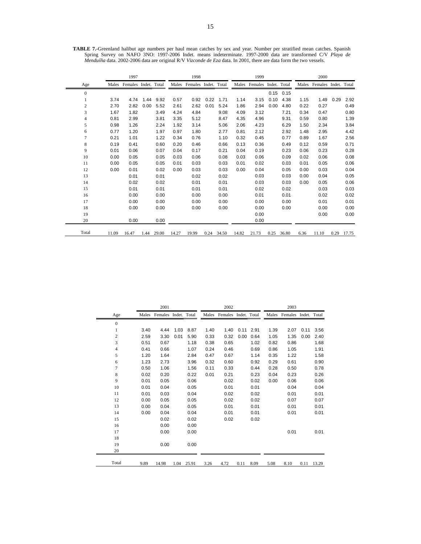|                | 1997  |                            |      |       |       | 1998                       |      |       |       | 1999                       |      |       |      | 2000                       |      |            |
|----------------|-------|----------------------------|------|-------|-------|----------------------------|------|-------|-------|----------------------------|------|-------|------|----------------------------|------|------------|
| Age            |       | Males Females Indet. Total |      |       |       | Males Females Indet. Total |      |       |       | Males Females Indet. Total |      |       |      | Males Females Indet. Total |      |            |
| $\mathbf{0}$   |       |                            |      |       |       |                            |      |       |       |                            | 0.15 | 0.15  |      |                            |      |            |
|                | 3.74  | 4.74                       | 1.44 | 9.92  | 0.57  | 0.92                       | 0.22 | 1.71  | 1.14  | 3.15                       | 0.10 | 4.38  | 1.15 | 1.49                       | 0.29 | 2.92       |
| $\overline{c}$ | 2.70  | 2.82                       | 0.00 | 5.52  | 2.61  | 2.62                       | 0.01 | 5.24  | 1.86  | 2.94                       | 0.00 | 4.80  | 0.22 | 0.27                       |      | 0.49       |
| 3              | 1.67  | 1.82                       |      | 3.49  | 4.24  | 4.84                       |      | 9.08  | 4.09  | 3.12                       |      | 7.21  | 0.34 | 0.47                       |      | 0.80       |
| 4              | 0.81  | 2.99                       |      | 3.81  | 3.35  | 5.12                       |      | 8.47  | 4.35  | 4.96                       |      | 9.31  | 0.59 | 0.80                       |      | 1.39       |
| 5              | 0.98  | 1.26                       |      | 2.24  | 1.92  | 3.14                       |      | 5.06  | 2.06  | 4.23                       |      | 6.29  | 1.50 | 2.34                       |      | 3.84       |
| 6              | 0.77  | 1.20                       |      | 1.97  | 0.97  | 1.80                       |      | 2.77  | 0.81  | 2.12                       |      | 2.92  | 1.48 | 2.95                       |      | 4.42       |
| 7              | 0.21  | 1.01                       |      | 1.22  | 0.34  | 0.76                       |      | 1.10  | 0.32  | 0.45                       |      | 0.77  | 0.89 | 1.67                       |      | 2.56       |
| 8              | 0.19  | 0.41                       |      | 0.60  | 0.20  | 0.46                       |      | 0.66  | 0.13  | 0.36                       |      | 0.49  | 0.12 | 0.59                       |      | 0.71       |
| 9              | 0.01  | 0.06                       |      | 0.07  | 0.04  | 0.17                       |      | 0.21  | 0.04  | 0.19                       |      | 0.23  | 0.06 | 0.23                       |      | 0.28       |
| 10             | 0.00  | 0.05                       |      | 0.05  | 0.03  | 0.06                       |      | 0.08  | 0.03  | 0.06                       |      | 0.09  | 0.02 | 0.06                       |      | 0.08       |
| 11             | 0.00  | 0.05                       |      | 0.05  | 0.01  | 0.03                       |      | 0.03  | 0.01  | 0.02                       |      | 0.03  | 0.01 | 0.05                       |      | 0.06       |
| 12             | 0.00  | 0.01                       |      | 0.02  | 0.00  | 0.03                       |      | 0.03  | 0.00  | 0.04                       |      | 0.05  | 0.00 | 0.03                       |      | 0.04       |
| 13             |       | 0.01                       |      | 0.01  |       | 0.02                       |      | 0.02  |       | 0.03                       |      | 0.03  | 0.00 | 0.04                       |      | 0.05       |
| 14             |       | 0.02                       |      | 0.02  |       | 0.01                       |      | 0.01  |       | 0.03                       |      | 0.03  | 0.00 | 0.05                       |      | 0.06       |
| 15             |       | 0.01                       |      | 0.01  |       | 0.01                       |      | 0.01  |       | 0.02                       |      | 0.02  |      | 0.03                       |      | 0.03       |
| 16             |       | 0.00                       |      | 0.00  |       | 0.00                       |      | 0.00  |       | 0.01                       |      | 0.01  |      | 0.02                       |      | 0.02       |
| 17             |       | 0.00                       |      | 0.00  |       | 0.00                       |      | 0.00  |       | 0.00                       |      | 0.00  |      | 0.01                       |      | 0.01       |
| 18             |       | 0.00                       |      | 0.00  |       | 0.00                       |      | 0.00  |       | 0.00                       |      | 0.00  |      | 0.00                       |      | 0.00       |
| 19             |       |                            |      |       |       |                            |      |       |       | 0.00                       |      |       |      | 0.00                       |      | 0.00       |
| 20             |       | 0.00                       |      | 0.00  |       |                            |      |       |       | 0.00                       |      |       |      |                            |      |            |
| Total          | 11.09 | 16.47                      | 1.44 | 29.00 | 14.27 | 19.99                      | 0.24 | 34.50 | 14.82 | 21.73                      | 0.25 | 36.80 | 6.36 | 11.10                      |      | 0.29 17.75 |

**TABLE 7.-**Greenland halibut age numbers per haul mean catches by sex and year. Number per stratified mean catches. Spanish Spring Survey on NAFO 3NO: 1997-2006 Indet. means indeterminate. 1997-2000 data are transformed C/V *Playa de Menduíña* data. 2002-2006 data are original R/V *Vizconde de Eza* data. In 2001, there are data form the two vessels.

|              |       | 2001                 |      |       |       | 2002                 |      |      |       | 2003                 |      |       |
|--------------|-------|----------------------|------|-------|-------|----------------------|------|------|-------|----------------------|------|-------|
| Age          | Males | Females Indet. Total |      |       | Males | Females Indet. Total |      |      | Males | Females Indet. Total |      |       |
| $\mathbf{0}$ |       |                      |      |       |       |                      |      |      |       |                      |      |       |
| 1            | 3.40  | 4.44                 | 1.03 | 8.87  | 1.40  | 1.40                 | 0.11 | 2.91 | 1.39  | 2.07                 | 0.11 | 3.56  |
| 2            | 2.59  | 3.30                 | 0.01 | 5.90  | 0.33  | 0.32                 | 0.00 | 0.64 | 1.05  | 1.35                 | 0.00 | 2.40  |
| 3            | 0.51  | 0.67                 |      | 1.18  | 0.38  | 0.65                 |      | 1.02 | 0.82  | 0.86                 |      | 1.68  |
| 4            | 0.41  | 0.66                 |      | 1.07  | 0.24  | 0.46                 |      | 0.69 | 0.86  | 1.05                 |      | 1.91  |
| 5            | 1.20  | 1.64                 |      | 2.84  | 0.47  | 0.67                 |      | 1.14 | 0.35  | 1.22                 |      | 1.58  |
| 6            | 1.23  | 2.73                 |      | 3.96  | 0.32  | 0.60                 |      | 0.92 | 0.29  | 0.61                 |      | 0.90  |
| 7            | 0.50  | 1.06                 |      | 1.56  | 0.11  | 0.33                 |      | 0.44 | 0.28  | 0.50                 |      | 0.78  |
| 8            | 0.02  | 0.20                 |      | 0.22  | 0.01  | 0.21                 |      | 0.23 | 0.04  | 0.23                 |      | 0.26  |
| 9            | 0.01  | 0.05                 |      | 0.06  |       | 0.02                 |      | 0.02 | 0.00  | 0.06                 |      | 0.06  |
| 10           | 0.01  | 0.04                 |      | 0.05  |       | 0.01                 |      | 0.01 |       | 0.04                 |      | 0.04  |
| 11           | 0.01  | 0.03                 |      | 0.04  |       | 0.02                 |      | 0.02 |       | 0.01                 |      | 0.01  |
| 12           | 0.00  | 0.05                 |      | 0.05  |       | 0.02                 |      | 0.02 |       | 0.07                 |      | 0.07  |
| 13           | 0.00  | 0.04                 |      | 0.05  |       | 0.01                 |      | 0.01 |       | 0.01                 |      | 0.01  |
| 14           | 0.00  | 0.04                 |      | 0.04  |       | 0.01                 |      | 0.01 |       | 0.01                 |      | 0.01  |
| 15           |       | 0.02                 |      | 0.02  |       | 0.02                 |      | 0.02 |       |                      |      |       |
| 16           |       | 0.00                 |      | 0.00  |       |                      |      |      |       |                      |      |       |
| 17           |       | 0.00                 |      | 0.00  |       |                      |      |      |       | 0.01                 |      | 0.01  |
| 18           |       |                      |      |       |       |                      |      |      |       |                      |      |       |
| 19           |       | 0.00                 |      | 0.00  |       |                      |      |      |       |                      |      |       |
| 20           |       |                      |      |       |       |                      |      |      |       |                      |      |       |
| Total        | 9.89  | 14.98                | 1.04 | 25.91 | 3.26  | 4.72                 | 0.11 | 8.09 | 5.08  | 8.10                 | 0.11 | 13.29 |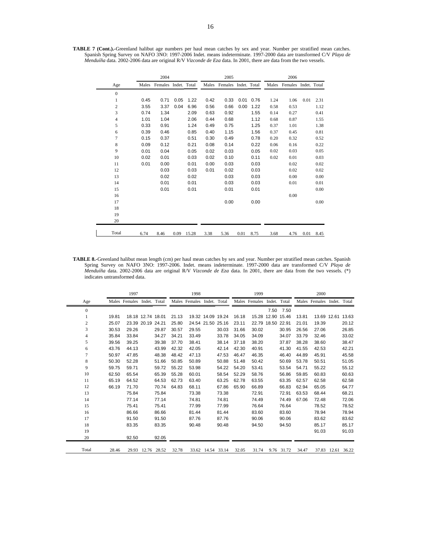**TABLE 7 (Cont.).-**Greenland halibut age numbers per haul mean catches by sex and year. Number per stratified mean catches. Spanish Spring Survey on NAFO 3NO: 1997-2006 Indet. means indeterminate. 1997-2000 data are transformed C/V *Playa de Menduíña* data. 2002-2006 data are original R/V *Vizconde de Eza* data. In 2001, there are data from the two vessels.

|                |      | 2004                       |      |       |      | 2005                       |      |      |      | 2006                       |      |      |
|----------------|------|----------------------------|------|-------|------|----------------------------|------|------|------|----------------------------|------|------|
| Age            |      | Males Females Indet. Total |      |       |      | Males Females Indet. Total |      |      |      | Males Females Indet. Total |      |      |
| $\mathbf{0}$   |      |                            |      |       |      |                            |      |      |      |                            |      |      |
| 1              | 0.45 | 0.71                       | 0.05 | 1.22  | 0.42 | 0.33                       | 0.01 | 0.76 | 1.24 | 1.06                       | 0.01 | 2.31 |
| 2              | 3.55 | 3.37                       | 0.04 | 6.96  | 0.56 | 0.66                       | 0.00 | 1.22 | 0.58 | 0.53                       |      | 1.12 |
| 3              | 0.74 | 1.34                       |      | 2.09  | 0.63 | 0.92                       |      | 1.55 | 0.14 | 0.27                       |      | 0.41 |
| 4              | 1.01 | 1.04                       |      | 2.06  | 0.44 | 0.68                       |      | 1.12 | 0.68 | 0.87                       |      | 1.55 |
| 5              | 0.33 | 0.91                       |      | 1.24  | 0.49 | 0.75                       |      | 1.25 | 0.37 | 1.01                       |      | 1.38 |
| 6              | 0.39 | 0.46                       |      | 0.85  | 0.40 | 1.15                       |      | 1.56 | 0.37 | 0.45                       |      | 0.81 |
| $\overline{7}$ | 0.15 | 0.37                       |      | 0.51  | 0.30 | 0.49                       |      | 0.78 | 0.20 | 0.32                       |      | 0.52 |
| 8              | 0.09 | 0.12                       |      | 0.21  | 0.08 | 0.14                       |      | 0.22 | 0.06 | 0.16                       |      | 0.22 |
| 9              | 0.01 | 0.04                       |      | 0.05  | 0.02 | 0.03                       |      | 0.05 | 0.02 | 0.03                       |      | 0.05 |
| 10             | 0.02 | 0.01                       |      | 0.03  | 0.02 | 0.10                       |      | 0.11 | 0.02 | 0.01                       |      | 0.03 |
| 11             | 0.01 | 0.00                       |      | 0.01  | 0.00 | 0.03                       |      | 0.03 |      | 0.02                       |      | 0.02 |
| 12             |      | 0.03                       |      | 0.03  | 0.01 | 0.02                       |      | 0.03 |      | 0.02                       |      | 0.02 |
| 13             |      | 0.02                       |      | 0.02  |      | 0.03                       |      | 0.03 |      | 0.00                       |      | 0.00 |
| 14             |      | 0.01                       |      | 0.01  |      | 0.03                       |      | 0.03 |      | 0.01                       |      | 0.01 |
| 15             |      | 0.01                       |      | 0.01  |      | 0.01                       |      | 0.01 |      |                            |      | 0.00 |
| 16             |      |                            |      |       |      |                            |      |      |      | 0.00                       |      |      |
| 17             |      |                            |      |       |      | 0.00                       |      | 0.00 |      |                            |      | 0.00 |
| 18             |      |                            |      |       |      |                            |      |      |      |                            |      |      |
| 19             |      |                            |      |       |      |                            |      |      |      |                            |      |      |
| 20             |      |                            |      |       |      |                            |      |      |      |                            |      |      |
| Total          | 6.74 | 8.46                       | 0.09 | 15.28 | 3.38 | 5.36                       | 0.01 | 8.75 | 3.68 | 4.76                       | 0.01 | 8.45 |

**TABLE 8.-**Greenland halibut mean length (cm) per haul mean catches by sex and year. Number per stratified mean catches. Spanish Spring Survey on NAFO 3NO: 1997-2006. Indet. means indeterminate. 1997-2000 data are transformed C/V *Playa de Menduíña* data. 2002-2006 data are original R/V *Vizconde de Eza* data. In 2001, there are data from the two vessels. (\*) indicates untransformed data.

|              | 1997  |               |                   |       |       | 1998                       |             |                   |       | 1999                       |      |                   |       | 2000                       |                   |             |
|--------------|-------|---------------|-------------------|-------|-------|----------------------------|-------------|-------------------|-------|----------------------------|------|-------------------|-------|----------------------------|-------------------|-------------|
| Age          |       | Males Females | Indet. Total      |       |       | Males Females Indet. Total |             |                   |       | Males Females Indet. Total |      |                   |       | Males Females Indet. Total |                   |             |
| $\mathbf{0}$ |       |               |                   |       |       |                            |             |                   |       |                            | 7.50 | 7.50              |       |                            |                   |             |
| 1            | 19.81 |               | 18.18 12.74 18.01 |       | 21.13 |                            |             | 19.32 14.09 19.24 | 16.18 |                            |      | 15.28 12.90 15.46 | 13.81 |                            | 13.69 12.61 13.63 |             |
| 2            | 25.07 |               | 23.39 20.19 24.21 |       | 25.80 |                            |             | 24.54 21.50 25.16 | 23.11 |                            |      | 22.79 18.50 22.91 | 21.01 | 19.39                      |                   | 20.12       |
| 3            | 30.53 | 29.26         |                   | 29.87 | 30.57 | 29.55                      |             | 30.03             | 31.66 | 30.02                      |      | 30.95             | 26.56 | 27.06                      |                   | 26.85       |
| 4            | 35.84 | 33.84         |                   | 34.27 | 34.21 | 33.49                      |             | 33.78             | 34.05 | 34.09                      |      | 34.07             | 33.79 | 32.46                      |                   | 33.02       |
| 5            | 39.56 | 39.25         |                   | 39.38 | 37.70 | 38.41                      |             | 38.14             | 37.18 | 38.20                      |      | 37.87             | 38.28 | 38.60                      |                   | 38.47       |
| 6            | 43.76 | 44.13         |                   | 43.99 | 42.32 | 42.05                      |             | 42.14             | 42.30 | 40.91                      |      | 41.30             | 41.55 | 42.53                      |                   | 42.21       |
| 7            | 50.97 | 47.85         |                   | 48.38 | 48.42 | 47.13                      |             | 47.53             | 46.47 | 46.35                      |      | 46.40             | 44.89 | 45.91                      |                   | 45.58       |
| 8            | 50.30 | 52.28         |                   | 51.66 | 50.85 | 50.89                      |             | 50.88             | 51.48 | 50.42                      |      | 50.69             | 53.78 | 50.51                      |                   | 51.05       |
| 9            | 59.75 | 59.71         |                   | 59.72 | 55.22 | 53.98                      |             | 54.22             | 54.20 | 53.41                      |      | 53.54             | 54.71 | 55.22                      |                   | 55.12       |
| 10           | 62.50 | 65.54         |                   | 65.39 | 55.28 | 60.01                      |             | 58.54             | 52.29 | 58.76                      |      | 56.86             | 59.85 | 60.83                      |                   | 60.63       |
| 11           | 65.19 | 64.52         |                   | 64.53 | 62.73 | 63.40                      |             | 63.25             | 62.78 | 63.55                      |      | 63.35             | 62.57 | 62.58                      |                   | 62.58       |
| 12           | 66.19 | 71.70         |                   | 70.74 | 64.83 | 68.11                      |             | 67.86             | 65.90 | 66.89                      |      | 66.83             | 62.94 | 65.05                      |                   | 64.77       |
| 13           |       | 75.84         |                   | 75.84 |       | 73.38                      |             | 73.38             |       | 72.91                      |      | 72.91             | 63.53 | 68.44                      |                   | 68.21       |
| 14           |       | 77.14         |                   | 77.14 |       | 74.81                      |             | 74.81             |       | 74.49                      |      | 74.49             | 67.06 | 72.48                      |                   | 72.06       |
| 15           |       | 75.41         |                   | 75.41 |       | 77.99                      |             | 77.99             |       | 76.64                      |      | 76.64             |       | 78.52                      |                   | 78.52       |
| 16           |       | 86.66         |                   | 86.66 |       | 81.44                      |             | 81.44             |       | 83.60                      |      | 83.60             |       | 78.94                      |                   | 78.94       |
| 17           |       | 91.50         |                   | 91.50 |       | 87.76                      |             | 87.76             |       | 90.06                      |      | 90.06             |       | 83.62                      |                   | 83.62       |
| 18           |       | 83.35         |                   | 83.35 |       | 90.48                      |             | 90.48             |       | 94.50                      |      | 94.50             |       | 85.17                      |                   | 85.17       |
| 19           |       |               |                   |       |       |                            |             |                   |       |                            |      |                   |       | 91.03                      |                   | 91.03       |
| 20           |       | 92.50         |                   | 92.05 |       |                            |             |                   |       |                            |      |                   |       |                            |                   |             |
| Total        | 28.46 |               | 29.93 12.76       | 28.52 | 32.78 |                            | 33.62 14.54 | 33.14             | 32.05 | 31.74                      |      | 9.76 31.72        | 34.47 | 37.83                      |                   | 12.61 36.22 |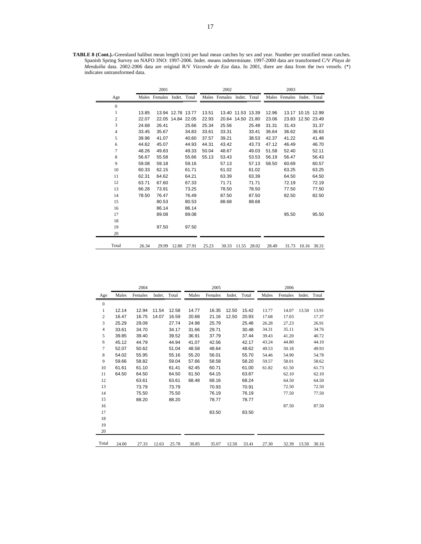**TABLE 8 (Cont.).-**Greenland halibut mean length (cm) per haul mean catches by sex and year. Number per stratified mean catches. Spanish Spring Survey on NAFO 3NO: 1997-2006. Indet. means indeterminate. 1997-2000 data are transformed C/V *Playa de Menduíña* data. 2002-2006 data are original R/V *Vizconde de Eza* data. In 2001, there are data from the two vessels. (\*) indicates untransformed data.

|                  |       | 2001          |                   |       |       | 2002          |                   |       |       | 2003          |                   |             |
|------------------|-------|---------------|-------------------|-------|-------|---------------|-------------------|-------|-------|---------------|-------------------|-------------|
| Age              |       | Males Females | Indet. Total      |       |       | Males Females | Indet. Total      |       |       | Males Females | Indet. Total      |             |
| $\boldsymbol{0}$ |       |               |                   |       |       |               |                   |       |       |               |                   |             |
| 1                | 13.85 |               | 13.94 12.78 13.77 |       | 13.51 |               | 13.40 11.53 13.39 |       | 12.96 |               | 13.17 10.15 12.99 |             |
| $\overline{c}$   | 22.07 |               | 22.05 14.84 22.05 |       | 22.93 |               | 20.64 14.50 21.80 |       | 23.06 |               | 23.83 12.50 23.49 |             |
| 3                | 24.68 | 26.41         |                   | 25.66 | 25.34 | 25.56         |                   | 25.48 | 31.31 | 31.43         |                   | 31.37       |
| $\overline{4}$   | 33.45 | 35.67         |                   | 34.83 | 33.61 | 33.31         |                   | 33.41 | 36.64 | 36.62         |                   | 36.63       |
| 5                | 39.96 | 41.07         |                   | 40.60 | 37.57 | 39.21         |                   | 38.53 | 42.37 | 41.22         |                   | 41.48       |
| 6                | 44.62 | 45.07         |                   | 44.93 | 44.31 | 43.42         |                   | 43.73 | 47.12 | 46.49         |                   | 46.70       |
| 7                | 48.26 | 49.83         |                   | 49.33 | 50.04 | 48.67         |                   | 49.03 | 51.58 | 52.40         |                   | 52.11       |
| 8                | 56.67 | 55.58         |                   | 55.66 | 55.13 | 53.43         |                   | 53.53 | 56.19 | 56.47         |                   | 56.43       |
| 9                | 59.08 | 59.18         |                   | 59.16 |       | 57.13         |                   | 57.13 | 58.50 | 60.69         |                   | 60.57       |
| 10               | 60.33 | 62.15         |                   | 61.71 |       | 61.02         |                   | 61.02 |       | 63.25         |                   | 63.25       |
| 11               | 62.31 | 64.62         |                   | 64.21 |       | 63.39         |                   | 63.39 |       | 64.50         |                   | 64.50       |
| 12               | 63.71 | 67.60         |                   | 67.33 |       | 71.71         |                   | 71.71 |       | 72.19         |                   | 72.19       |
| 13               | 66.28 | 73.91         |                   | 73.25 |       | 78.50         |                   | 78.50 |       | 77.50         |                   | 77.50       |
| 14               | 78.50 | 76.47         |                   | 76.49 |       | 87.50         |                   | 87.50 |       | 82.50         |                   | 82.50       |
| 15               |       | 80.53         |                   | 80.53 |       | 88.68         |                   | 88.68 |       |               |                   |             |
| 16               |       | 86.14         |                   | 86.14 |       |               |                   |       |       |               |                   |             |
| 17               |       | 89.08         |                   | 89.08 |       |               |                   |       |       | 95.50         |                   | 95.50       |
| 18               |       |               |                   |       |       |               |                   |       |       |               |                   |             |
| 19               |       | 97.50         |                   | 97.50 |       |               |                   |       |       |               |                   |             |
| 20               |       |               |                   |       |       |               |                   |       |       |               |                   |             |
| Total            | 26.34 | 29.99         | 12.80             | 27.91 | 25.23 | 30.33         | 11.55             | 28.02 | 28.49 | 31.73         |                   | 10.16 30.31 |

|                  |       | 2004    |        |       |       | 2005    |        |       |       | 2006    |              |       |
|------------------|-------|---------|--------|-------|-------|---------|--------|-------|-------|---------|--------------|-------|
| Age              | Males | Females | Indet. | Total | Males | Females | Indet. | Total | Males | Females | Indet. Total |       |
| $\boldsymbol{0}$ |       |         |        |       |       |         |        |       |       |         |              |       |
| $\mathbf{1}$     | 12.14 | 12.94   | 11.54  | 12.58 | 14.77 | 16.35   | 12.50  | 15.42 | 13.77 | 14.07   | 13.50        | 13.91 |
| $\overline{c}$   | 16.47 | 16.75   | 14.07  | 16.59 | 20.68 | 21.16   | 12.50  | 20.93 | 17.68 | 17.03   |              | 17.37 |
| 3                | 25.29 | 29.09   |        | 27.74 | 24.98 | 25.79   |        | 25.46 | 26.28 | 27.23   |              | 26.91 |
| $\overline{4}$   | 33.61 | 34.70   |        | 34.17 | 31.66 | 29.71   |        | 30.48 | 34.31 | 35.11   |              | 34.76 |
| 5                | 39.85 | 39.40   |        | 39.52 | 36.91 | 37.79   |        | 37.44 | 39.43 | 41.20   |              | 40.72 |
| 6                | 45.12 | 44.79   |        | 44.94 | 41.07 | 42.56   |        | 42.17 | 43.24 | 44.80   |              | 44.10 |
| $\tau$           | 52.07 | 50.62   |        | 51.04 | 48.58 | 48.64   |        | 48.62 | 49.53 | 50.18   |              | 49.93 |
| 8                | 54.02 | 55.95   |        | 55.16 | 55.20 | 56.01   |        | 55.70 | 54.46 | 54.90   |              | 54.78 |
| 9                | 59.66 | 58.82   |        | 59.04 | 57.66 | 58.58   |        | 58.20 | 59.57 | 58.01   |              | 58.62 |
| 10               | 61.61 | 61.10   |        | 61.41 | 62.45 | 60.71   |        | 61.00 | 61.82 | 61.50   |              | 61.73 |
| 11               | 64.50 | 64.50   |        | 64.50 | 61.50 | 64.15   |        | 63.87 |       | 62.10   |              | 62.10 |
| 12               |       | 63.61   |        | 63.61 | 68.48 | 68.16   |        | 68.24 |       | 64.50   |              | 64.50 |
| 13               |       | 73.79   |        | 73.79 |       | 70.93   |        | 70.91 |       | 72.50   |              | 72.50 |
| 14               |       | 75.50   |        | 75.50 |       | 76.19   |        | 76.19 |       | 77.50   |              | 77.50 |
| 15               |       | 88.20   |        | 88.20 |       | 78.77   |        | 78.77 |       |         |              |       |
| 16               |       |         |        |       |       |         |        |       |       | 87.50   |              | 87.50 |
| 17               |       |         |        |       |       | 83.50   |        | 83.50 |       |         |              |       |
| 18               |       |         |        |       |       |         |        |       |       |         |              |       |
| 19               |       |         |        |       |       |         |        |       |       |         |              |       |
| 20               |       |         |        |       |       |         |        |       |       |         |              |       |
| Total            | 24.00 | 27.33   | 12.63  | 25.78 | 30.85 | 35.07   | 12.50  | 33.41 | 27.30 | 32.39   | 13.50        | 30.16 |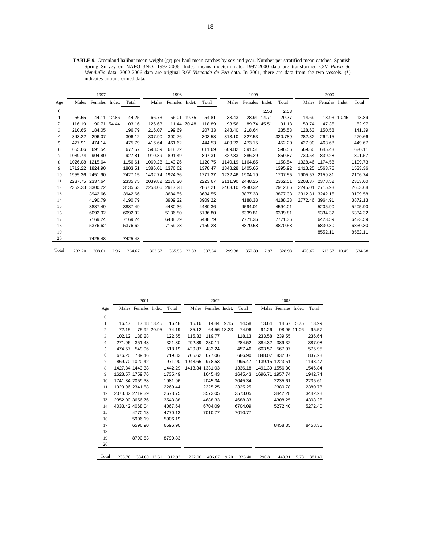**TABLE 9.-**Greenland halibut mean weight (gr) per haul mean catches by sex and year. Number per stratified mean catches. Spanish Spring Survey on NAFO 3NO: 1997-2006. Indet. means indeterminate. 1997-2000 data are transformed C/V *Playa de Menduíña* data. 2002-2006 data are original R/V *Vizconde de Eza* data. In 2001, there are data from the two vessels. (\*) indicates untransformed data.

|                |                 | 1997           |       |         |         | 1998            |         |         | 1999            |        |         |                 | 2000            |        |         |
|----------------|-----------------|----------------|-------|---------|---------|-----------------|---------|---------|-----------------|--------|---------|-----------------|-----------------|--------|---------|
| Age            | Males           | Females Indet. |       | Total   | Males   | Females Indet.  | Total   | Males   | Females         | Indet. | Total   | Males           | Females         | Indet. | Total   |
| $\mathbf{0}$   |                 |                |       |         |         |                 |         |         |                 | 2.53   | 2.53    |                 |                 |        |         |
|                | 56.55           | 44.11 12.86    |       | 44.25   | 66.73   | 56.01 19.75     | 54.81   | 33.43   | 28.91 14.71     |        | 29.77   | 14.69           | 13.93 10.45     |        | 13.89   |
| 2              | 116.19          | 90.71          | 54.44 | 103.16  | 126.63  | 111.44 70.48    | 118.89  | 93.56   | 89.74 45.51     |        | 91.18   | 59.74           | 47.35           |        | 52.97   |
| 3              | 210.65          | 184.05         |       | 196.79  | 216.07  | 199.69          | 207.33  | 248.40  | 218.64          |        | 235.53  | 128.63          | 150.58          |        | 141.39  |
| $\overline{4}$ | 343.22          | 296.07         |       | 306.12  | 307.90  | 300.76          | 303.58  | 313.10  | 327.53          |        | 320.789 | 282.32          | 262.15          |        | 270.66  |
| 5              | 477.91          | 474.14         |       | 475.79  | 416.64  | 461.62          | 444.53  | 409.22  | 473.15          |        | 452.20  | 427.90          | 463.68          |        | 449.67  |
| 6              | 655.66          | 691.54         |       | 677.57  | 598.59  | 618.72          | 611.69  | 609.82  | 591.51          |        | 596.56  | 569.60          | 645.43          |        | 620.11  |
| 7              | 1039.74         | 904.80         |       | 927.81  | 910.39  | 891.49          | 897.31  | 822.33  | 886.29          |        | 859.87  | 730.54          | 839.28          |        | 801.57  |
| 8              | 1026.08         | 1215.64        |       | 1156.61 | 1069.28 | 1143.26         | 1120.75 | 1140.19 | 1164.85         |        | 1158.54 | 1328.46         | 1174.58         |        | 1199.73 |
| 9              | 1712.22 1824.90 |                |       | 1803.51 |         | 1386.01 1376.62 | 1378.47 | 1348.28 | 1405.65         |        | 1395.92 | 1413.25         | 1563.75         |        | 1533.36 |
| 10             | 1955.36         | 2451.90        |       | 2427.15 |         | 1432.74 1924.36 | 1771.37 | 1232.46 | 1904.19         |        | 1707.55 | 1905.57 2159.81 |                 |        | 2106.74 |
| 11             | 2237.75 2337.64 |                |       | 2335.75 |         | 2039.82 2276.20 | 2223.67 |         | 2111.90 2448.25 |        | 2362.51 |                 | 2208.37 2378.52 |        | 2363.60 |
| 12             | 2352.23         | 3300.22        |       | 3135.63 | 2253.06 | 2917.28         | 2867.21 | 2463.10 | 2940.32         |        | 2912.86 | 2245.01         | 2715.93         |        | 2653.68 |
| 13             |                 | 3942.66        |       | 3942.66 |         | 3684.55         | 3684.55 |         | 3877.33         |        | 3877.33 | 2312.31 3242.15 |                 |        | 3199.58 |
| 14             |                 | 4190.79        |       | 4190.79 |         | 3909.22         | 3909.22 |         | 4188.33         |        | 4188.33 | 2772.46         | 3964.91         |        | 3872.13 |
| 15             |                 | 3887.49        |       | 3887.49 |         | 4480.36         | 4480.36 |         | 4594.01         |        | 4594.01 |                 | 5205.90         |        | 5205.90 |
| 16             |                 | 6092.92        |       | 6092.92 |         | 5136.80         | 5136.80 |         | 6339.81         |        | 6339.81 |                 | 5334.32         |        | 5334.32 |
| 17             |                 | 7169.24        |       | 7169.24 |         | 6438.79         | 6438.79 |         | 7771.36         |        | 7771.36 |                 | 6423.59         |        | 6423.59 |
| 18             |                 | 5376.62        |       | 5376.62 |         | 7159.28         | 7159.28 |         | 8870.58         |        | 8870.58 |                 | 6830.30         |        | 6830.30 |
| 19             |                 |                |       |         |         |                 |         |         |                 |        |         |                 | 8552.11         |        | 8552.11 |
| 20             |                 | 7425.48        |       | 7425.48 |         |                 |         |         |                 |        |         |                 |                 |        |         |
| Total          | 232.20          | 308.61 12.96   |       | 264.67  | 303.57  | 365.55 22.83    | 337.54  | 299.38  | 352.89          | 7.97   | 328.98  | 420.62          | 613.57          | 10.45  | 534.68  |

|              |                 | 2001                 |             |         |                 | 2002                 |            |         |                 | 2003                 |      |         |
|--------------|-----------------|----------------------|-------------|---------|-----------------|----------------------|------------|---------|-----------------|----------------------|------|---------|
| Age          |                 | Males Females Indet. |             | Total   |                 | Males Females Indet. |            | Total   |                 | Males Females Indet. |      | Total   |
| $\mathbf{0}$ |                 |                      |             |         |                 |                      |            |         |                 |                      |      |         |
| 1            | 16.47           |                      | 17.18 13.45 | 16.48   | 15.16           |                      | 14.44 9.15 | 14.58   | 13.64           | 14.67 5.75           |      | 13.99   |
| 2            | 72.15           |                      | 75.92 20.95 | 74.19   | 85.12           | 64.56 18.23          |            | 74.96   | 91.26           | 98.95 11.06          |      | 95.57   |
| 3            | 102.12          | 138.28               |             | 122.55  | 115.32          | 119.77               |            | 118.13  | 233.58          | 239.55               |      | 236.64  |
| 4            | 271.96          | 351.48               |             | 321.30  | 292.89          | 280.11               |            | 284.52  | 384.32          | 389.32               |      | 387.08  |
| 5            | 474.57          | 549.96               |             | 518.19  | 420.87          | 483.24               |            | 457.46  | 603.57          | 567.97               |      | 575.95  |
| 6            | 676.20          | 739.46               |             | 719.83  | 705.62          | 677.06               |            | 686.90  | 848.07          | 832.07               |      | 837.28  |
| 7            |                 | 869.70 1020.42       |             | 971.90  | 1043.65         | 978.53               |            | 995.47  | 1139.15 1223.51 |                      |      | 1193.47 |
| 8            | 1427.84 1443.38 |                      |             | 1442.29 | 1413.34 1331.03 |                      |            | 1336.18 |                 | 1491.39 1556.30      |      | 1546.84 |
| 9            | 1628.57 1759.76 |                      |             | 1735.49 |                 | 1645.43              |            | 1645.43 |                 | 1696.71 1957.74      |      | 1942.74 |
| 10           | 1741.34 2059.38 |                      |             | 1981.96 |                 | 2045.34              |            | 2045.34 |                 | 2235.61              |      | 2235.61 |
| 11           | 1929.96 2341.88 |                      |             | 2269.44 |                 | 2325.25              |            | 2325.25 |                 | 2380.78              |      | 2380.78 |
| 12           | 2073.82 2719.39 |                      |             | 2673.75 |                 | 3573.05              |            | 3573.05 |                 | 3442.28              |      | 3442.28 |
| 13           | 2352.00 3656.76 |                      |             | 3543.88 |                 | 4688.33              |            | 4688.33 |                 | 4308.25              |      | 4308.25 |
| 14           | 4033.42 4068.04 |                      |             | 4067.64 |                 | 6704.09              |            | 6704.09 |                 | 5272.40              |      | 5272.40 |
| 15           |                 | 4770.13              |             | 4770.13 |                 | 7010.77              |            | 7010.77 |                 |                      |      |         |
| 16           |                 | 5906.19              |             | 5906.19 |                 |                      |            |         |                 |                      |      |         |
| 17           |                 | 6596.90              |             | 6596.90 |                 |                      |            |         |                 | 8458.35              |      | 8458.35 |
| 18           |                 |                      |             |         |                 |                      |            |         |                 |                      |      |         |
| 19           |                 | 8790.83              |             | 8790.83 |                 |                      |            |         |                 |                      |      |         |
| 20           |                 |                      |             |         |                 |                      |            |         |                 |                      |      |         |
| Total        | 235.78          | 384.60 13.51         |             | 312.93  | 222.00          | 406.07               | 9.20       | 326.40  | 290.81          | 443.31               | 5.78 | 381.40  |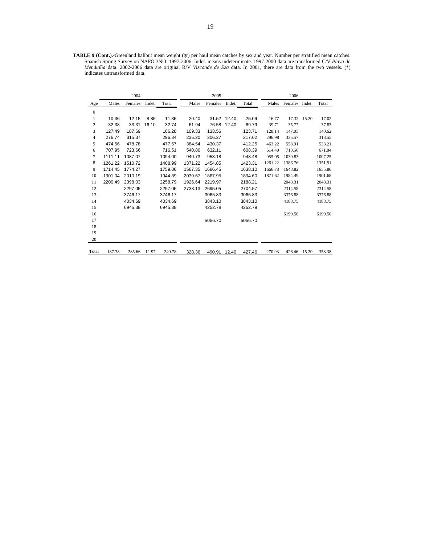**TABLE 9 (Cont.).-**Greenland halibut mean weight (gr) per haul mean catches by sex and year. Number per stratified mean catches. Spanish Spring Survey on NAFO 3NO: 1997-2006. Indet. means indeterminate. 1997-2000 data are transformed C/V *Playa de Menduíña* data. 2002-2006 data are original R/V *Vizconde de Eza* data. In 2001, there are data from the two vessels. (\*) indicates untransformed data.

|                  |         | 2004    |        |         |         | 2005    |             |         |         | 2006           |       |         |
|------------------|---------|---------|--------|---------|---------|---------|-------------|---------|---------|----------------|-------|---------|
| Age              | Males   | Females | Indet. | Total   | Males   | Females | Indet.      | Total   | Males   | Females Indet. |       | Total   |
| $\boldsymbol{0}$ |         |         |        |         |         |         |             |         |         |                |       |         |
| $\mathbf{1}$     | 10.36   | 12.15   | 8.85   | 11.35   | 20.40   |         | 31.52 12.40 | 25.09   | 16.77   | 17.32          | 15.20 | 17.02   |
| $\sqrt{2}$       | 32.38   | 33.31   | 16.10  | 32.74   | 61.94   | 76.58   | 12.40       | 69.79   | 39.71   | 35.77          |       | 37.83   |
| 3                | 127.49  | 187.69  |        | 166.28  | 109.33  | 133.56  |             | 123.71  | 128.14  | 147.05         |       | 140.62  |
| $\overline{4}$   | 276.74  | 315.37  |        | 296.34  | 235.20  | 206.27  |             | 217.62  | 296.98  | 335.57         |       | 318.55  |
| 5                | 474.56  | 478.78  |        | 477.67  | 384.54  | 430.37  |             | 412.25  | 463.22  | 558.91         |       | 533.21  |
| 6                | 707.95  | 723.66  |        | 716.51  | 540.86  | 632.11  |             | 608.39  | 614.40  | 718.56         |       | 671.84  |
| $\tau$           | 1111.11 | 1087.07 |        | 1094.00 | 940.73  | 953.18  |             | 948.48  | 955.05  | 1039.83        |       | 1007.25 |
| 8                | 1261.22 | 1510.72 |        | 1408.99 | 1371.22 | 1454.85 |             | 1423.31 | 1261.22 | 1386.76        |       | 1351.91 |
| 9                | 1714.45 | 1774.27 |        | 1759.06 | 1567.35 | 1686.45 |             | 1638.10 | 1666.78 | 1648.82        |       | 1655.80 |
| 10               | 1901.04 | 2010.19 |        | 1944.89 | 2030.67 | 1867.95 |             | 1894.60 | 1871.62 | 1984.49        |       | 1901.68 |
| 11               | 2200.49 | 2398.03 |        | 2258.79 | 1926.64 | 2219.97 |             | 2188.21 |         | 2048.31        |       | 2048.31 |
| 12               |         | 2297.05 |        | 2297.05 | 2733.13 | 2695.05 |             | 2704.57 |         | 2314.58        |       | 2314.58 |
| 13               |         | 3746.17 |        | 3746.17 |         | 3065.83 |             | 3065.83 |         | 3376.88        |       | 3376.88 |
| 14               |         | 4034.69 |        | 4034.69 |         | 3843.10 |             | 3843.10 |         | 4188.75        |       | 4188.75 |
| 15               |         | 6945.38 |        | 6945.38 |         | 4252.78 |             | 4252.79 |         |                |       |         |
| 16               |         |         |        |         |         |         |             |         |         | 6199.50        |       | 6199.50 |
| 17               |         |         |        |         |         | 5056.70 |             | 5056.70 |         |                |       |         |
| 18               |         |         |        |         |         |         |             |         |         |                |       |         |
| 19               |         |         |        |         |         |         |             |         |         |                |       |         |
| 20               |         |         |        |         |         |         |             |         |         |                |       |         |
| Total            | 187.38  | 285.66  | 11.97  | 240.78  | 328.36  | 490.91  | 12.40       | 427.46  | 270.93  | 426.46 15.20   |       | 358.38  |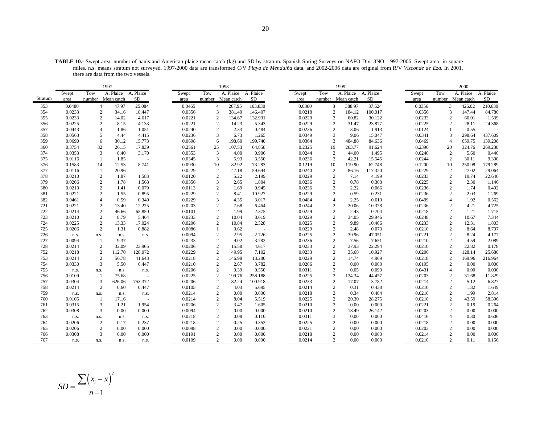**TABLE 10.-** Swept area, number of hauls and American plaice mean catch (kg) and SD by stratum. Spanish Spring Surveys on NAFO Div. 3NO: 1997-2006. Swept area in square miles. n.s. means stratum not surveyed. 1997-2000 data are transformed C/V *Playa de Menduíña* data, and 2002-2006 data are original from R/V *Vizconde de Eza*. In 2001, there are data from the two vessels.

|            |                  |                | 1997            |                   |                  |                                  | 1998           |                |       |                  |        | 1999                                  |                  |                  |     | 2000                                   |                 |
|------------|------------------|----------------|-----------------|-------------------|------------------|----------------------------------|----------------|----------------|-------|------------------|--------|---------------------------------------|------------------|------------------|-----|----------------------------------------|-----------------|
|            | Swept            | Tow            | A. Plaice       | A. Plaice         | Swept            | Tow                              | A. Plaice      | A. Plaice      | Swept |                  | Tow    | A. Plaice                             | A. Plaice        | Swept            | Tow | A. Plaice                              | A. Plaice       |
| Stratum    | area             | number         | Mean catch      | SD                | area             | number                           | Mean catch     | <b>SD</b>      | area  |                  | number | Mean catch                            | SD               | area             |     | number Mean catch                      | SD              |
| 353        | 0.0480           | $\overline{4}$ | 47.97           | 25.084            | 0.0465           | $\overline{4}$                   | 267.95         | 103.830        |       | 0.0360           |        | 3<br>388.97                           | 37.624           | 0.0356           |     | $\overline{3}$<br>426.02               | 210.639         |
| 354        | 0.0233           | $\mathbf{2}$   | 34.16           | 18.447            | 0.0356           | $\overline{3}$                   | 381.49         | 146.407        |       | 0.0218           |        | 2<br>184.12                           | 100.017          | 0.0356           |     | 3<br>147.44                            | 84.780          |
| 355        | 0.0233           | $\mathbf{2}$   | 14.02           | 4.617             | 0.0221           | $\overline{2}$                   | 134.67         | 132.931        |       | 0.0229           |        | 60.82<br>$\overline{2}$               | 30.122           | 0.0233           |     | $\overline{c}$<br>60.01                | 1.539           |
| 356        | 0.0225           | 2              | 8.15            | 4.133             | 0.0221           | $\overline{2}$                   | 14.23          | 5.343          |       | 0.0229           |        | 2<br>31.47                            | 23.877           | 0.0225           |     | $\overline{2}$<br>28.11                | 24.368          |
| 357        | 0.0443           | $\overline{4}$ | 1.86            | 1.051             | 0.0240           | 2                                | 2.33           | 0.484          |       | 0.0236           |        | 2<br>3.06                             | 1.913            | 0.0124           |     | 0.55                                   |                 |
| 358        | 0.0563           | 5              | 4.44            | 4.415             | 0.0236           | 3                                | 6.73           | 1.265          |       | 0.0349           |        | 3<br>9.06                             | 15.047           | 0.0341           |     | 3<br>298.64                            | 437.609         |
| 359        | 0.0690           | 6              | 30.12           | 15.773            | 0.0698           | 6                                | 198.60         | 199.740        |       | 0.0364           |        | 3<br>484.88                           | 84.636           | 0.0469           |     | $\overline{4}$<br>659.75               | 139.208         |
| 360        | 0.3754           | 32             | 26.15           | 17.839            | 0.2561           | 25                               | 107.53         | 64.858         |       | 0.2325           | 19     | 263.77                                | 91.624           | 0.2396           |     | 20<br>324.76                           | 269.238         |
| 374        | 0.0353           | 3              | 8.40            | 3.170             | 0.0353           | $\overline{3}$                   | 4.00           | 0.906          |       | 0.0244           |        | 2<br>44.00                            | 1.495            | 0.0240           |     | 2<br>5.60                              | 0.440           |
| 375        | 0.0116           | $\mathbf{1}$   | 1.85            | $\sim$            | 0.0345           | $\overline{3}$                   | 5.93           | 3.550          |       | 0.0236           |        | 2<br>42.21                            | 15.545           | 0.0244           |     | 2<br>30.11                             | 9.300           |
| 376        | 0.1583           | 14             | 12.53           | 8.741             | 0.0930           | 10                               | 82.92          | 73.283         |       | 0.1219           | 10     | 119.90                                | 62.748           | 0.1200           |     | 10<br>250.98                           | 179.289         |
| 377        | 0.0116           | $\mathbf{1}$   | 20.96           |                   | 0.0229           | 2                                | 47.18          | 59.694         |       | 0.0240           |        | 2<br>86.16                            | 117.320          | 0.0229           |     | 27.02<br>2                             | 29.064          |
| 378        | 0.0210           | $\mathbf{2}$   | 1.87            | 1.583             | 0.0120           | $\overline{c}$                   | 5.22           | 2.199          |       | 0.0229           |        | 2<br>7.14                             | 4.199            | 0.0233           |     | $\overline{2}$<br>19.74                | 22.646          |
| 379        | 0.0206           | $\mathbf{2}$   | 1.78            | 1.568             | 0.0356           | $\overline{3}$                   | 2.65           | 1.804          |       | 0.0236           |        | $\overline{2}$<br>0.78                | 0.308            | 0.0225           |     | $\overline{2}$<br>2.30                 | 1.146           |
| 380        | 0.0210           | $\mathbf{2}$   | 1.41            | 0.079             | 0.0113           | $\overline{c}$                   | 1.69           | 0.945          |       | 0.0236           |        | 2.22<br>2                             | 0.066            | 0.0236           |     | $\overline{2}$<br>1.74                 | 0.402           |
| 381        | 0.0221           | $\mathbf{2}$   | 1.55            | 0.895             | 0.0229           | $\overline{2}$                   | 8.41           | 10.927         |       | 0.0229           |        | 2<br>0.59                             | 0.231            | 0.0236           |     | $\overline{2}$<br>2.03                 | 1.269           |
| 382        | 0.0461           | $\overline{4}$ | 0.59            | 0.340             | 0.0229           | 3                                | 4.35           | 3.017          |       | 0.0484           |        | 2.25<br>$\overline{4}$                | 0.610            | 0.0499           |     | $\overline{4}$<br>1.92                 | 0.562           |
| 721        | 0.0221           | $\mathbf{2}$   | 13.40           | 12.225            | 0.0203           | $\overline{2}$                   | 7.68           | 6.464          |       | 0.0244           |        | $\overline{2}$<br>20.06               | 10.378           | 0.0236           |     | $\overline{2}$<br>4.21                 | 4.725           |
| 722        | 0.0214           | $\overline{c}$ | 46.66           | 65.850            | 0.0101           | $\overline{c}$                   | 1.99           | 2.375          |       | 0.0229           |        | $\mathbf{2}$<br>2.43                  | 0.704            | 0.0218           |     | $\overline{2}$<br>1.21                 | 1.715           |
| 723        | 0.0210           | $\overline{c}$ | 8.79            | 5.464             | 0.0233           | $\overline{2}$                   | 10.04          | 8.619          |       | 0.0229           |        | $\overline{2}$<br>34.05               | 29.946           | 0.0248           |     | $\overline{2}$<br>10.67                | 7.344           |
| 724        | 0.0225           | $\mathbf{2}$   | 13.33           | 17.024            | 0.0206           | $\overline{c}$                   | 10.84          | 2.528          |       | 0.0225           |        | 9.89<br>2                             | 10.466           | 0.0233           |     | $\overline{2}$<br>12.31                | 1.803           |
| 725        | 0.0206           | 2              | 1.31            | 0.882             | 0.0086           |                                  | 0.62           | $\sim$         |       | 0.0229           |        | 2<br>2.48                             | 0.073            | 0.0210           |     | $\overline{2}$<br>8.64                 | 8.707           |
| 726        | n.s.             | n.s.           | n.s.            | n.s.              | 0.0094           | $\overline{2}$                   | 2.95           | 2.726          |       | 0.0225           |        | $\overline{2}$<br>39.96               | 47.051           | 0.0221           |     | $\overline{2}$<br>8.24                 | 4.177           |
| 727        | 0.0094           | 1              | 9.37            |                   | 0.0233           | $\overline{2}$                   | 9.02           | 3.782          |       | 0.0236           |        | 2<br>7.56                             | 7.651            | 0.0210           |     | $\overline{2}$<br>4.59                 | 2.089           |
| 728<br>752 | 0.0214<br>0.0218 | 2<br>2         | 32.09<br>112.70 | 23.965<br>128.072 | 0.0206<br>0.0229 | $\overline{c}$<br>$\overline{c}$ | 15.58<br>49.95 | 4.617<br>7.102 |       | 0.0233<br>0.0233 |        | $\overline{2}$<br>37.93<br>2<br>35.68 | 22.294<br>10.927 | 0.0210<br>0.0206 |     | $\overline{c}$<br>22.82<br>2<br>128.14 | 0.178<br>25.680 |
| 753        | 0.0214           | 2              | 56.78           | 41.643            | 0.0218           | $\overline{c}$                   | 146.98         | 13.280         |       | 0.0229           |        | 2<br>14.74                            | 4.969            | 0.0218           |     | 2<br>169.96                            | 216.964         |
| 754        | 0.0330           | 3              | 5.50            | 6.447             | 0.0210           | $\overline{c}$                   | 2.67           | 3.782          |       | 0.0206           |        | $\overline{2}$<br>0.00                | 0.000            | 0.0195           |     | 2<br>0.00                              | 0.000           |
| 755        | n.s.             | n.s.           | n.s.            |                   | 0.0206           | $\overline{c}$                   | 0.39           | 0.550          |       | 0.0311           |        | 3<br>0.05                             | 0.090            | 0.0431           |     | $\overline{4}$<br>0.00                 | 0.000           |
| 756        | 0.0109           | 1              | 75.68           | n.s.              | 0.0225           | $\overline{c}$                   | 199.76         | 258.188        |       | 0.0225           |        | 2<br>124.34                           | 44.457           | 0.0203           |     | $\overline{2}$<br>31.68                | 11.829          |
| 757        | 0.0304           | 3              | 626.06          | 753.372           | 0.0206           | $\overline{c}$                   | 82.24          | 100.918        |       | 0.0233           |        | $\overline{2}$<br>17.07               | 3.782            | 0.0214           |     | $\overline{2}$<br>5.12                 | 6.827           |
| 758        | 0.0214           | $\mathbf{2}$   | 0.60            | 0.447             | 0.0105           | $\overline{2}$                   | 4.03           | 5.695          |       | 0.0214           |        | 2<br>0.31                             | 0.438            | 0.0210           |     | $\overline{2}$<br>1.32                 | 1.649           |
| 759        | n.s.             | n.s.           | n.s.            | n.s.              | 0.0214           | $\overline{2}$                   | 0.00           | 0.000          |       | 0.0218           |        | 0.34<br>2                             | 0.484            | 0.0210           |     | $\overline{2}$<br>1.99                 | 2.814           |
| 760        | 0.0105           | $\mathbf{1}$   | 17.16           |                   | 0.0214           | $\overline{c}$                   | 8.04           | 5.519          |       | 0.0225           |        | $\overline{2}$<br>20.30               | 28.275           | 0.0210           |     | $\sqrt{2}$<br>43.59                    | 58.396          |
| 761        | 0.0315           | 3              | 1.21            | 1.954             | 0.0206           | $\overline{c}$                   | 3.47           | 1.605          |       | 0.0210           |        | 2<br>0.00                             | 0.000            | 0.0221           |     | 2<br>0.19                              | 0.264           |
| 762        | 0.0308           | 3              | 0.00            | 0.000             | 0.0094           | $\overline{2}$                   | 0.00           | 0.000          |       | 0.0210           |        | $\overline{c}$<br>18.49               | 26.142           | 0.0203           |     | $\overline{2}$<br>0.00                 | 0.000           |
| 763        | n.s.             | n.s.           | n.s.            | n.s.              | 0.0218           | $\overline{2}$                   | 0.08           | 0.110          |       | 0.0311           |        | 3<br>0.00                             | 0.000            | 0.0416           |     | $\overline{4}$<br>0.30                 | 0.606           |
| 764        | 0.0206           | 2              | 0.17            | 0.237             | 0.0218           | $\overline{c}$                   | 0.25           | 0.352          |       | 0.0225           |        | 2<br>0.00                             | 0.000            | 0.0218           |     | $\overline{2}$<br>0.00                 | 0.000           |
| 765        | 0.0206           | 2              | 0.00            | 0.000             | 0.0098           | $\overline{c}$                   | 0.00           | 0.000          |       | 0.0221           |        | 2<br>0.00                             | 0.000            | 0.0203           |     | $\overline{2}$<br>0.00                 | 0.000           |
| 766        | 0.0308           | 3              | 0.00            | 0.000             | 0.0191           | $\overline{c}$                   | 0.00           | 0.000          |       | 0.0218           |        | $\overline{2}$<br>0.00                | 0.000            | 0.0214           |     | $\sqrt{2}$<br>0.00                     | 0.000           |
| 767        | n.s.             | n.s.           | n.s.            | n.s.              | 0.0109           | $\overline{2}$                   | 0.00           | 0.000          |       | 0.0214           |        | 2<br>0.00                             | 0.000            | 0.0210           |     | $\overline{2}$<br>0.11                 | 0.156           |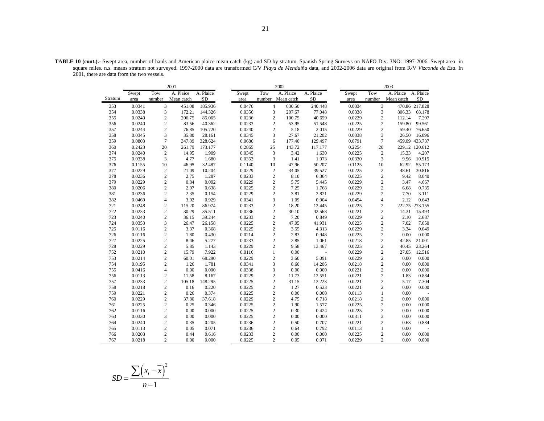|         |               |                | 2001                    |                        |               |                | 2002                    |                        |               |                | 2003                    |                        |
|---------|---------------|----------------|-------------------------|------------------------|---------------|----------------|-------------------------|------------------------|---------------|----------------|-------------------------|------------------------|
| Stratum | Swept<br>area | Tow<br>number  | A. Plaice<br>Mean catch | A. Plaice<br><b>SD</b> | Swept<br>area | Tow<br>number  | A. Plaice<br>Mean catch | A. Plaice<br><b>SD</b> | Swept<br>area | Tow<br>number  | A. Plaice<br>Mean catch | A. Plaice<br><b>SD</b> |
| 353     | 0.0341        | 3              | 451.08                  | 185.936                | 0.0476        | 4              | 630.50                  | 240.448                | 0.0334        | 3              |                         | 470.86 217.828         |
| 354     | 0.0338        | 3              | 172.21                  | 144.326                | 0.0356        | 3              | 207.67                  | 77.048                 | 0.0338        | 3              | 806.33                  | 68.178                 |
| 355     | 0.0240        | $\mathfrak{2}$ | 206.75                  | 85.065                 | 0.0236        | $\overline{c}$ | 100.75                  | 40.659                 | 0.0229        | $\overline{c}$ | 112.14                  | 7.297                  |
| 356     | 0.0240        | $\overline{c}$ | 83.56                   | 40.362                 | 0.0233        | $\overline{c}$ | 53.95                   | 51.548                 | 0.0225        | $\overline{c}$ | 159.80                  | 99.561                 |
| 357     | 0.0244        | $\sqrt{2}$     | 76.85                   | 105.720                | 0.0240        | $\mathbf{2}$   | 5.18                    | 2.015                  | 0.0229        | $\overline{c}$ | 59.40                   | 76.650                 |
| 358     | 0.0345        | 3              | 35.80                   | 28.161                 | 0.0345        | 3              | 27.67                   | 21.202                 | 0.0338        | 3              | 26.50                   | 16.096                 |
| 359     | 0.0803        | $\overline{7}$ | 347.89                  | 328.624                | 0.0686        | 6              | 177.40                  | 129.497                | 0.0791        | $\overline{7}$ |                         | 459.09 433.737         |
| 360     | 0.2423        | 20             | 261.79                  | 173.177                | 0.2865        | 25             | 143.72                  | 117.177                | 0.2254        | 20             |                         | 229.12 120.612         |
| 374     | 0.0240        | $\sqrt{2}$     | 14.95                   | 1.909                  | 0.0345        | 3              | 3.42                    | 1.630                  | 0.0225        | $\mathbf{2}$   | 15.33                   | 4.207                  |
| 375     | 0.0338        | 3              | 4.77                    | 1.680                  | 0.0353        | 3              | 1.41                    | 1.073                  | 0.0330        | 3              | 9.96                    | 10.915                 |
| 376     | 0.1155        | 10             | 46.95                   | 32.487                 | 0.1140        | 10             | 47.96                   | 50.207                 | 0.1125        | 10             | 62.92                   | 55.173                 |
| 377     | 0.0229        | $\overline{2}$ | 21.09                   | 10.204                 | 0.0229        | $\overline{c}$ | 34.05                   | 39.527                 | 0.0225        | $\overline{c}$ | 48.61                   | 30.816                 |
| 378     | 0.0236        | $\overline{c}$ | 2.75                    | 1.287                  | 0.0233        | $\overline{c}$ | 8.10                    | 6.364                  | 0.0225        | $\overline{c}$ | 9.42                    | 8.040                  |
| 379     | 0.0229        | $\sqrt{2}$     | 0.84                    | 0.092                  | 0.0229        | $\mathbf{2}$   | 5.75                    | 5.445                  | 0.0229        | $\sqrt{2}$     | 3.47                    | 4.667                  |
| 380     | 0.0206        | $\mathfrak{2}$ | 2.97                    | 0.638                  | 0.0225        | $\overline{c}$ | 7.25                    | 1.768                  | 0.0229        | $\overline{c}$ | 6.68                    | 0.735                  |
| 381     | 0.0236        | $\overline{c}$ | 2.35                    | 0.154                  | 0.0229        | $\overline{c}$ | 3.81                    | 2.821                  | 0.0229        | $\overline{c}$ | 7.70                    | 3.111                  |
| 382     | 0.0469        | $\overline{4}$ | 3.02                    | 0.929                  | 0.0341        | 3              | 1.09                    | 0.904                  | 0.0454        | $\overline{4}$ | 2.12                    | 0.643                  |
| 721     | 0.0248        | $\overline{c}$ | 115.20                  | 86.974                 | 0.0233        | $\overline{c}$ | 18.20                   | 12.445                 | 0.0225        | $\overline{c}$ |                         | 222.75 273.155         |
| 722     | 0.0233        | $\overline{c}$ | 30.29                   | 35.511                 | 0.0236        | $\overline{c}$ | 30.10                   | 42.568                 | 0.0221        | $\overline{c}$ | 14.31                   | 15.493                 |
| 723     | 0.0240        | $\overline{c}$ | 36.15                   | 39.244                 | 0.0233        | $\overline{c}$ | 7.20                    | 0.849                  | 0.0229        | $\sqrt{2}$     | 2.10                    | 2.687                  |
| 724     | 0.0353        | 3              | 26.47                   | 26.158                 | 0.0225        | $\overline{c}$ | 47.05                   | 41.931                 | 0.0225        | $\overline{c}$ | 7.02                    | 7.050                  |
| 725     | 0.0116        | $\sqrt{2}$     | 3.37                    | 0.368                  | 0.0225        | $\overline{c}$ | 3.55                    | 4.313                  | 0.0229        | $\sqrt{2}$     | 3.34                    | 0.049                  |
| 726     | 0.0116        | $\mathbf{2}$   | 1.80                    | 0.430                  | 0.0214        | $\overline{c}$ | 2.83                    | 0.948                  | 0.0225        | $\overline{c}$ | 0.00                    | 0.000                  |
| 727     | 0.0225        | $\mathfrak 2$  | 8.46                    | 5.277                  | 0.0233        | $\overline{c}$ | 2.85                    | 1.061                  | 0.0218        | $\overline{c}$ | 42.85                   | 21.001                 |
| 728     | 0.0229        | $\overline{c}$ | 5.85                    | 1.143                  | 0.0229        | $\overline{c}$ | 9.58                    | 13.467                 | 0.0225        | $\sqrt{2}$     | 40.45                   | 23.264                 |
| 752     | 0.0210        | $\mathfrak{2}$ | 15.79                   | 7.922                  | 0.0116        | $\mathbf{1}$   | 0.00                    | ä,                     | 0.0229        | $\sqrt{2}$     | 27.05                   | 12.516                 |
| 753     | 0.0214        | $\mathfrak 2$  | 60.01                   | 68.290                 | 0.0229        | $\overline{c}$ | 3.60                    | 5.091                  | 0.0229        | $\sqrt{2}$     | 0.00                    | 0.000                  |
| 754     | 0.0195        | $\mathbf{2}$   | 1.26                    | 1.781                  | 0.0341        | 3              | 8.60                    | 14.206                 | 0.0218        | $\sqrt{2}$     | 0.00                    | 0.000                  |
| 755     | 0.0416        | $\overline{4}$ | 0.00                    | 0.000                  | 0.0338        | 3              | 0.00                    | 0.000                  | 0.0221        | $\sqrt{2}$     | 0.00                    | 0.000                  |
| 756     | 0.0113        | $\overline{c}$ | 11.58                   | 8.167                  | 0.0229        | $\overline{c}$ | 11.73                   | 12.551                 | 0.0221        | $\overline{c}$ | 1.83                    | 0.884                  |
| 757     | 0.0233        | $\sqrt{2}$     | 105.18                  | 148.295                | 0.0225        | $\overline{c}$ | 31.15                   | 13.223                 | 0.0221        | $\sqrt{2}$     | 5.17                    | 7.304                  |
| 758     | 0.0218        | $\overline{c}$ | 0.16                    | 0.220                  | 0.0225        | $\mathbf{2}$   | 1.27                    | 0.523                  | 0.0221        | $\overline{c}$ | 0.00                    | 0.000                  |
| 759     | 0.0221        | $\sqrt{2}$     | 0.26                    | 0.374                  | 0.0225        | $\overline{c}$ | 0.00                    | 0.000                  | 0.0113        | $\mathbf{1}$   | 0.00                    |                        |
| 760     | 0.0229        | $\sqrt{2}$     | 37.80                   | 37.618                 | 0.0229        | $\overline{c}$ | 4.75                    | 6.718                  | 0.0218        | $\sqrt{2}$     | 0.00                    | 0.000                  |
| 761     | 0.0225        | $\sqrt{2}$     | 0.25                    | 0.346                  | 0.0225        | $\mathbf{2}$   | 1.90                    | 1.577                  | 0.0225        | $\sqrt{2}$     | 0.00                    | 0.000                  |
| 762     | 0.0116        | $\sqrt{2}$     | 0.00                    | 0.000                  | 0.0225        | $\overline{c}$ | 0.30                    | 0.424                  | 0.0225        | $\sqrt{2}$     | 0.00                    | 0.000                  |
| 763     | 0.0330        | 3              | 0.00                    | 0.000                  | 0.0225        | $\overline{c}$ | 0.00                    | 0.000                  | 0.0311        | 3              | 0.00                    | 0.000                  |
| 764     | 0.0240        | $\sqrt{2}$     | 0.35                    | 0.205                  | 0.0236        | $\mathbf{2}$   | 0.50                    | 0.707                  | 0.0221        | $\mathbf{2}$   | 0.63                    | 0.884                  |
| 765     | 0.0113        | $\sqrt{2}$     | 0.05                    | 0.071                  | 0.0236        | $\overline{c}$ | 0.64                    | 0.792                  | 0.0113        | $\mathbf{1}$   | 0.00                    |                        |
| 766     | 0.0203        | $\mathbf{2}$   | 0.44                    | 0.616                  | 0.0233        | $\overline{c}$ | 0.00                    | 0.000                  | 0.0225        | $\overline{c}$ | 0.00                    | 0.000                  |
| 767     | 0.0218        | $\mathfrak{2}$ | 0.00                    | 0.000                  | 0.0225        | $\overline{c}$ | 0.05                    | 0.071                  | 0.0229        | $\overline{c}$ | 0.00                    | 0.000                  |

**TABLE 10 (cont.).-** Swept area, number of hauls and American plaice mean catch (kg) and SD by stratum. Spanish Spring Surveys on NAFO Div. 3NO: 1997-2006. Swept area in square miles. n.s. means stratum not surveyed. 1997-2000 data are transformed C/V *Playa de Menduíña* data, and 2002-2006 data are original from R/V *Vizconde de Eza*. In 2001, there are data from the two vessels.

$$
SD = \frac{\sum (x_i - \overline{x})^2}{n-1}
$$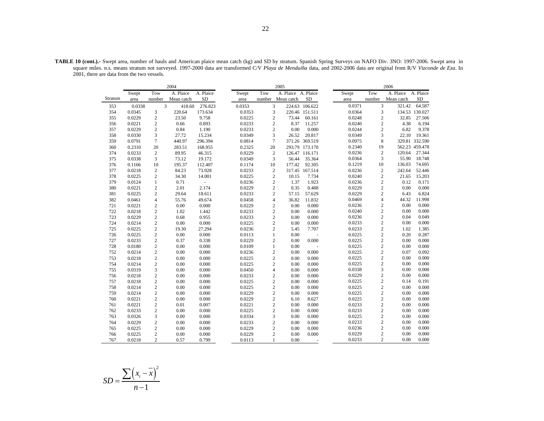|         |        |                | 2004       |            |        |                 | 2005                |                |        |                         | 2006       |                |
|---------|--------|----------------|------------|------------|--------|-----------------|---------------------|----------------|--------|-------------------------|------------|----------------|
|         | Swept  | Tow            | A. Plaice  | A. Plaice  | Swept  | Tow             | A. Plaice A. Plaice |                | Swept  | Tow                     | A. Plaice  | A. Plaice      |
| Stratum | area   | number         | Mean catch | ${\rm SD}$ | area   | number          | Mean catch          | ${\rm SD}$     | area   | number                  | Mean catch | ${\rm SD}$     |
| 353     | 0.0338 | 3              | 418.60     | 276.823    | 0.0353 | 3               |                     | 224.63 106.622 | 0.0371 | 3                       | 321.42     | 64.587         |
| 354     | 0.0345 | $\mathfrak{Z}$ | 220.64     | 173.634    | 0.0353 | 3               |                     | 220.46 151.511 | 0.0364 | 3                       |            | 134.53 130.027 |
| 355     | 0.0229 | $\mathbf{2}$   | 23.50      | 9.758      | 0.0225 | $\overline{c}$  | 73.44               | 60.161         | 0.0248 | $\sqrt{2}$              | 32.85      | 27.506         |
| 356     | 0.0221 | $\mathbf{2}$   | 0.66       | 0.893      | 0.0233 | $\overline{c}$  | 8.37                | 11.257         | 0.0240 | $\boldsymbol{2}$        | 4.38       | 6.194          |
| 357     | 0.0229 | $\sqrt{2}$     | 0.84       | 1.190      | 0.0233 | $\overline{c}$  | 0.00                | 0.000          | 0.0244 | $\overline{c}$          | 6.82       | 9.378          |
| 358     | 0.0330 | 3              | 27.72      | 15.234     | 0.0349 | 3               | 26.52               | 20.817         | 0.0349 | 3                       | 22.10      | 19.361         |
| 359     | 0.0791 | $\tau$         | 440.97     | 296.394    | 0.0814 | $7\phantom{.0}$ |                     | 371.26 369.519 | 0.0975 | 8                       |            | 329.81 332.590 |
| 360     | 0.2310 | 20             | 283.51     | 168.955    | 0.2325 | 20              |                     | 293.79 173.170 | 0.2340 | 19                      |            | 562.23 459.478 |
| 374     | 0.0233 | $\mathbf{2}$   | 89.95      | 46.315     | 0.0229 | $\mathbf{2}$    |                     | 126.47 116.171 | 0.0236 | $\overline{2}$          | 120.64     | 27.344         |
| 375     | 0.0338 | 3              | 73.12      | 19.172     | 0.0349 | 3               | 56.44               | 35.364         | 0.0364 | 3                       | 55.90      | 18.748         |
| 376     | 0.1166 | 10             | 195.37     | 112.407    | 0.1174 | 10              | 177.42              | 92.305         | 0.1219 | 10                      | 136.03     | 74.695         |
| 377     | 0.0218 | 2              | 84.23      | 73.928     | 0.0233 | $\mathbf{2}$    |                     | 317.45 167.514 | 0.0236 | $\overline{2}$          | 242.64     | 52.446         |
| 378     | 0.0225 | $\mathbf{2}$   | 34.30      | 14.001     | 0.0225 | $\overline{c}$  | 10.15               | 7.734          | 0.0240 | $\sqrt{2}$              | 21.65      | 15.203         |
| 379     | 0.0124 | $\mathbf{1}$   | 0.71       | L.         | 0.0236 | $\sqrt{2}$      | 1.37                | 1.923          | 0.0236 | $\sqrt{2}$              | 0.12       | 0.171          |
| 380     | 0.0221 | $\mathbf{2}$   | 2.01       | 2.174      | 0.0229 | $\overline{c}$  | 0.35                | 0.488          | 0.0229 | $\overline{2}$          | 0.00       | 0.000          |
| 381     | 0.0225 | $\mathbf{2}$   | 29.64      | 18.611     | 0.0233 | $\overline{c}$  | 57.15               | 57.629         | 0.0229 | $\overline{c}$          | 6.43       | 6.824          |
| 382     | 0.0461 | $\overline{4}$ | 55.76      | 49.674     | 0.0458 | $\overline{4}$  | 36.82               | 11.832         | 0.0469 | $\overline{\mathbf{4}}$ | 44.32      | 11.998         |
| 721     | 0.0221 | $\mathbf{2}$   | 0.00       | 0.000      | 0.0229 | $\overline{c}$  | 0.00                | 0.000          | 0.0236 | $\overline{2}$          | 0.00       | 0.000          |
| 722     | 0.0218 | $\mathbf{2}$   | 1.02       | 1.442      | 0.0233 | $\sqrt{2}$      | 0.00                | 0.000          | 0.0240 | $\sqrt{2}$              | 0.00       | 0.000          |
| 723     | 0.0229 | $\mathbf{2}$   | 0.68       | 0.955      | 0.0233 | $\sqrt{2}$      | 0.00                | 0.000          | 0.0236 | $\sqrt{2}$              | 0.04       | 0.049          |
| 724     | 0.0214 | $\overline{c}$ | 0.00       | 0.000      | 0.0225 | $\overline{c}$  | 0.00                | 0.000          | 0.0233 | $\sqrt{2}$              | 0.00       | 0.000          |
| 725     | 0.0225 | $\mathbf{2}$   | 19.30      | 27.294     | 0.0236 | $\overline{c}$  | 5.45                | 7.707          | 0.0233 | $\sqrt{2}$              | 1.02       | 1.385          |
| 726     | 0.0225 | $\overline{c}$ | 0.00       | 0.000      | 0.0113 | $\mathbf{1}$    | 0.00                |                | 0.0225 | $\overline{c}$          | 0.20       | 0.287          |
| 727     | 0.0233 | $\mathbf{2}$   | 0.37       | 0.338      | 0.0229 | $\overline{c}$  | 0.00                | 0.000          | 0.0225 | $\sqrt{2}$              | 0.00       | 0.000          |
| 728     | 0.0180 | $\mathbf{2}$   | 0.00       | 0.000      | 0.0109 | $\mathbf{1}$    | 0.00                |                | 0.0225 | $\sqrt{2}$              | 0.00       | 0.000          |
| 752     | 0.0214 | $\mathbf{2}$   | 0.00       | 0.000      | 0.0236 | $\overline{c}$  | 0.00                | 0.000          | 0.0225 | $\overline{c}$          | 0.07       | 0.092          |
| 753     | 0.0218 | $\overline{c}$ | 0.00       | 0.000      | 0.0225 | $\overline{c}$  | 0.00                | 0.000          | 0.0225 | $\sqrt{2}$              | 0.00       | 0.000          |
| 754     | 0.0214 | $\mathbf{2}$   | 0.00       | 0.000      | 0.0225 | $\overline{c}$  | 0.00                | 0.000          | 0.0225 | $\overline{c}$          | 0.00       | 0.000          |
| 755     | 0.0319 | 3              | 0.00       | 0.000      | 0.0450 | $\overline{4}$  | 0.00                | 0.000          | 0.0338 | 3                       | 0.00       | 0.000          |
| 756     | 0.0218 | $\mathbf{2}$   | 0.00       | 0.000      | 0.0233 | $\overline{c}$  | 0.00                | 0.000          | 0.0229 | $\overline{c}$          | 0.00       | 0.000          |
| 757     | 0.0218 | $\mathbf{2}$   | 0.00       | 0.000      | 0.0225 | $\overline{c}$  | 0.00                | 0.000          | 0.0225 | $\sqrt{2}$              | 0.14       | 0.191          |
| 758     | 0.0214 | $\mathbf{2}$   | 0.00       | 0.000      | 0.0225 | $\overline{c}$  | 0.00                | 0.000          | 0.0225 | $\overline{c}$          | 0.00       | 0.000          |
| 759     | 0.0214 | $\sqrt{2}$     | 0.00       | 0.000      | 0.0229 | $\overline{c}$  | 0.00                | 0.000          | 0.0225 | $\overline{c}$          | 0.00       | 0.000          |
| 760     | 0.0221 | $\overline{c}$ | 0.00       | 0.000      | 0.0229 | $\overline{c}$  | 6.10                | 8.627          | 0.0225 | $\sqrt{2}$              | 0.00       | 0.000          |
| 761     | 0.0221 | $\mathbf{2}$   | 0.01       | 0.007      | 0.0221 | $\overline{c}$  | 0.00                | 0.000          | 0.0233 | $\sqrt{2}$              | 0.00       | 0.000          |
| 762     | 0.0233 | $\mathbf{2}$   | 0.00       | 0.000      | 0.0225 | $\overline{c}$  | 0.00                | 0.000          | 0.0233 | $\sqrt{2}$              | 0.00       | 0.000          |
| 763     | 0.0326 | 3              | 0.00       | 0.000      | 0.0334 | 3               | 0.00                | 0.000          | 0.0225 | $\sqrt{2}$              | 0.00       | 0.000          |
| 764     | 0.0229 | $\overline{c}$ | 0.00       | 0.000      | 0.0233 | $\overline{c}$  | 0.00                | 0.000          | 0.0233 | $\overline{c}$          | 0.00       | 0.000          |
| 765     | 0.0225 | $\mathbf{2}$   | 0.00       | 0.000      | 0.0229 | $\sqrt{2}$      | 0.00                | 0.000          | 0.0236 | $\overline{c}$          | 0.00       | 0.000          |
| 766     | 0.0225 | $\mathbf{2}$   | 0.00       | 0.000      | 0.0229 | $\overline{c}$  | 0.00                | 0.000          | 0.0229 | $\overline{c}$          | 0.00       | 0.000          |
| 767     | 0.0218 | $\overline{c}$ | 0.57       | 0.799      | 0.0113 | $\mathbf{1}$    | 0.00                |                | 0.0233 | $\overline{c}$          | 0.00       | 0.000          |

**TABLE 10 (cont.).-** Swept area, number of hauls and American plaice mean catch (kg) and SD by stratum. Spanish Spring Surveys on NAFO Div. 3NO: 1997-2006. Swept area in square miles. n.s. means stratum not surveyed. 1997-2000 data are transformed C/V *Playa de Menduíña* data, and 2002-2006 data are original from R/V *Vizconde de Eza*. In 2001, there are data from the two vessels.

$$
SD = \frac{\sum (x_i - \overline{x})^2}{n-1}
$$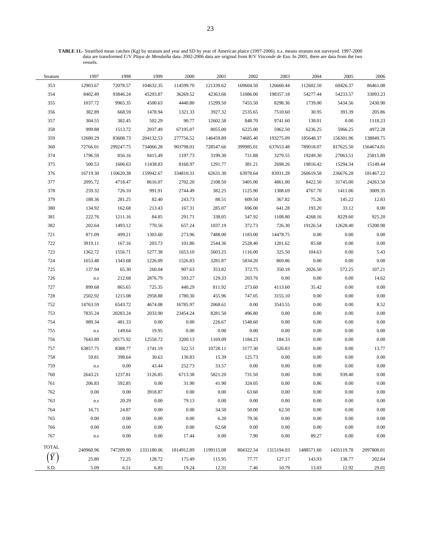**TABLE 11.-** Stratified mean catches (Kg) by stratum and year and SD by year of American plaice (1997-2006). n.s. means stratum not surveyed. 1997-2000 data are transformed C/V *Playa de Menduíña* data. 2002-2006 data are original from R/V *Vizconde de Eza*. In 2001, there are data from the two vessels.

| Stratum      | 1997                    | 1998      | 1999       | 2000       | 2001       | 2002      | 2003       | 2004       | 2005       | 2006       |
|--------------|-------------------------|-----------|------------|------------|------------|-----------|------------|------------|------------|------------|
| 353          | 12903.67                | 72078.57  | 104632.35  | 114599.70  | 121339.62  | 169604.50 | 126660.44  | 112602.50  | 60426.37   | 86461.08   |
| 354          | 8402.49                 | 93846.24  | 45293.87   | 36269.52   | 42363.66   | 51086.00  | 198357.18  | 54277.44   | 54233.57   | 33093.23   |
| 355          | 1037.72                 | 9965.35   | 4500.63    | 4440.80    | 15299.50   | 7455.50   | 8298.36    | 1739.00    | 5434.56    | 2430.90    |
| 356          | 382.89                  | 668.59    | 1478.94    | 1321.33    | 3927.32    | 2535.65   | 7510.60    | 30.95      | 393.39     | 205.86     |
| 357          | 304.55                  | 382.45    | 502.29     | 90.77      | 12602.58   | 848.70    | 9741.60    | 138.01     | 0.00       | 1118.23    |
| 358          | 999.88                  | 1513.72   | 2037.49    | 67195.07   | 8055.00    | 6225.00   | 5962.50    | 6236.25    | 5966.25    | 4972.28    |
| 359          | 12680.29                | 83608.73  | 204132.53  | 277756.52  | 146459.89  | 74685.40  | 193275.09  | 185648.37  | 156301.96  | 138849.75  |
| 360          | 72766.01                | 299247.75 | 734066.28  | 903798.01  | 728547.66  | 399985.01 | 637653.48  | 789018.07  | 817625.50  | 1564674.81 |
| 374          | 1796.59                 | 856.16    | 9415.49    | 1197.73    | 3199.30    | 731.88    | 3279.55    | 19249.30   | 27063.51   | 25815.89   |
| 375          | 500.53                  | 1606.63   | 11438.83   | 8160.97    | 1291.77    | 381.21    | 2698.26    | 19816.42   | 15294.34   | 15149.44   |
| 376          | 16719.30                | 110620.38 | 159942.67  | 334810.31  | 62631.30   | 63978.64  | 83931.28   | 260619.58  | 236676.28  | 181467.22  |
| 377          | 2095.72                 | 4718.47   | 8616.07    | 2702.20    | 2108.50    | 3405.00   | 4861.00    | 8422.50    | 31745.00   | 24263.50   |
| 378          | 259.32                  | 726.10    | 991.91     | 2744.49    | 382.25     | 1125.90   | 1308.69    | 4767.70    | 1411.06    | 3009.35    |
| 379          | 188.36                  | 281.25    | 82.40      | 243.73     | 88.51      | 609.50    | 367.82     | 75.26      | 145.22     | 12.83      |
| 380          | 134.92                  | 162.68    | 213.43     | 167.31     | 285.07     | 696.00    | 641.28     | 193.20     | 33.12      | 0.00       |
| 381          | 222.76                  | 1211.16   | 84.85      | 291.71     | 338.05     | 547.92    | 1108.80    | 4268.16    | 8229.60    | 925.20     |
| 382          | 202.64                  | 1493.12   | 770.56     | 657.24     | 1037.19    | 372.73    | 726.30     | 19126.54   | 12628.40   | 15200.90   |
| 721          | 871.09                  | 499.21    | 1303.60    | 273.96     | 7488.00    | 1183.00   | 14478.75   | 0.00       | 0.00       | 0.00       |
| 722          | 3919.11                 | 167.16    | 203.73     | 101.86     | 2544.36    | 2528.40   | 1201.62    | 85.68      | 0.00       | 0.00       |
| 723          | 1362.72                 | 1556.71   | 5277.38    | 1653.10    | 5603.25    | 1116.00   | 325.50     | 104.63     | 0.00       | 5.43       |
| 724          | 1653.48                 | 1343.68   | 1226.09    | 1526.83    | 3281.87    | 5834.20   | 869.86     | $0.00\,$   | 0.00       | 0.00       |
| 725          | 137.94                  | 65.30     | 260.04     | 907.63     | 353.82     | 372.75    | 350.18     | 2026.50    | 572.25     | 107.21     |
| 726          | $\rm n.s$               | 212.68    | 2876.79    | 593.27     | 129.33     | 203.76    | 0.00       | 0.00       | 0.00       | 14.62      |
| 727          | 899.68                  | 865.65    | 725.35     | 440.29     | 811.92     | 273.60    | 4113.60    | 35.42      | 0.00       | 0.00       |
| 728          | 2502.92                 | 1215.08   | 2958.88    | 1780.30    | 455.96     | 747.05    | 3155.10    | $0.00\,$   | 0.00       | 0.00       |
| 752          | 14763.59                | 6543.72   | 4674.08    | 16785.97   | 2068.61    | 0.00      | 3543.55    | 0.00       | 0.00       | 8.52       |
| 753          | 7835.24                 | 20283.24  | 2033.90    | 23454.24   | 8281.50    | 496.80    | 0.00       | 0.00       | 0.00       | 0.00       |
| 754          | 989.34                  | 481.33    | 0.00       | 0.00       | 226.67     | 1548.60   | $0.00\,$   | 0.00       | 0.00       | 0.00       |
| 755          | $\mathbf{n}.\mathbf{s}$ | 149.64    | 19.95      | 0.00       | 0.00       | 0.00      | 0.00       | $0.00\,$   | 0.00       | 0.00       |
| 756          | 7643.89                 | 20175.92  | 12558.72   | 3200.13    | 1169.09    | 1184.23   | 184.33     | $0.00\,$   | 0.00       | 0.00       |
| 757          | 63857.75                | 8388.77   | 1741.19    | 522.51     | 10728.11   | 3177.30   | 526.83     | $0.00\,$   | 0.00       | 13.77      |
| 758          | 59.81                   | 398.64    | 30.63      | 130.83     | 15.39      | 125.73    | $0.00\,$   | 0.00       | 0.00       | 0.00       |
| 759          | $\mathbf{n}.\mathbf{s}$ | 0.00      | 43.44      | 252.73     | 33.57      | $0.00\,$  | $0.00\,$   | $0.00\,$   | 0.00       | 0.00       |
| 760          | 2643.21                 | 1237.81   | 3126.85    | 6713.38    | 5821.20    | 731.50    | 0.00       | 0.00       | 939.40     | 0.00       |
| 761          | 206.83                  | 592.85    | $0.00\,$   | 31.90      | 41.90      | 324.05    | $0.00\,$   | 0.86       | $0.00\,$   | 0.00       |
| 762          | 0.00                    | $0.00\,$  | 3918.87    | 0.00       | 0.00       | 63.60     | $0.00\,$   | 0.00       | 0.00       | 0.00       |
| 763          | $\mathbf{n}.\mathbf{s}$ | 20.29     | $0.00\,$   | 79.13      | 0.00       | $0.00\,$  | $0.00\,$   | 0.00       | 0.00       | 0.00       |
| 764          | 16.71                   | 24.87     | 0.00       | 0.00       | 34.50      | 50.00     | 62.50      | 0.00       | 0.00       | 0.00       |
| 765          | 0.00                    | 0.00      | $0.00\,$   | 0.00       | 6.20       | 79.36     | 0.00       | 0.00       | 0.00       | 0.00       |
| 766          | 0.00                    | 0.00      | $0.00\,$   | 0.00       | 62.68      | 0.00      | 0.00       | $0.00\,$   | 0.00       | 0.00       |
| 767          | $\mathbf{n}.\mathbf{s}$ | 0.00      | $0.00\,$   | 17.44      | 0.00       | 7.90      | 0.00       | 89.27      | 0.00       | 0.00       |
| <b>TOTAL</b> | 240960.96               | 747209.90 | 1331180.06 | 1814912.89 | 1199115.08 | 804322.34 | 1315194.03 | 1488571.60 | 1435119.78 | 2097800.01 |
|              | 25.80                   | 72.25     | 128.72     | 175.49     | 115.95     | 77.77     | 127.17     | 143.93     | 138.77     | 202.84     |
| S.D.         | 5.09                    | 6.51      | 6.85       | 19.24      | 12.31      | 7.46      | 10.79      | 13.03      | 12.92      | 29.01      |
|              |                         |           |            |            |            |           |            |            |            |            |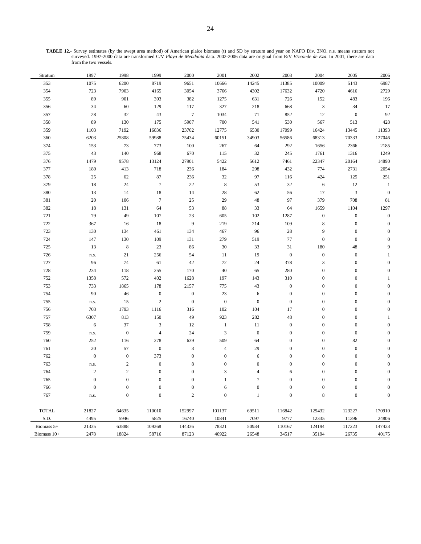**TABLE 12.-** Survey estimates (by the swept area method) of American plaice biomass (t) and SD by stratum and year on NAFO Div. 3NO. n.s. means stratum not surveyed. 1997-2000 data are transformed C/V *Playa de Menduíña* data. 2002-2006 data are original from R/V *Vizconde de Eza*. In 2001, there are data from the two vessels.

| Stratum      | 1997             | 1998             | 1999             | 2000             | $2001\,$         | 2002             | 2003             | 2004             | 2005             | 2006             |
|--------------|------------------|------------------|------------------|------------------|------------------|------------------|------------------|------------------|------------------|------------------|
| 353          | 1075             | 6200             | 8719             | 9651             | 10666            | 14245            | 11385            | 10009            | 5143             | 6987             |
| 354          | 723              | 7903             | 4165             | 3054             | 3766             | 4302             | 17632            | 4720             | 4616             | 2729             |
| 355          | 89               | 901              | 393              | 382              | 1275             | 631              | 726              | 152              | 483              | 196              |
| 356          | 34               | 60               | 129              | 117              | 327              | 218              | 668              | $\mathfrak{Z}$   | 34               | 17               |
| 357          | 28               | 32               | 43               | $7\phantom{.0}$  | 1034             | 71               | 852              | 12               | $\boldsymbol{0}$ | 92               |
| 358          | 89               | 130              | 175              | 5907             | 700              | 541              | 530              | 567              | 513              | 428              |
| 359          | 1103             | 7192             | 16836            | 23702            | 12775            | 6530             | 17099            | 16424            | 13445            | 11393            |
| 360          | 6203             | 25808            | 59988            | 75434            | 60151            | 34903            | 56586            | 68313            | 70333            | 127046           |
| 374          | 153              | 73               | 773              | 100              | 267              | 64               | 292              | 1656             | 2366             | 2185             |
| 375          | 43               | 140              | 968              | 670              | 115              | 32               | $245\,$          | 1761             | 1316             | 1249             |
| 376          | 1479             | 9578             | 13124            | 27901            | 5422             | 5612             | 7461             | 22347            | 20164            | 14890            |
| 377          | 180              | 413              | 718              | 236              | 184              | 298              | 432              | 774              | 2731             | 2054             |
| 378          | $25\,$           | 62               | $87\,$           | 236              | $32\,$           | 97               | 116              | 424              | 125              | $251\,$          |
| 379          | 18               | 24               | $\tau$           | $22\,$           | $\,$ 8 $\,$      | 53               | $32\,$           | 6                | 12               | $\mathbf{1}$     |
| 380          | 13               | 14               | 18               | 14               | $28\,$           | 62               | 56               | 17               | $\sqrt{3}$       | $\boldsymbol{0}$ |
| 381          | 20               | 106              | $\tau$           | 25               | 29               | 48               | 97               | 379              | 708              | 81               |
| 382          | 18               | 131              | 64               | 53               | $\bf 88$         | 33               | 64               | 1659             | 1104             | 1297             |
| 721          | 79               | 49               | 107              | $23\,$           | 605              | 102              | 1287             | $\boldsymbol{0}$ | $\boldsymbol{0}$ | $\boldsymbol{0}$ |
| 722          | 367              | 16               | 18               | $\boldsymbol{9}$ | 219              | 214              | 109              | $\,$ 8 $\,$      | $\boldsymbol{0}$ | $\mathbf{0}$     |
| 723          | 130              | 134              | 461              | 134              | 467              | 96               | $28\,$           | 9                | $\boldsymbol{0}$ | $\mathbf{0}$     |
| 724          | 147              | 130              | 109              | 131              | 279              | 519              | $77\,$           | $\boldsymbol{0}$ | $\boldsymbol{0}$ | $\mathbf{0}$     |
| $725\,$      | 13               | $\,$ 8 $\,$      | 23               | 86               | $30\,$           | 33               | $31\,$           | 180              | $48\,$           | 9                |
| 726          | n.s.             | 21               | 256              | 54               | $11\,$           | 19               | $\boldsymbol{0}$ | $\boldsymbol{0}$ | $\boldsymbol{0}$ |                  |
| 727          | 96               | 74               | 61               | 42               | $72\,$           | 24               | 378              | $\mathfrak{Z}$   | $\boldsymbol{0}$ |                  |
| 728          | 234              | 118              | 255              | 170              | $40\,$           | 65               | 280              | $\boldsymbol{0}$ | $\boldsymbol{0}$ | $\Omega$         |
| 752          | 1358             | 572              | 402              | 1628             | 197              | 143              | 310              | $\boldsymbol{0}$ | $\boldsymbol{0}$ |                  |
| 753          | 733              | 1865             | 178              | 2157             | 775              | 43               | $\boldsymbol{0}$ | $\boldsymbol{0}$ | $\boldsymbol{0}$ | $\Omega$         |
| 754          | 90               | $46\,$           | $\boldsymbol{0}$ | $\boldsymbol{0}$ | $23\,$           | 6                | $\boldsymbol{0}$ | $\boldsymbol{0}$ | $\boldsymbol{0}$ | $\Omega$         |
| 755          | n.s.             | 15               | $\sqrt{2}$       | $\boldsymbol{0}$ | $\boldsymbol{0}$ | $\boldsymbol{0}$ | $\boldsymbol{0}$ | $\boldsymbol{0}$ | $\boldsymbol{0}$ | $\Omega$         |
| 756          | 703              | 1793             | 1116             | 316              | $102\,$          | 104              | 17               | $\boldsymbol{0}$ | $\boldsymbol{0}$ | $\mathbf{0}$     |
| 757          | 6307             | 813              | 150              | 49               | 923              | 282              | $\sqrt{48}$      | $\boldsymbol{0}$ | $\boldsymbol{0}$ |                  |
| 758          | 6                | $37\,$           | $\mathfrak{Z}$   | 12               | $\mathbf{1}$     | 11               | $\boldsymbol{0}$ | $\boldsymbol{0}$ | $\boldsymbol{0}$ | $\Omega$         |
| 759          | n.s.             | $\boldsymbol{0}$ | $\overline{4}$   | 24               | 3                | $\boldsymbol{0}$ | $\boldsymbol{0}$ | $\boldsymbol{0}$ | $\boldsymbol{0}$ | $\Omega$         |
| 760          | 252              | 116              | 278              | 639              | 509              | 64               | $\boldsymbol{0}$ | $\boldsymbol{0}$ | 82               |                  |
| 761          | $20\,$           | 57               | $\boldsymbol{0}$ | $\mathfrak{Z}$   | $\overline{4}$   | 29               | $\boldsymbol{0}$ | $\boldsymbol{0}$ | $\boldsymbol{0}$ | $\Omega$         |
| 762          | $\boldsymbol{0}$ | $\boldsymbol{0}$ | 373              | $\boldsymbol{0}$ | $\boldsymbol{0}$ | 6                | $\boldsymbol{0}$ | $\boldsymbol{0}$ | $\boldsymbol{0}$ | $\Omega$         |
| 763          | n.s.             | $\boldsymbol{2}$ | $\boldsymbol{0}$ | $\,$ 8 $\,$      | $\boldsymbol{0}$ | $\boldsymbol{0}$ | $\boldsymbol{0}$ | $\mathbf{0}$     | $\boldsymbol{0}$ | $\Omega$         |
| 764          | $\overline{c}$   | $\sqrt{2}$       | $\mathbf{0}$     | $\boldsymbol{0}$ | 3                | $\overline{4}$   | 6                | $\mathbf{0}$     | $\boldsymbol{0}$ | $\mathbf{0}$     |
| 765          | $\mathbf{0}$     | $\overline{0}$   |                  | $\mathbf{0}$     |                  | $\overline{7}$   | $\Omega$         | $\theta$         | $\mathbf{0}$     |                  |
| 766          | $\boldsymbol{0}$ | $\boldsymbol{0}$ | $\boldsymbol{0}$ | $\boldsymbol{0}$ | 6                | $\boldsymbol{0}$ | $\boldsymbol{0}$ | $\boldsymbol{0}$ | $\boldsymbol{0}$ | $\boldsymbol{0}$ |
| 767          | n.s.             | $\boldsymbol{0}$ | $\boldsymbol{0}$ | $\sqrt{2}$       | $\boldsymbol{0}$ | $\mathbf{1}$     | $\boldsymbol{0}$ | 8                | $\boldsymbol{0}$ | $\boldsymbol{0}$ |
|              |                  |                  |                  |                  |                  |                  |                  |                  |                  |                  |
| <b>TOTAL</b> | 21827            | 64635            | 110010           | 152997           | 101137           | 69511            | 116842           | 129432           | 123227           | 170910           |
| S.D.         | 4495             | 5946             | 5825             | 16740            | 10841            | 7097             | 9777             | 12335            | 11396            | 24806            |
| Biomass 5+   | 21335            | 63888            | 109368           | 144336           | 78321            | 50934            | 110167           | 124194           | 117223           | 147423           |
| Biomass 10+  | 2478             | 18824            | 58716            | 87123            | 40922            | 26548            | 34517            | 35194            | 26735            | 40175            |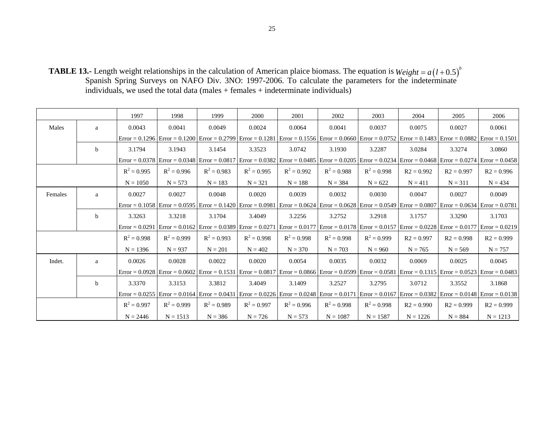**TABLE 13.-** Length weight relationships in the calculation of American plaice biomass. The equation is Spanish Spring Surveys on NAFO Div. 3NO: 1997-2006. To calculate the parameters for the indeterminate individuals, we used the total data (males + females + indeterminate individuals)  $Weight = a(l+0.5)^{b}$ 

|         |             | 1997          | 1998          | 1999          | 2000          | 2001          | 2002          | 2003                                                                                                                                                                                        | 2004         | 2005         | 2006         |
|---------|-------------|---------------|---------------|---------------|---------------|---------------|---------------|---------------------------------------------------------------------------------------------------------------------------------------------------------------------------------------------|--------------|--------------|--------------|
| Males   | a           | 0.0043        | 0.0041        | 0.0049        | 0.0024        | 0.0064        | 0.0041        | 0.0037                                                                                                                                                                                      | 0.0075       | 0.0027       | 0.0061       |
|         |             |               |               |               |               |               |               | $Error = 0.1296$ Error $= 0.1200$ Error $= 0.2799$ Error $= 0.1281$ Error $= 0.1556$ Error $= 0.0660$ Error $= 0.0752$ Error $= 0.1483$ Error $= 0.0882$ Error $= 0.1501$                   |              |              |              |
|         | $\mathbf b$ | 3.1794        | 3.1943        | 3.1454        | 3.3523        | 3.0742        | 3.1930        | 3.2287                                                                                                                                                                                      | 3.0284       | 3.3274       | 3.0860       |
|         |             |               |               |               |               |               |               | Error = 0.0378   Error = 0.0348   Error = 0.0817   Error = 0.0382   Error = 0.0485   Error = 0.0205   Error = 0.0234   Error = 0.0468   Error = 0.0274   Error = 0.0458                     |              |              |              |
|         |             | $R^2 = 0.995$ | $R^2 = 0.996$ | $R^2 = 0.983$ | $R^2 = 0.995$ | $R^2 = 0.992$ | $R^2 = 0.988$ | $R^2 = 0.998$                                                                                                                                                                               | $R2 = 0.992$ | $R2 = 0.997$ | $R2 = 0.996$ |
|         |             | $N = 1050$    | $N = 573$     | $N = 183$     | $N = 321$     | $N = 188$     | $N = 384$     | $N = 622$                                                                                                                                                                                   | $N = 411$    | $N = 311$    | $N = 434$    |
| Females | a           | 0.0027        | 0.0027        | 0.0048        | 0.0020        | 0.0039        | 0.0032        | 0.0030                                                                                                                                                                                      | 0.0047       | 0.0027       | 0.0049       |
|         |             |               |               |               |               |               |               | $Error = 0.1058$ $Error = 0.0595$ $Error = 0.1420$ $Error = 0.0981$ $Error = 0.0624$ $Error = 0.0628$ $Error = 0.0549$ $Error = 0.0807$ $Error = 0.0634$ $Error = 0.0781$                   |              |              |              |
|         | b           | 3.3263        | 3.3218        | 3.1704        | 3.4049        | 3.2256        | 3.2752        | 3.2918                                                                                                                                                                                      | 3.1757       | 3.3290       | 3.1703       |
|         |             |               |               |               |               |               |               | $Error = 0.0291$   $Error = 0.0162$   $Error = 0.0389$   $Error = 0.0271$   $Error = 0.0177$   $Error = 0.0178$   $Error = 0.0157$   $Error = 0.0228$   $Error = 0.0177$   $Error = 0.0219$ |              |              |              |
|         |             | $R^2 = 0.998$ | $R^2 = 0.999$ | $R^2 = 0.993$ | $R^2 = 0.998$ | $R^2 = 0.998$ | $R^2 = 0.998$ | $R^2 = 0.999$                                                                                                                                                                               | $R2 = 0.997$ | $R2 = 0.998$ | $R2 = 0.999$ |
|         |             | $N = 1396$    | $N = 937$     | $N = 201$     | $N = 402$     | $N = 370$     | $N = 703$     | $N = 960$                                                                                                                                                                                   | $N = 765$    | $N = 569$    | $N = 757$    |
| Indet.  | a           | 0.0026        | 0.0028        | 0.0022        | 0.0020        | 0.0054        | 0.0035        | 0.0032                                                                                                                                                                                      | 0.0069       | 0.0025       | 0.0045       |
|         |             |               |               |               |               |               |               | $Error = 0.0928$   $Error = 0.0602$   $Error = 0.1531$   $Error = 0.0817$   $Error = 0.0866$   $Error = 0.0599$   $Error = 0.0581$   $Error = 0.1315$   $Error = 0.0523$   $Error = 0.0483$ |              |              |              |
|         | b           | 3.3370        | 3.3153        | 3.3812        | 3.4049        | 3.1409        | 3.2527        | 3.2795                                                                                                                                                                                      | 3.0712       | 3.3552       | 3.1868       |
|         |             |               |               |               |               |               |               | Error = 0.0255   Error = 0.0164   Error = 0.0431   Error = 0.0226   Error = 0.0248   Error = 0.0171   Error = 0.0167   Error = 0.0382   Error = 0.0148   Error = 0.0138                     |              |              |              |
|         |             | $R^2 = 0.997$ | $R^2 = 0.999$ | $R^2 = 0.989$ | $R^2 = 0.997$ | $R^2 = 0.996$ | $R^2 = 0.998$ | $R^2 = 0.998$                                                                                                                                                                               | $R2 = 0.990$ | $R2 = 0.999$ | $R2 = 0.999$ |
|         |             | $N = 2446$    | $N = 1513$    | $N = 386$     | $N = 726$     | $N = 573$     | $N = 1087$    | $N = 1587$                                                                                                                                                                                  | $N = 1226$   | $N = 884$    | $N = 1213$   |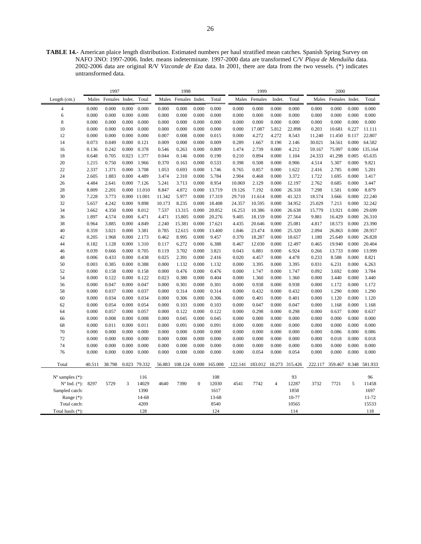**TABLE 14.-** American plaice length distribution. Estimated numbers per haul stratified mean catches. Spanish Spring Survey on NAFO 3NO: 1997-2006. Indet. means indeterminate. 1997-2000 data are transformed C/V *Playa de Menduíña* data. 2002-2006 data are original R/V *Vizconde de Eza* data. In 2001, there are data from the two vessels. (\*) indicates untransformed data.

|                             |                | 1997           |                |                |                | 1998           |                  |                |                | 1999           |                |                |                | 2000           |                |                |
|-----------------------------|----------------|----------------|----------------|----------------|----------------|----------------|------------------|----------------|----------------|----------------|----------------|----------------|----------------|----------------|----------------|----------------|
| Length (cm.)                | Males          | Females Indet. |                | Total          | Males          | Females Indet. |                  | Total          | Males          | Females        | Indet.         | Total          | Males          | Females        | Indet.         | Total          |
| $\overline{4}$              | 0.000          | 0.000          | 0.000          | 0.000          | 0.000          | 0.000          | 0.000            | 0.000          | 0.000          | 0.000          | 0.000          | 0.000          | 0.000          | 0.000          | 0.000          | 0.000          |
| 6                           | 0.000          | 0.000          | 0.000          | 0.000          | 0.000          | 0.000          | 0.000            | 0.000          | 0.000          | 0.000          | 0.000          | 0.000          | 0.000          | 0.000          | 0.000          | 0.000          |
| 8                           | 0.000          | 0.000          | 0.000          | 0.000          | 0.000          | 0.000          | 0.000            | 0.000          | 0.000          | 0.000          | 0.000          | 0.000          | 0.000          | 0.000          | 0.000          | 0.000          |
| 10                          | 0.000          | 0.000          | 0.000          | 0.000          | 0.000          | 0.000          | 0.000            | 0.000          | 0.000          | 17.087         | 5.812          | 22.898         | 0.203          | 10.681         | 0.227          | 11.111         |
| 12                          | 0.000          | 0.000          | 0.000          | 0.000          | 0.007          | 0.008          | 0.000            | 0.015          | 0.000          | 4.272          | 4.272          | 8.543          | 11.240         | 11.450         | 0.117          | 22.807         |
| 14                          | 0.073          | 0.049          | 0.000          | 0.121          | 0.009          | 0.000          | 0.000            | 0.009          | 0.289          | 1.667          | 0.190          | 2.146          | 30.021         | 34.561         | 0.000          | 64.582         |
| 16                          | 0.136          | 0.242          | 0.000          | 0.378          | 0.546          | 0.263          | 0.000            | 0.809          | 1.474          | 2.739          | 0.000          | 4.212          | 59.167         | 75.997         | 0.000          | 135.164        |
| 18                          | 0.648          | 0.705          | 0.023          | 1.377          | 0.044          | 0.146          | 0.000            | 0.190          | 0.210          | 0.894          | 0.000          | 1.104          | 24.333         | 41.298         | 0.005          | 65.635         |
| 20                          | 1.215          | 0.750          | 0.000          | 1.966          | 0.370          | 0.163          | 0.000            | 0.533          | 0.398          | 0.508          | 0.000          | 0.906          | 4.514          | 5.307          | 0.000          | 9.821          |
| 22                          | 2.337          | 1.371          | 0.000          | 3.708          | 1.053          | 0.693          | 0.000            | 1.746          | 0.765          | 0.857          | 0.000          | 1.622          | 2.416          | 2.785          | 0.000          | 5.201          |
| 24                          | 2.605          | 1.883          | 0.000          | 4.489          | 3.474          | 2.310          | 0.000            | 5.784          | 2.904          | 0.468          | 0.000          | 3.372          | 1.722          | 1.695          | 0.000          | 3.417          |
| 26                          | 4.484          | 2.641          | 0.000          | 7.126          | 5.241          | 3.713          | 0.000            | 8.954          | 10.069         | 2.129          | 0.000          | 12.197         | 2.762          | 0.685          | 0.000          | 3.447          |
| 28                          | 8.809          | 2.201          |                | 0.000 11.010   | 8.847          | 4.872          | 0.000            | 13.719         | 19.126         | 7.192          | 0.000          | 26.318         | 7.298          | 1.581          | 0.000          | 8.879          |
| 30                          | 7.228          | 3.773          | 0.000          | 11.001         | 11.342         | 5.977          | 0.000            | 17.319         | 29.710         | 11.614         | 0.000          | 41.323         | 18.574         | 3.666          | 0.000          | 22.240         |
| 32                          | 5.657          | 4.242          | 0.000          | 9.898          | 10.173         | 8.235          | 0.000            | 18.408         | 24.357         | 10.595         | 0.000          | 34.952         | 25.029         | 7.213          | 0.000          | 32.242         |
| 34                          | 3.662          | 4.350          | 0.000          | 8.012          | 7.537          | 13.315         | 0.000            | 20.852         | 16.253         | 10.386         | 0.000          | 26.638         | 15.779         | 13.921         | 0.000          | 29.699         |
| 36                          | 1.897          | 4.574          | 0.000          | 6.471          | 4.471          | 15.805         | 0.000            | 20.276         | 9.405          | 18.159         | 0.000          | 27.564         | 9.881          | 16.429         | 0.000          | 26.310         |
| 38                          | 0.964          | 3.885          | 0.000          | 4.849          | 2.240          | 15.381         | 0.000            | 17.621         | 4.435          | 20.646         | 0.000          | 25.081         | 4.817          | 18.573         | 0.000          | 23.390         |
| 40                          | 0.359          | 3.021          | 0.000          | 3.381          | 0.785          | 12.615         | 0.000            | 13.400         | 1.846          | 23.474         | 0.000          | 25.320         | 2.094          | 26.863         | 0.000          | 28.957         |
| 42                          | 0.205          | 1.968          | 0.000          | 2.173          | 0.462          | 8.995          | 0.000            | 9.457          | 0.370          | 18.287         | 0.000          | 18.657         | 1.180          | 25.649         | 0.000          | 26.828         |
| 44                          | 0.182          | 1.128          | 0.000          | 1.310          | 0.117          | 6.272          | 0.000            | 6.388          | 0.467          | 12.030         | 0.000          | 12.497         | 0.465          | 19.940         | 0.000          | 20.404         |
| 46                          | 0.039          | 0.666          | 0.000          | 0.705          | 0.119          | 3.702          | 0.000            | 3.821          | 0.043          | 6.881          | 0.000          | 6.924          | 0.266          | 13.733         | 0.000          | 13.999         |
| 48                          | 0.006          | 0.433          | 0.000          | 0.438          | 0.025          | 2.391          | 0.000            | 2.416          | 0.020          | 4.457          | 0.000          | 4.478          | 0.233          | 8.588          | 0.000          | 8.821          |
| 50                          | 0.003          | 0.385          | 0.000          | 0.388          | 0.000          | 1.132          | 0.000            | 1.132          | 0.000          | 3.395          | 0.000          | 3.395          | 0.031          | 6.231          | 0.000          | 6.263          |
| 52                          | 0.000          | 0.158          | 0.000          | 0.158          | 0.000          | 0.476          | 0.000            | 0.476          | 0.000          | 1.747          | 0.000          | 1.747          | 0.092          | 3.692          | 0.000          | 3.784          |
| 54                          | 0.000          | 0.122<br>0.047 | 0.000<br>0.000 | 0.122          | 0.023<br>0.000 | 0.380          | 0.000            | 0.404          | 0.000          | 1.360<br>0.938 | 0.000<br>0.000 | 1.360<br>0.938 | 0.000          | 3.440          | 0.000<br>0.000 | 3.440          |
| 56                          | 0.000          |                |                | 0.047          |                | 0.301          | 0.000            | 0.301          | 0.000          |                |                |                | 0.000          | 1.172          |                | 1.172          |
| 58<br>60                    | 0.000<br>0.000 | 0.037<br>0.034 | 0.000<br>0.000 | 0.037<br>0.034 | 0.000<br>0.000 | 0.314<br>0.306 | 0.000<br>0.000   | 0.314<br>0.306 | 0.000<br>0.000 | 0.432<br>0.401 | 0.000<br>0.000 | 0.432<br>0.401 | 0.000<br>0.000 | 1.290<br>1.120 | 0.000<br>0.000 | 1.290<br>1.120 |
| 62                          | 0.000          | 0.054          | 0.000          | 0.054          | 0.000          | 0.103          | 0.000            | 0.103          | 0.000          | 0.047          | 0.000          | 0.047          | 0.000          | 1.168          | 0.000          | 1.168          |
| 64                          | 0.000          | 0.057          | 0.000          | 0.057          | 0.000          | 0.122          | 0.000            | 0.122          | 0.000          | 0.298          | 0.000          | 0.298          | 0.000          | 0.637          | 0.000          | 0.637          |
| 66                          | 0.000          | 0.008          | 0.000          | 0.008          | 0.000          | 0.045          | 0.000            | 0.045          | 0.000          | 0.000          | 0.000          | 0.000          | 0.000          | 0.000          | 0.000          | 0.000          |
| 68                          | 0.000          | 0.011          | 0.000          | 0.011          | 0.000          | 0.091          | 0.000            | 0.091          | 0.000          | 0.000          | 0.000          | 0.000          | 0.000          | 0.000          | 0.000          | 0.000          |
| 70                          | 0.000          | 0.000          | 0.000          | 0.000          | 0.000          | 0.000          | 0.000            | 0.000          | 0.000          | 0.000          | 0.000          | 0.000          | 0.000          | 0.086          | 0.000          | 0.086          |
| 72                          | 0.000          | 0.000          | 0.000          | 0.000          | 0.000          | 0.000          | 0.000            | 0.000          | 0.000          | 0.000          | 0.000          | 0.000          | 0.000          | 0.018          | 0.000          | 0.018          |
| 74                          | 0.000          | 0.000          | 0.000          | 0.000          | 0.000          | 0.000          | 0.000            | 0.000          | 0.000          | 0.000          | 0.000          | 0.000          | 0.000          | 0.000          | 0.000          | 0.000          |
| 76                          | 0.000          | 0.000          | 0.000          | 0.000          | 0.000          | 0.000          | 0.000            | 0.000          | 0.000          | 0.054          | 0.000          | 0.054          | 0.000          | 0.000          | 0.000          | 0.000          |
|                             |                |                |                |                |                |                |                  |                |                |                |                |                |                |                |                |                |
| Total                       | 40.511         | 38.798         |                | 0.023 79.332   | 56.883         | 108.124 0.000  |                  | 165.008        | 122.141        | 183.012        |                | 10.273 315.426 | 222.117        | 359.467        |                | 0.348 581.933  |
| $N^{\circ}$ samples $(*)$ : |                |                |                | 116            |                |                |                  | 108            |                |                |                | 93             |                |                |                | 96             |
| $N^{\circ}$ Ind. $(*)$ :    | 8297           | 5729           | 3              | 14029          | 4640           | 7390           | $\boldsymbol{0}$ | 12030          | 4541           | 7742           | $\overline{4}$ | 12287          | 3732           | 7721           | 5              | 11458          |
| Sampled catch:              |                |                |                | 1390           |                |                |                  | 1617           |                |                |                | 1858           |                |                |                | 1697           |
| Range (*):                  |                |                |                | 14-68          |                |                |                  | 13-68          |                |                |                | 10-77          |                |                |                | 11-72          |
| Total catch:                |                |                |                | 4209           |                |                |                  | 8540           |                |                |                | 10565          |                |                |                | 15533          |
| Total hauls (*):            |                |                |                | 128            |                |                |                  | 124            |                |                |                | 114            |                |                |                | 118            |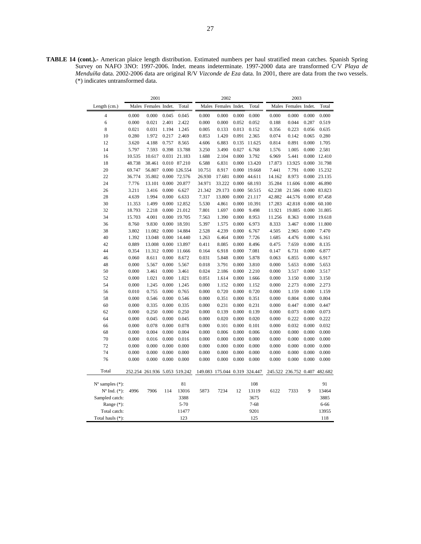**TABLE 14 (cont.).-** American plaice length distribution. Estimated numbers per haul stratified mean catches. Spanish Spring Survey on NAFO 3NO: 1997-2006. Indet. means indeterminate. 1997-2000 data are transformed C/V *Playa de Menduíña* data. 2002-2006 data are original R/V *Vizconde de Eza* data. In 2001, there are data from the two vessels. (\*) indicates untransformed data.

|                             |        | 2001                          |       |               |        | 2002                          |       |          |        | 2003                          |       |          |
|-----------------------------|--------|-------------------------------|-------|---------------|--------|-------------------------------|-------|----------|--------|-------------------------------|-------|----------|
| Length (cm.)                |        | Males Females Indet.          |       | Total         |        | Males Females Indet.          |       | Total    |        | Males Females Indet.          |       | Total    |
| $\overline{4}$              | 0.000  | 0.000                         | 0.045 | 0.045         | 0.000  | 0.000                         | 0.000 | 0.000    | 0.000  | 0.000                         | 0.000 | 0.000    |
| 6                           | 0.000  | 0.021                         | 2.401 | 2.422         | 0.000  | 0.000                         | 0.052 | 0.052    | 0.188  | 0.044                         | 0.287 | 0.519    |
| 8                           | 0.021  | 0.031                         | 1.194 | 1.245         | 0.005  | 0.133                         | 0.013 | 0.152    | 0.356  | 0.223                         | 0.056 | 0.635    |
| 10                          | 0.280  | 1.972                         | 0.217 | 2.469         | 0.853  | 1.420                         | 0.091 | 2.365    | 0.074  | 0.142                         | 0.065 | 0.280    |
| 12                          | 3.620  | 4.188                         | 0.757 | 8.565         | 4.606  | 6.883                         | 0.135 | 11.625   | 0.814  | 0.891                         | 0.000 | 1.705    |
| 14                          | 5.797  | 7.593                         | 0.398 | 13.788        | 3.250  | 3.490                         | 0.027 | 6.768    | 1.576  | 1.005                         | 0.000 | 2.581    |
| 16                          | 10.535 | 10.617                        | 0.031 | 21.183        | 1.688  | 2.104                         | 0.000 | 3.792    | 6.969  | 5.441                         | 0.000 | 12.410   |
| 18                          | 48.738 | 38.461                        |       | 0.010 87.210  | 6.588  | 6.831                         | 0.000 | 13.420   | 17.873 | 13.925                        | 0.000 | 31.798   |
| 20                          | 69.747 | 56.807                        |       | 0.000 126.554 | 10.751 | 8.917                         | 0.000 | 19.668   | 7.441  | 7.791                         | 0.000 | 15.232   |
| 22                          | 36.774 | 35.802                        | 0.000 | 72.576        | 26.930 | 17.681                        | 0.000 | 44.611   | 14.162 | 8.973                         | 0.000 | 23.135   |
| 24                          | 7.776  | 13.101                        | 0.000 | 20.877        | 34.971 | 33.222                        | 0.000 | 68.193   | 35.284 | 11.606                        | 0.000 | 46.890   |
| 26                          | 3.211  | 3.416                         | 0.000 | 6.627         | 21.342 | 29.173                        | 0.000 | 50.515   | 62.238 | 21.586                        | 0.000 | 83.823   |
| 28                          | 4.639  | 1.994                         | 0.000 | 6.633         | 7.317  | 13.800                        | 0.000 | 21.117   | 42.882 | 44.576                        | 0.000 | 87.458   |
| 30                          | 11.353 | 1.499                         | 0.000 | 12.852        | 5.530  | 4.861                         | 0.000 | 10.391   | 17.283 | 42.818                        | 0.000 | 60.100   |
| 32                          | 18.793 | 2.218                         | 0.000 | 21.012        | 7.801  | 1.697                         | 0.000 | 9.498    | 11.921 | 19.885                        | 0.000 | 31.805   |
| 34                          | 15.703 | 4.001                         | 0.000 | 19.705        | 7.563  | 1.390                         | 0.000 | 8.953    | 11.256 | 8.363                         | 0.000 | 19.618   |
| 36                          | 8.760  | 9.830                         |       | 0.000 18.591  | 5.397  | 1.575                         | 0.000 | 6.973    | 8.333  | 3.467                         | 0.000 | 11.800   |
| 38                          | 3.802  | 11.082                        | 0.000 | 14.884        | 2.528  | 4.239                         | 0.000 | 6.767    | 4.505  | 2.965                         | 0.000 | 7.470    |
| 40                          | 1.392  | 13.048                        | 0.000 | 14.440        | 1.263  | 6.464                         | 0.000 | 7.726    | 1.685  | 4.476                         | 0.000 | 6.161    |
| 42                          | 0.889  | 13.008                        | 0.000 | 13.897        | 0.411  | 8.085                         | 0.000 | 8.496    | 0.475  | 7.659                         | 0.000 | 8.135    |
| 44                          | 0.354  | 11.312                        | 0.000 | 11.666        | 0.164  | 6.918                         | 0.000 | 7.081    | 0.147  | 6.731                         | 0.000 | 6.877    |
| 46                          | 0.060  | 8.611                         | 0.000 | 8.672         | 0.031  | 5.848                         | 0.000 | 5.878    | 0.063  | 6.855                         | 0.000 | 6.917    |
| 48                          | 0.000  | 5.567                         | 0.000 | 5.567         | 0.018  | 3.791                         | 0.000 | 3.810    | 0.000  | 5.653                         | 0.000 | 5.653    |
| 50                          | 0.000  | 3.461                         | 0.000 | 3.461         | 0.024  | 2.186                         | 0.000 | 2.210    | 0.000  | 3.517                         | 0.000 | 3.517    |
| 52                          | 0.000  | 1.021                         | 0.000 | 1.021         | 0.051  | 1.614                         | 0.000 | 1.666    | 0.000  | 3.150                         | 0.000 | 3.150    |
| 54                          | 0.000  | 1.245                         | 0.000 | 1.245         | 0.000  | 1.152                         | 0.000 | 1.152    | 0.000  | 2.273                         | 0.000 | 2.273    |
| 56                          | 0.010  | 0.755                         | 0.000 | 0.765         | 0.000  | 0.720                         | 0.000 | 0.720    | 0.000  | 1.159                         | 0.000 | 1.159    |
| 58                          | 0.000  | 0.546                         | 0.000 | 0.546         | 0.000  | 0.351                         | 0.000 | 0.351    | 0.000  | 0.804                         | 0.000 | 0.804    |
| 60                          | 0.000  | 0.335                         | 0.000 | 0.335         | 0.000  | 0.231                         | 0.000 | 0.231    | 0.000  | 0.447                         | 0.000 | 0.447    |
| 62                          | 0.000  | 0.250                         | 0.000 | 0.250         | 0.000  | 0.139                         | 0.000 | 0.139    | 0.000  | 0.073                         | 0.000 | 0.073    |
| 64                          | 0.000  | 0.045                         | 0.000 | 0.045         | 0.000  | 0.020                         | 0.000 | 0.020    | 0.000  | 0.222                         | 0.000 | 0.222    |
| 66                          | 0.000  | 0.078                         | 0.000 | 0.078         | 0.000  | 0.101                         | 0.000 | 0.101    | 0.000  | 0.032                         | 0.000 | 0.032    |
| 68                          | 0.000  | 0.004                         | 0.000 | 0.004         | 0.000  | 0.006                         | 0.000 | 0.006    | 0.000  | 0.000                         | 0.000 | 0.000    |
| 70                          | 0.000  | 0.016                         | 0.000 | 0.016         | 0.000  | 0.000                         | 0.000 | 0.000    | 0.000  | 0.000                         | 0.000 | 0.000    |
| 72                          | 0.000  | 0.000                         | 0.000 | 0.000         | 0.000  | 0.000                         | 0.000 | 0.000    | 0.000  | 0.000                         | 0.000 | 0.000    |
| 74                          | 0.000  | 0.000                         | 0.000 | 0.000         | 0.000  | 0.000                         | 0.000 | 0.000    | 0.000  | 0.000                         | 0.000 | 0.000    |
| 76                          | 0.000  | 0.000                         | 0.000 | 0.000         | 0.000  | 0.000                         | 0.000 | 0.000    | 0.000  | 0.000                         | 0.000 | 0.000    |
| Total                       |        | 252.254 261.936 5.053 519.242 |       |               |        | 149.083 175.044 0.319 324.447 |       |          |        | 245.522 236.752 0.407 482.682 |       |          |
| $N^{\circ}$ samples $(*)$ : |        |                               |       | 81            |        |                               |       | 108      |        |                               |       | 91       |
| $N^{\circ}$ Ind. $(*)$ :    | 4996   | 7906                          | 114   | 13016         | 5873   | 7234                          | 12    | 13119    | 6122   | 7333                          | 9     | 13464    |
| Sampled catch:              |        |                               |       | 3388          |        |                               |       | 3675     |        |                               |       | 3885     |
| Range $(*)$ :               |        |                               |       | 5-70          |        |                               |       | $7 - 68$ |        |                               |       | $6 - 66$ |
| Total catch:                |        |                               |       | 11477         |        |                               |       | 9201     |        |                               |       | 13955    |
| Total hauls (*):            |        |                               |       | 123           |        |                               |       | 125      |        |                               |       | 118      |
|                             |        |                               |       |               |        |                               |       |          |        |                               |       |          |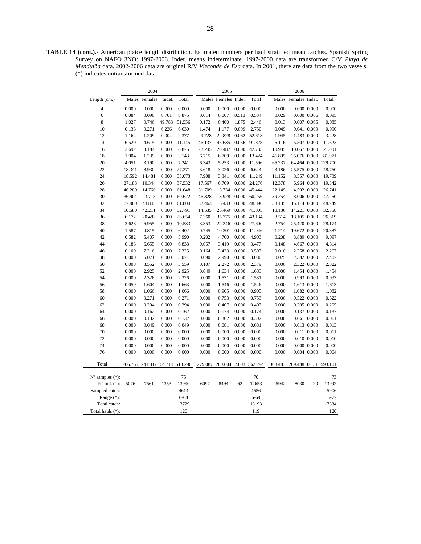**TABLE 14 (cont.).-** American plaice length distribution. Estimated numbers per haul stratified mean catches. Spanish Spring Survey on NAFO 3NO: 1997-2006. Indet. means indeterminate. 1997-2000 data are transformed C/V *Playa de Menduíña* data. 2002-2006 data are original R/V *Vizconde de Eza* data. In 2001, there are data from the two vessels. (\*) indicates untransformed data.

| Males Females Indet.<br>Males Females<br>Indet.<br>Total<br>Total<br>Males Females Indet.<br>Total<br>Length (cm.)<br>$\overline{4}$<br>0.000<br>0.000<br>0.000<br>0.000<br>0.000<br>0.000<br>0.000<br>0.000<br>$0.000\ 0.000$<br>0.000<br>0.000<br>6<br>0.084<br>0.090<br>8.701<br>8.875<br>0.007<br>0.513<br>0.534<br>0.014<br>0.029<br>$0.000$ $0.066$<br>0.095<br>8<br>1.027<br>0.746<br>49.783<br>51.556<br>0.400<br>1.875<br>2.446<br>0.007 0.065<br>0.085<br>0.172<br>0.013<br>0.099<br>2.750<br>10<br>0.133<br>0.271<br>6.226<br>6.630<br>1.474<br>1.177<br>0.049<br>0.041 0.000<br>0.090<br>12<br>1.209<br>0.004<br>2.377<br>22.828<br>0.062<br>52.618<br>1.945<br>1.483 0.000<br>1.164<br>29.728<br>3.428<br>14<br>6.529<br>4.615<br>0.000<br>11.145<br>46.137<br>45.635<br>0.056<br>91.828<br>6.116<br>5.507 0.000<br>11.623<br>16<br>20.487<br>0.000<br>42.733<br>10.067 0.000<br>21.001<br>3.692<br>3.184<br>0.000<br>6.875<br>22.245<br>10.935<br>18<br>1.904<br>1.239<br>0.000<br>3.143<br>6.715<br>6.709<br>0.000<br>13.424<br>46.895<br>35.076 0.000<br>81.971<br>20<br>7.241<br>5.253<br>0.000<br>11.596<br>65.237<br>64.464 0.000 129.700<br>4.051<br>3.190<br>0.000<br>6.343<br>22<br>18.341<br>8.930<br>0.000<br>27.271<br>3.618<br>3.026<br>0.000<br>6.644<br>23.186<br>25.575 0.000<br>48.760<br>24<br>18.592<br>14.481<br>0.000<br>33.073<br>7.908<br>3.341<br>0.000<br>8.557 0.000<br>19.709<br>11.249<br>11.152<br>26<br>6.709<br>27.188<br>10.344<br>0.000<br>37.532<br>17.567<br>0.000<br>24.276<br>12.378<br>6.964 0.000<br>19.342<br>28<br>46.289<br>14.760<br>0.000<br>61.048<br>31.709<br>13.734<br>0.000<br>45.444<br>22.149<br>4.592 0.000<br>26.741<br>30<br>36.904<br>0.000<br>47.260<br>23.718<br>0.000<br>60.622<br>46.328<br>13.928<br>60.256<br>39.254<br>8.006 0.000<br>32<br>17.960<br>43.845<br>61.804<br>16.433<br>0.000<br>15.114 0.000<br>48.249<br>0.000<br>32.463<br>48.896<br>33.135<br>34<br>10.580<br>42.211<br>0.000<br>52.791<br>14.535<br>26.469<br>0.000<br>41.005<br>18.136<br>14.221 0.000<br>32.358<br>36<br>35.775<br>0.000<br>43.134<br>8.514<br>18.105 0.000<br>26.619<br>6.172<br>20.482<br>0.000<br>26.654<br>7.360<br>38<br>3.628<br>6.955<br>0.000<br>10.583<br>3.353<br>24.246<br>0.000<br>27.600<br>2.754<br>25.420 0.000<br>28.174<br>40<br>10.301<br>1.214<br>1.587<br>4.815<br>0.000<br>6.402<br>0.745<br>0.000<br>11.046<br>19.672 0.000<br>20.887<br>42<br>5.407<br>5.990<br>0.202<br>4.700<br>0.000<br>0.582<br>0.000<br>4.903<br>0.208<br>8.889 0.000<br>9.097<br>44<br>0.183<br>6.655<br>0.000<br>6.838<br>0.057<br>3.419<br>0.000<br>3.477<br>0.148<br>4.667 0.000<br>4.814<br>46<br>0.109<br>7.216<br>0.000<br>7.325<br>0.164<br>3.433<br>0.000<br>3.597<br>0.010<br>2.258 0.000<br>2.267<br>48<br>0.000<br>5.071<br>0.000<br>5.071<br>0.090<br>2.990<br>0.000<br>3.080<br>0.025<br>2.382 0.000<br>2.407<br>50<br>0.008<br>3.552<br>0.000<br>3.559<br>0.107<br>2.272<br>0.000<br>2.379<br>0.000<br>2.322 0.000<br>2.322<br>52<br>2.925<br>2.925<br>0.049<br>1.634<br>1.454 0.000<br>1.454<br>0.000<br>0.000<br>0.000<br>1.683<br>0.000<br>0.993<br>54<br>0.000<br>2.326<br>0.000<br>2.326<br>0.000<br>1.531<br>0.000<br>1.531<br>0.000<br>0.993 0.000<br>56<br>0.059<br>1.604<br>0.000<br>1.663<br>0.000<br>1.546<br>0.000<br>1.546<br>0.000<br>1.613 0.000<br>1.613<br>58<br>0.000<br>1.066<br>0.905<br>0.000<br>0.905<br>1.082 0.000<br>1.082<br>0.000<br>1.066<br>0.000<br>0.000<br>60<br>0.000<br>0.271<br>0.000<br>0.271<br>0.000<br>0.753<br>0.000<br>0.753<br>0.522 0.000<br>0.522<br>0.000<br>0.407<br>62<br>0.000<br>0.294<br>0.000<br>0.294<br>0.000<br>0.000<br>0.407<br>0.000<br>0.205 0.000<br>0.205<br>64<br>0.000<br>0.000<br>0.162<br>0.000<br>0.174<br>0.000<br>0.174<br>0.000<br>0.137 0.000<br>0.137<br>0.162<br>0.061 0.000<br>66<br>0.000<br>0.132<br>0.000<br>0.132<br>0.000<br>0.302<br>0.000<br>0.302<br>0.000<br>0.061<br>68<br>0.000<br>0.049<br>0.049<br>0.000<br>0.081<br>0.013 0.000<br>0.013<br>0.000<br>0.000<br>0.081<br>0.000<br>70<br>0.000<br>0.000<br>0.000<br>0.000<br>0.000<br>0.000<br>0.000<br>0.000<br>0.000<br>0.011 0.000<br>0.011<br>72<br>0.000<br>0.010<br>0.000<br>0.000<br>0.000<br>0.000<br>0.000<br>0.000<br>0.000<br>0.000<br>$0.010$ $0.000$<br>74<br>0.000<br>0.000<br>0.000<br>0.000<br>0.000<br>0.000<br>0.000<br>0.000<br>0.000<br>$0.000$ $0.000$<br>0.000<br>76<br>0.000<br>0.000<br>0.000<br>0.000<br>0.000<br>0.000<br>0.000<br>0.000<br>0.000<br>0.004 0.000<br>0.004<br>Total<br>280.604 2.603 562.294<br>206.765 241.817 64.714 513.296<br>279.087<br>303.483<br>289.488 0.131 593.101<br>75<br>70<br>$No$ samples $(*)$ :<br>73<br>$No$ Ind. $(*)$ :<br>13990<br>6097<br>8494<br>5942<br>8030<br>20<br>13992<br>5076<br>7561<br>1353<br>62<br>14653<br>4614<br>4556<br>5906<br>Sampled catch:<br>$6 - 77$<br>Range (*):<br>$6 - 68$<br>$6 - 69$<br>13729<br>13193<br>17334<br>Total catch:<br>120<br>119<br>Total hauls (*): |  | 2004 |  | 2005 |  | 2006 |     |
|---------------------------------------------------------------------------------------------------------------------------------------------------------------------------------------------------------------------------------------------------------------------------------------------------------------------------------------------------------------------------------------------------------------------------------------------------------------------------------------------------------------------------------------------------------------------------------------------------------------------------------------------------------------------------------------------------------------------------------------------------------------------------------------------------------------------------------------------------------------------------------------------------------------------------------------------------------------------------------------------------------------------------------------------------------------------------------------------------------------------------------------------------------------------------------------------------------------------------------------------------------------------------------------------------------------------------------------------------------------------------------------------------------------------------------------------------------------------------------------------------------------------------------------------------------------------------------------------------------------------------------------------------------------------------------------------------------------------------------------------------------------------------------------------------------------------------------------------------------------------------------------------------------------------------------------------------------------------------------------------------------------------------------------------------------------------------------------------------------------------------------------------------------------------------------------------------------------------------------------------------------------------------------------------------------------------------------------------------------------------------------------------------------------------------------------------------------------------------------------------------------------------------------------------------------------------------------------------------------------------------------------------------------------------------------------------------------------------------------------------------------------------------------------------------------------------------------------------------------------------------------------------------------------------------------------------------------------------------------------------------------------------------------------------------------------------------------------------------------------------------------------------------------------------------------------------------------------------------------------------------------------------------------------------------------------------------------------------------------------------------------------------------------------------------------------------------------------------------------------------------------------------------------------------------------------------------------------------------------------------------------------------------------------------------------------------------------------------------------------------------------------------------------------------------------------------------------------------------------------------------------------------------------------------------------------------------------------------------------------------------------------------------------------------------------------------------------------------------------------------------------------------------------------------------------------------------------------------------------------------------------------------------------------------------------------------------------------------------------------------------------------------------------------------------------------------------------------------------------------------------------------------------------------------------------------------------------------------------------------------------------------------------------------------------------------------------------------------------------------------------------------------------------------------------------------------------------------------------------------------------------------------------------------------------------------------------------------------------|--|------|--|------|--|------|-----|
|                                                                                                                                                                                                                                                                                                                                                                                                                                                                                                                                                                                                                                                                                                                                                                                                                                                                                                                                                                                                                                                                                                                                                                                                                                                                                                                                                                                                                                                                                                                                                                                                                                                                                                                                                                                                                                                                                                                                                                                                                                                                                                                                                                                                                                                                                                                                                                                                                                                                                                                                                                                                                                                                                                                                                                                                                                                                                                                                                                                                                                                                                                                                                                                                                                                                                                                                                                                                                                                                                                                                                                                                                                                                                                                                                                                                                                                                                                                                                                                                                                                                                                                                                                                                                                                                                                                                                                                                                                                                                                                                                                                                                                                                                                                                                                                                                                                                                                                                                                           |  |      |  |      |  |      |     |
|                                                                                                                                                                                                                                                                                                                                                                                                                                                                                                                                                                                                                                                                                                                                                                                                                                                                                                                                                                                                                                                                                                                                                                                                                                                                                                                                                                                                                                                                                                                                                                                                                                                                                                                                                                                                                                                                                                                                                                                                                                                                                                                                                                                                                                                                                                                                                                                                                                                                                                                                                                                                                                                                                                                                                                                                                                                                                                                                                                                                                                                                                                                                                                                                                                                                                                                                                                                                                                                                                                                                                                                                                                                                                                                                                                                                                                                                                                                                                                                                                                                                                                                                                                                                                                                                                                                                                                                                                                                                                                                                                                                                                                                                                                                                                                                                                                                                                                                                                                           |  |      |  |      |  |      |     |
|                                                                                                                                                                                                                                                                                                                                                                                                                                                                                                                                                                                                                                                                                                                                                                                                                                                                                                                                                                                                                                                                                                                                                                                                                                                                                                                                                                                                                                                                                                                                                                                                                                                                                                                                                                                                                                                                                                                                                                                                                                                                                                                                                                                                                                                                                                                                                                                                                                                                                                                                                                                                                                                                                                                                                                                                                                                                                                                                                                                                                                                                                                                                                                                                                                                                                                                                                                                                                                                                                                                                                                                                                                                                                                                                                                                                                                                                                                                                                                                                                                                                                                                                                                                                                                                                                                                                                                                                                                                                                                                                                                                                                                                                                                                                                                                                                                                                                                                                                                           |  |      |  |      |  |      |     |
|                                                                                                                                                                                                                                                                                                                                                                                                                                                                                                                                                                                                                                                                                                                                                                                                                                                                                                                                                                                                                                                                                                                                                                                                                                                                                                                                                                                                                                                                                                                                                                                                                                                                                                                                                                                                                                                                                                                                                                                                                                                                                                                                                                                                                                                                                                                                                                                                                                                                                                                                                                                                                                                                                                                                                                                                                                                                                                                                                                                                                                                                                                                                                                                                                                                                                                                                                                                                                                                                                                                                                                                                                                                                                                                                                                                                                                                                                                                                                                                                                                                                                                                                                                                                                                                                                                                                                                                                                                                                                                                                                                                                                                                                                                                                                                                                                                                                                                                                                                           |  |      |  |      |  |      |     |
|                                                                                                                                                                                                                                                                                                                                                                                                                                                                                                                                                                                                                                                                                                                                                                                                                                                                                                                                                                                                                                                                                                                                                                                                                                                                                                                                                                                                                                                                                                                                                                                                                                                                                                                                                                                                                                                                                                                                                                                                                                                                                                                                                                                                                                                                                                                                                                                                                                                                                                                                                                                                                                                                                                                                                                                                                                                                                                                                                                                                                                                                                                                                                                                                                                                                                                                                                                                                                                                                                                                                                                                                                                                                                                                                                                                                                                                                                                                                                                                                                                                                                                                                                                                                                                                                                                                                                                                                                                                                                                                                                                                                                                                                                                                                                                                                                                                                                                                                                                           |  |      |  |      |  |      |     |
|                                                                                                                                                                                                                                                                                                                                                                                                                                                                                                                                                                                                                                                                                                                                                                                                                                                                                                                                                                                                                                                                                                                                                                                                                                                                                                                                                                                                                                                                                                                                                                                                                                                                                                                                                                                                                                                                                                                                                                                                                                                                                                                                                                                                                                                                                                                                                                                                                                                                                                                                                                                                                                                                                                                                                                                                                                                                                                                                                                                                                                                                                                                                                                                                                                                                                                                                                                                                                                                                                                                                                                                                                                                                                                                                                                                                                                                                                                                                                                                                                                                                                                                                                                                                                                                                                                                                                                                                                                                                                                                                                                                                                                                                                                                                                                                                                                                                                                                                                                           |  |      |  |      |  |      |     |
|                                                                                                                                                                                                                                                                                                                                                                                                                                                                                                                                                                                                                                                                                                                                                                                                                                                                                                                                                                                                                                                                                                                                                                                                                                                                                                                                                                                                                                                                                                                                                                                                                                                                                                                                                                                                                                                                                                                                                                                                                                                                                                                                                                                                                                                                                                                                                                                                                                                                                                                                                                                                                                                                                                                                                                                                                                                                                                                                                                                                                                                                                                                                                                                                                                                                                                                                                                                                                                                                                                                                                                                                                                                                                                                                                                                                                                                                                                                                                                                                                                                                                                                                                                                                                                                                                                                                                                                                                                                                                                                                                                                                                                                                                                                                                                                                                                                                                                                                                                           |  |      |  |      |  |      |     |
|                                                                                                                                                                                                                                                                                                                                                                                                                                                                                                                                                                                                                                                                                                                                                                                                                                                                                                                                                                                                                                                                                                                                                                                                                                                                                                                                                                                                                                                                                                                                                                                                                                                                                                                                                                                                                                                                                                                                                                                                                                                                                                                                                                                                                                                                                                                                                                                                                                                                                                                                                                                                                                                                                                                                                                                                                                                                                                                                                                                                                                                                                                                                                                                                                                                                                                                                                                                                                                                                                                                                                                                                                                                                                                                                                                                                                                                                                                                                                                                                                                                                                                                                                                                                                                                                                                                                                                                                                                                                                                                                                                                                                                                                                                                                                                                                                                                                                                                                                                           |  |      |  |      |  |      |     |
|                                                                                                                                                                                                                                                                                                                                                                                                                                                                                                                                                                                                                                                                                                                                                                                                                                                                                                                                                                                                                                                                                                                                                                                                                                                                                                                                                                                                                                                                                                                                                                                                                                                                                                                                                                                                                                                                                                                                                                                                                                                                                                                                                                                                                                                                                                                                                                                                                                                                                                                                                                                                                                                                                                                                                                                                                                                                                                                                                                                                                                                                                                                                                                                                                                                                                                                                                                                                                                                                                                                                                                                                                                                                                                                                                                                                                                                                                                                                                                                                                                                                                                                                                                                                                                                                                                                                                                                                                                                                                                                                                                                                                                                                                                                                                                                                                                                                                                                                                                           |  |      |  |      |  |      |     |
|                                                                                                                                                                                                                                                                                                                                                                                                                                                                                                                                                                                                                                                                                                                                                                                                                                                                                                                                                                                                                                                                                                                                                                                                                                                                                                                                                                                                                                                                                                                                                                                                                                                                                                                                                                                                                                                                                                                                                                                                                                                                                                                                                                                                                                                                                                                                                                                                                                                                                                                                                                                                                                                                                                                                                                                                                                                                                                                                                                                                                                                                                                                                                                                                                                                                                                                                                                                                                                                                                                                                                                                                                                                                                                                                                                                                                                                                                                                                                                                                                                                                                                                                                                                                                                                                                                                                                                                                                                                                                                                                                                                                                                                                                                                                                                                                                                                                                                                                                                           |  |      |  |      |  |      |     |
|                                                                                                                                                                                                                                                                                                                                                                                                                                                                                                                                                                                                                                                                                                                                                                                                                                                                                                                                                                                                                                                                                                                                                                                                                                                                                                                                                                                                                                                                                                                                                                                                                                                                                                                                                                                                                                                                                                                                                                                                                                                                                                                                                                                                                                                                                                                                                                                                                                                                                                                                                                                                                                                                                                                                                                                                                                                                                                                                                                                                                                                                                                                                                                                                                                                                                                                                                                                                                                                                                                                                                                                                                                                                                                                                                                                                                                                                                                                                                                                                                                                                                                                                                                                                                                                                                                                                                                                                                                                                                                                                                                                                                                                                                                                                                                                                                                                                                                                                                                           |  |      |  |      |  |      |     |
|                                                                                                                                                                                                                                                                                                                                                                                                                                                                                                                                                                                                                                                                                                                                                                                                                                                                                                                                                                                                                                                                                                                                                                                                                                                                                                                                                                                                                                                                                                                                                                                                                                                                                                                                                                                                                                                                                                                                                                                                                                                                                                                                                                                                                                                                                                                                                                                                                                                                                                                                                                                                                                                                                                                                                                                                                                                                                                                                                                                                                                                                                                                                                                                                                                                                                                                                                                                                                                                                                                                                                                                                                                                                                                                                                                                                                                                                                                                                                                                                                                                                                                                                                                                                                                                                                                                                                                                                                                                                                                                                                                                                                                                                                                                                                                                                                                                                                                                                                                           |  |      |  |      |  |      |     |
|                                                                                                                                                                                                                                                                                                                                                                                                                                                                                                                                                                                                                                                                                                                                                                                                                                                                                                                                                                                                                                                                                                                                                                                                                                                                                                                                                                                                                                                                                                                                                                                                                                                                                                                                                                                                                                                                                                                                                                                                                                                                                                                                                                                                                                                                                                                                                                                                                                                                                                                                                                                                                                                                                                                                                                                                                                                                                                                                                                                                                                                                                                                                                                                                                                                                                                                                                                                                                                                                                                                                                                                                                                                                                                                                                                                                                                                                                                                                                                                                                                                                                                                                                                                                                                                                                                                                                                                                                                                                                                                                                                                                                                                                                                                                                                                                                                                                                                                                                                           |  |      |  |      |  |      |     |
|                                                                                                                                                                                                                                                                                                                                                                                                                                                                                                                                                                                                                                                                                                                                                                                                                                                                                                                                                                                                                                                                                                                                                                                                                                                                                                                                                                                                                                                                                                                                                                                                                                                                                                                                                                                                                                                                                                                                                                                                                                                                                                                                                                                                                                                                                                                                                                                                                                                                                                                                                                                                                                                                                                                                                                                                                                                                                                                                                                                                                                                                                                                                                                                                                                                                                                                                                                                                                                                                                                                                                                                                                                                                                                                                                                                                                                                                                                                                                                                                                                                                                                                                                                                                                                                                                                                                                                                                                                                                                                                                                                                                                                                                                                                                                                                                                                                                                                                                                                           |  |      |  |      |  |      |     |
|                                                                                                                                                                                                                                                                                                                                                                                                                                                                                                                                                                                                                                                                                                                                                                                                                                                                                                                                                                                                                                                                                                                                                                                                                                                                                                                                                                                                                                                                                                                                                                                                                                                                                                                                                                                                                                                                                                                                                                                                                                                                                                                                                                                                                                                                                                                                                                                                                                                                                                                                                                                                                                                                                                                                                                                                                                                                                                                                                                                                                                                                                                                                                                                                                                                                                                                                                                                                                                                                                                                                                                                                                                                                                                                                                                                                                                                                                                                                                                                                                                                                                                                                                                                                                                                                                                                                                                                                                                                                                                                                                                                                                                                                                                                                                                                                                                                                                                                                                                           |  |      |  |      |  |      |     |
|                                                                                                                                                                                                                                                                                                                                                                                                                                                                                                                                                                                                                                                                                                                                                                                                                                                                                                                                                                                                                                                                                                                                                                                                                                                                                                                                                                                                                                                                                                                                                                                                                                                                                                                                                                                                                                                                                                                                                                                                                                                                                                                                                                                                                                                                                                                                                                                                                                                                                                                                                                                                                                                                                                                                                                                                                                                                                                                                                                                                                                                                                                                                                                                                                                                                                                                                                                                                                                                                                                                                                                                                                                                                                                                                                                                                                                                                                                                                                                                                                                                                                                                                                                                                                                                                                                                                                                                                                                                                                                                                                                                                                                                                                                                                                                                                                                                                                                                                                                           |  |      |  |      |  |      |     |
|                                                                                                                                                                                                                                                                                                                                                                                                                                                                                                                                                                                                                                                                                                                                                                                                                                                                                                                                                                                                                                                                                                                                                                                                                                                                                                                                                                                                                                                                                                                                                                                                                                                                                                                                                                                                                                                                                                                                                                                                                                                                                                                                                                                                                                                                                                                                                                                                                                                                                                                                                                                                                                                                                                                                                                                                                                                                                                                                                                                                                                                                                                                                                                                                                                                                                                                                                                                                                                                                                                                                                                                                                                                                                                                                                                                                                                                                                                                                                                                                                                                                                                                                                                                                                                                                                                                                                                                                                                                                                                                                                                                                                                                                                                                                                                                                                                                                                                                                                                           |  |      |  |      |  |      |     |
|                                                                                                                                                                                                                                                                                                                                                                                                                                                                                                                                                                                                                                                                                                                                                                                                                                                                                                                                                                                                                                                                                                                                                                                                                                                                                                                                                                                                                                                                                                                                                                                                                                                                                                                                                                                                                                                                                                                                                                                                                                                                                                                                                                                                                                                                                                                                                                                                                                                                                                                                                                                                                                                                                                                                                                                                                                                                                                                                                                                                                                                                                                                                                                                                                                                                                                                                                                                                                                                                                                                                                                                                                                                                                                                                                                                                                                                                                                                                                                                                                                                                                                                                                                                                                                                                                                                                                                                                                                                                                                                                                                                                                                                                                                                                                                                                                                                                                                                                                                           |  |      |  |      |  |      |     |
|                                                                                                                                                                                                                                                                                                                                                                                                                                                                                                                                                                                                                                                                                                                                                                                                                                                                                                                                                                                                                                                                                                                                                                                                                                                                                                                                                                                                                                                                                                                                                                                                                                                                                                                                                                                                                                                                                                                                                                                                                                                                                                                                                                                                                                                                                                                                                                                                                                                                                                                                                                                                                                                                                                                                                                                                                                                                                                                                                                                                                                                                                                                                                                                                                                                                                                                                                                                                                                                                                                                                                                                                                                                                                                                                                                                                                                                                                                                                                                                                                                                                                                                                                                                                                                                                                                                                                                                                                                                                                                                                                                                                                                                                                                                                                                                                                                                                                                                                                                           |  |      |  |      |  |      |     |
|                                                                                                                                                                                                                                                                                                                                                                                                                                                                                                                                                                                                                                                                                                                                                                                                                                                                                                                                                                                                                                                                                                                                                                                                                                                                                                                                                                                                                                                                                                                                                                                                                                                                                                                                                                                                                                                                                                                                                                                                                                                                                                                                                                                                                                                                                                                                                                                                                                                                                                                                                                                                                                                                                                                                                                                                                                                                                                                                                                                                                                                                                                                                                                                                                                                                                                                                                                                                                                                                                                                                                                                                                                                                                                                                                                                                                                                                                                                                                                                                                                                                                                                                                                                                                                                                                                                                                                                                                                                                                                                                                                                                                                                                                                                                                                                                                                                                                                                                                                           |  |      |  |      |  |      |     |
|                                                                                                                                                                                                                                                                                                                                                                                                                                                                                                                                                                                                                                                                                                                                                                                                                                                                                                                                                                                                                                                                                                                                                                                                                                                                                                                                                                                                                                                                                                                                                                                                                                                                                                                                                                                                                                                                                                                                                                                                                                                                                                                                                                                                                                                                                                                                                                                                                                                                                                                                                                                                                                                                                                                                                                                                                                                                                                                                                                                                                                                                                                                                                                                                                                                                                                                                                                                                                                                                                                                                                                                                                                                                                                                                                                                                                                                                                                                                                                                                                                                                                                                                                                                                                                                                                                                                                                                                                                                                                                                                                                                                                                                                                                                                                                                                                                                                                                                                                                           |  |      |  |      |  |      |     |
|                                                                                                                                                                                                                                                                                                                                                                                                                                                                                                                                                                                                                                                                                                                                                                                                                                                                                                                                                                                                                                                                                                                                                                                                                                                                                                                                                                                                                                                                                                                                                                                                                                                                                                                                                                                                                                                                                                                                                                                                                                                                                                                                                                                                                                                                                                                                                                                                                                                                                                                                                                                                                                                                                                                                                                                                                                                                                                                                                                                                                                                                                                                                                                                                                                                                                                                                                                                                                                                                                                                                                                                                                                                                                                                                                                                                                                                                                                                                                                                                                                                                                                                                                                                                                                                                                                                                                                                                                                                                                                                                                                                                                                                                                                                                                                                                                                                                                                                                                                           |  |      |  |      |  |      |     |
|                                                                                                                                                                                                                                                                                                                                                                                                                                                                                                                                                                                                                                                                                                                                                                                                                                                                                                                                                                                                                                                                                                                                                                                                                                                                                                                                                                                                                                                                                                                                                                                                                                                                                                                                                                                                                                                                                                                                                                                                                                                                                                                                                                                                                                                                                                                                                                                                                                                                                                                                                                                                                                                                                                                                                                                                                                                                                                                                                                                                                                                                                                                                                                                                                                                                                                                                                                                                                                                                                                                                                                                                                                                                                                                                                                                                                                                                                                                                                                                                                                                                                                                                                                                                                                                                                                                                                                                                                                                                                                                                                                                                                                                                                                                                                                                                                                                                                                                                                                           |  |      |  |      |  |      |     |
|                                                                                                                                                                                                                                                                                                                                                                                                                                                                                                                                                                                                                                                                                                                                                                                                                                                                                                                                                                                                                                                                                                                                                                                                                                                                                                                                                                                                                                                                                                                                                                                                                                                                                                                                                                                                                                                                                                                                                                                                                                                                                                                                                                                                                                                                                                                                                                                                                                                                                                                                                                                                                                                                                                                                                                                                                                                                                                                                                                                                                                                                                                                                                                                                                                                                                                                                                                                                                                                                                                                                                                                                                                                                                                                                                                                                                                                                                                                                                                                                                                                                                                                                                                                                                                                                                                                                                                                                                                                                                                                                                                                                                                                                                                                                                                                                                                                                                                                                                                           |  |      |  |      |  |      |     |
|                                                                                                                                                                                                                                                                                                                                                                                                                                                                                                                                                                                                                                                                                                                                                                                                                                                                                                                                                                                                                                                                                                                                                                                                                                                                                                                                                                                                                                                                                                                                                                                                                                                                                                                                                                                                                                                                                                                                                                                                                                                                                                                                                                                                                                                                                                                                                                                                                                                                                                                                                                                                                                                                                                                                                                                                                                                                                                                                                                                                                                                                                                                                                                                                                                                                                                                                                                                                                                                                                                                                                                                                                                                                                                                                                                                                                                                                                                                                                                                                                                                                                                                                                                                                                                                                                                                                                                                                                                                                                                                                                                                                                                                                                                                                                                                                                                                                                                                                                                           |  |      |  |      |  |      |     |
|                                                                                                                                                                                                                                                                                                                                                                                                                                                                                                                                                                                                                                                                                                                                                                                                                                                                                                                                                                                                                                                                                                                                                                                                                                                                                                                                                                                                                                                                                                                                                                                                                                                                                                                                                                                                                                                                                                                                                                                                                                                                                                                                                                                                                                                                                                                                                                                                                                                                                                                                                                                                                                                                                                                                                                                                                                                                                                                                                                                                                                                                                                                                                                                                                                                                                                                                                                                                                                                                                                                                                                                                                                                                                                                                                                                                                                                                                                                                                                                                                                                                                                                                                                                                                                                                                                                                                                                                                                                                                                                                                                                                                                                                                                                                                                                                                                                                                                                                                                           |  |      |  |      |  |      |     |
|                                                                                                                                                                                                                                                                                                                                                                                                                                                                                                                                                                                                                                                                                                                                                                                                                                                                                                                                                                                                                                                                                                                                                                                                                                                                                                                                                                                                                                                                                                                                                                                                                                                                                                                                                                                                                                                                                                                                                                                                                                                                                                                                                                                                                                                                                                                                                                                                                                                                                                                                                                                                                                                                                                                                                                                                                                                                                                                                                                                                                                                                                                                                                                                                                                                                                                                                                                                                                                                                                                                                                                                                                                                                                                                                                                                                                                                                                                                                                                                                                                                                                                                                                                                                                                                                                                                                                                                                                                                                                                                                                                                                                                                                                                                                                                                                                                                                                                                                                                           |  |      |  |      |  |      |     |
|                                                                                                                                                                                                                                                                                                                                                                                                                                                                                                                                                                                                                                                                                                                                                                                                                                                                                                                                                                                                                                                                                                                                                                                                                                                                                                                                                                                                                                                                                                                                                                                                                                                                                                                                                                                                                                                                                                                                                                                                                                                                                                                                                                                                                                                                                                                                                                                                                                                                                                                                                                                                                                                                                                                                                                                                                                                                                                                                                                                                                                                                                                                                                                                                                                                                                                                                                                                                                                                                                                                                                                                                                                                                                                                                                                                                                                                                                                                                                                                                                                                                                                                                                                                                                                                                                                                                                                                                                                                                                                                                                                                                                                                                                                                                                                                                                                                                                                                                                                           |  |      |  |      |  |      |     |
|                                                                                                                                                                                                                                                                                                                                                                                                                                                                                                                                                                                                                                                                                                                                                                                                                                                                                                                                                                                                                                                                                                                                                                                                                                                                                                                                                                                                                                                                                                                                                                                                                                                                                                                                                                                                                                                                                                                                                                                                                                                                                                                                                                                                                                                                                                                                                                                                                                                                                                                                                                                                                                                                                                                                                                                                                                                                                                                                                                                                                                                                                                                                                                                                                                                                                                                                                                                                                                                                                                                                                                                                                                                                                                                                                                                                                                                                                                                                                                                                                                                                                                                                                                                                                                                                                                                                                                                                                                                                                                                                                                                                                                                                                                                                                                                                                                                                                                                                                                           |  |      |  |      |  |      |     |
|                                                                                                                                                                                                                                                                                                                                                                                                                                                                                                                                                                                                                                                                                                                                                                                                                                                                                                                                                                                                                                                                                                                                                                                                                                                                                                                                                                                                                                                                                                                                                                                                                                                                                                                                                                                                                                                                                                                                                                                                                                                                                                                                                                                                                                                                                                                                                                                                                                                                                                                                                                                                                                                                                                                                                                                                                                                                                                                                                                                                                                                                                                                                                                                                                                                                                                                                                                                                                                                                                                                                                                                                                                                                                                                                                                                                                                                                                                                                                                                                                                                                                                                                                                                                                                                                                                                                                                                                                                                                                                                                                                                                                                                                                                                                                                                                                                                                                                                                                                           |  |      |  |      |  |      |     |
|                                                                                                                                                                                                                                                                                                                                                                                                                                                                                                                                                                                                                                                                                                                                                                                                                                                                                                                                                                                                                                                                                                                                                                                                                                                                                                                                                                                                                                                                                                                                                                                                                                                                                                                                                                                                                                                                                                                                                                                                                                                                                                                                                                                                                                                                                                                                                                                                                                                                                                                                                                                                                                                                                                                                                                                                                                                                                                                                                                                                                                                                                                                                                                                                                                                                                                                                                                                                                                                                                                                                                                                                                                                                                                                                                                                                                                                                                                                                                                                                                                                                                                                                                                                                                                                                                                                                                                                                                                                                                                                                                                                                                                                                                                                                                                                                                                                                                                                                                                           |  |      |  |      |  |      |     |
|                                                                                                                                                                                                                                                                                                                                                                                                                                                                                                                                                                                                                                                                                                                                                                                                                                                                                                                                                                                                                                                                                                                                                                                                                                                                                                                                                                                                                                                                                                                                                                                                                                                                                                                                                                                                                                                                                                                                                                                                                                                                                                                                                                                                                                                                                                                                                                                                                                                                                                                                                                                                                                                                                                                                                                                                                                                                                                                                                                                                                                                                                                                                                                                                                                                                                                                                                                                                                                                                                                                                                                                                                                                                                                                                                                                                                                                                                                                                                                                                                                                                                                                                                                                                                                                                                                                                                                                                                                                                                                                                                                                                                                                                                                                                                                                                                                                                                                                                                                           |  |      |  |      |  |      |     |
|                                                                                                                                                                                                                                                                                                                                                                                                                                                                                                                                                                                                                                                                                                                                                                                                                                                                                                                                                                                                                                                                                                                                                                                                                                                                                                                                                                                                                                                                                                                                                                                                                                                                                                                                                                                                                                                                                                                                                                                                                                                                                                                                                                                                                                                                                                                                                                                                                                                                                                                                                                                                                                                                                                                                                                                                                                                                                                                                                                                                                                                                                                                                                                                                                                                                                                                                                                                                                                                                                                                                                                                                                                                                                                                                                                                                                                                                                                                                                                                                                                                                                                                                                                                                                                                                                                                                                                                                                                                                                                                                                                                                                                                                                                                                                                                                                                                                                                                                                                           |  |      |  |      |  |      |     |
|                                                                                                                                                                                                                                                                                                                                                                                                                                                                                                                                                                                                                                                                                                                                                                                                                                                                                                                                                                                                                                                                                                                                                                                                                                                                                                                                                                                                                                                                                                                                                                                                                                                                                                                                                                                                                                                                                                                                                                                                                                                                                                                                                                                                                                                                                                                                                                                                                                                                                                                                                                                                                                                                                                                                                                                                                                                                                                                                                                                                                                                                                                                                                                                                                                                                                                                                                                                                                                                                                                                                                                                                                                                                                                                                                                                                                                                                                                                                                                                                                                                                                                                                                                                                                                                                                                                                                                                                                                                                                                                                                                                                                                                                                                                                                                                                                                                                                                                                                                           |  |      |  |      |  |      |     |
|                                                                                                                                                                                                                                                                                                                                                                                                                                                                                                                                                                                                                                                                                                                                                                                                                                                                                                                                                                                                                                                                                                                                                                                                                                                                                                                                                                                                                                                                                                                                                                                                                                                                                                                                                                                                                                                                                                                                                                                                                                                                                                                                                                                                                                                                                                                                                                                                                                                                                                                                                                                                                                                                                                                                                                                                                                                                                                                                                                                                                                                                                                                                                                                                                                                                                                                                                                                                                                                                                                                                                                                                                                                                                                                                                                                                                                                                                                                                                                                                                                                                                                                                                                                                                                                                                                                                                                                                                                                                                                                                                                                                                                                                                                                                                                                                                                                                                                                                                                           |  |      |  |      |  |      |     |
|                                                                                                                                                                                                                                                                                                                                                                                                                                                                                                                                                                                                                                                                                                                                                                                                                                                                                                                                                                                                                                                                                                                                                                                                                                                                                                                                                                                                                                                                                                                                                                                                                                                                                                                                                                                                                                                                                                                                                                                                                                                                                                                                                                                                                                                                                                                                                                                                                                                                                                                                                                                                                                                                                                                                                                                                                                                                                                                                                                                                                                                                                                                                                                                                                                                                                                                                                                                                                                                                                                                                                                                                                                                                                                                                                                                                                                                                                                                                                                                                                                                                                                                                                                                                                                                                                                                                                                                                                                                                                                                                                                                                                                                                                                                                                                                                                                                                                                                                                                           |  |      |  |      |  |      |     |
|                                                                                                                                                                                                                                                                                                                                                                                                                                                                                                                                                                                                                                                                                                                                                                                                                                                                                                                                                                                                                                                                                                                                                                                                                                                                                                                                                                                                                                                                                                                                                                                                                                                                                                                                                                                                                                                                                                                                                                                                                                                                                                                                                                                                                                                                                                                                                                                                                                                                                                                                                                                                                                                                                                                                                                                                                                                                                                                                                                                                                                                                                                                                                                                                                                                                                                                                                                                                                                                                                                                                                                                                                                                                                                                                                                                                                                                                                                                                                                                                                                                                                                                                                                                                                                                                                                                                                                                                                                                                                                                                                                                                                                                                                                                                                                                                                                                                                                                                                                           |  |      |  |      |  |      |     |
|                                                                                                                                                                                                                                                                                                                                                                                                                                                                                                                                                                                                                                                                                                                                                                                                                                                                                                                                                                                                                                                                                                                                                                                                                                                                                                                                                                                                                                                                                                                                                                                                                                                                                                                                                                                                                                                                                                                                                                                                                                                                                                                                                                                                                                                                                                                                                                                                                                                                                                                                                                                                                                                                                                                                                                                                                                                                                                                                                                                                                                                                                                                                                                                                                                                                                                                                                                                                                                                                                                                                                                                                                                                                                                                                                                                                                                                                                                                                                                                                                                                                                                                                                                                                                                                                                                                                                                                                                                                                                                                                                                                                                                                                                                                                                                                                                                                                                                                                                                           |  |      |  |      |  |      |     |
|                                                                                                                                                                                                                                                                                                                                                                                                                                                                                                                                                                                                                                                                                                                                                                                                                                                                                                                                                                                                                                                                                                                                                                                                                                                                                                                                                                                                                                                                                                                                                                                                                                                                                                                                                                                                                                                                                                                                                                                                                                                                                                                                                                                                                                                                                                                                                                                                                                                                                                                                                                                                                                                                                                                                                                                                                                                                                                                                                                                                                                                                                                                                                                                                                                                                                                                                                                                                                                                                                                                                                                                                                                                                                                                                                                                                                                                                                                                                                                                                                                                                                                                                                                                                                                                                                                                                                                                                                                                                                                                                                                                                                                                                                                                                                                                                                                                                                                                                                                           |  |      |  |      |  |      |     |
|                                                                                                                                                                                                                                                                                                                                                                                                                                                                                                                                                                                                                                                                                                                                                                                                                                                                                                                                                                                                                                                                                                                                                                                                                                                                                                                                                                                                                                                                                                                                                                                                                                                                                                                                                                                                                                                                                                                                                                                                                                                                                                                                                                                                                                                                                                                                                                                                                                                                                                                                                                                                                                                                                                                                                                                                                                                                                                                                                                                                                                                                                                                                                                                                                                                                                                                                                                                                                                                                                                                                                                                                                                                                                                                                                                                                                                                                                                                                                                                                                                                                                                                                                                                                                                                                                                                                                                                                                                                                                                                                                                                                                                                                                                                                                                                                                                                                                                                                                                           |  |      |  |      |  |      |     |
|                                                                                                                                                                                                                                                                                                                                                                                                                                                                                                                                                                                                                                                                                                                                                                                                                                                                                                                                                                                                                                                                                                                                                                                                                                                                                                                                                                                                                                                                                                                                                                                                                                                                                                                                                                                                                                                                                                                                                                                                                                                                                                                                                                                                                                                                                                                                                                                                                                                                                                                                                                                                                                                                                                                                                                                                                                                                                                                                                                                                                                                                                                                                                                                                                                                                                                                                                                                                                                                                                                                                                                                                                                                                                                                                                                                                                                                                                                                                                                                                                                                                                                                                                                                                                                                                                                                                                                                                                                                                                                                                                                                                                                                                                                                                                                                                                                                                                                                                                                           |  |      |  |      |  |      |     |
|                                                                                                                                                                                                                                                                                                                                                                                                                                                                                                                                                                                                                                                                                                                                                                                                                                                                                                                                                                                                                                                                                                                                                                                                                                                                                                                                                                                                                                                                                                                                                                                                                                                                                                                                                                                                                                                                                                                                                                                                                                                                                                                                                                                                                                                                                                                                                                                                                                                                                                                                                                                                                                                                                                                                                                                                                                                                                                                                                                                                                                                                                                                                                                                                                                                                                                                                                                                                                                                                                                                                                                                                                                                                                                                                                                                                                                                                                                                                                                                                                                                                                                                                                                                                                                                                                                                                                                                                                                                                                                                                                                                                                                                                                                                                                                                                                                                                                                                                                                           |  |      |  |      |  |      |     |
|                                                                                                                                                                                                                                                                                                                                                                                                                                                                                                                                                                                                                                                                                                                                                                                                                                                                                                                                                                                                                                                                                                                                                                                                                                                                                                                                                                                                                                                                                                                                                                                                                                                                                                                                                                                                                                                                                                                                                                                                                                                                                                                                                                                                                                                                                                                                                                                                                                                                                                                                                                                                                                                                                                                                                                                                                                                                                                                                                                                                                                                                                                                                                                                                                                                                                                                                                                                                                                                                                                                                                                                                                                                                                                                                                                                                                                                                                                                                                                                                                                                                                                                                                                                                                                                                                                                                                                                                                                                                                                                                                                                                                                                                                                                                                                                                                                                                                                                                                                           |  |      |  |      |  |      |     |
|                                                                                                                                                                                                                                                                                                                                                                                                                                                                                                                                                                                                                                                                                                                                                                                                                                                                                                                                                                                                                                                                                                                                                                                                                                                                                                                                                                                                                                                                                                                                                                                                                                                                                                                                                                                                                                                                                                                                                                                                                                                                                                                                                                                                                                                                                                                                                                                                                                                                                                                                                                                                                                                                                                                                                                                                                                                                                                                                                                                                                                                                                                                                                                                                                                                                                                                                                                                                                                                                                                                                                                                                                                                                                                                                                                                                                                                                                                                                                                                                                                                                                                                                                                                                                                                                                                                                                                                                                                                                                                                                                                                                                                                                                                                                                                                                                                                                                                                                                                           |  |      |  |      |  |      |     |
|                                                                                                                                                                                                                                                                                                                                                                                                                                                                                                                                                                                                                                                                                                                                                                                                                                                                                                                                                                                                                                                                                                                                                                                                                                                                                                                                                                                                                                                                                                                                                                                                                                                                                                                                                                                                                                                                                                                                                                                                                                                                                                                                                                                                                                                                                                                                                                                                                                                                                                                                                                                                                                                                                                                                                                                                                                                                                                                                                                                                                                                                                                                                                                                                                                                                                                                                                                                                                                                                                                                                                                                                                                                                                                                                                                                                                                                                                                                                                                                                                                                                                                                                                                                                                                                                                                                                                                                                                                                                                                                                                                                                                                                                                                                                                                                                                                                                                                                                                                           |  |      |  |      |  |      | 120 |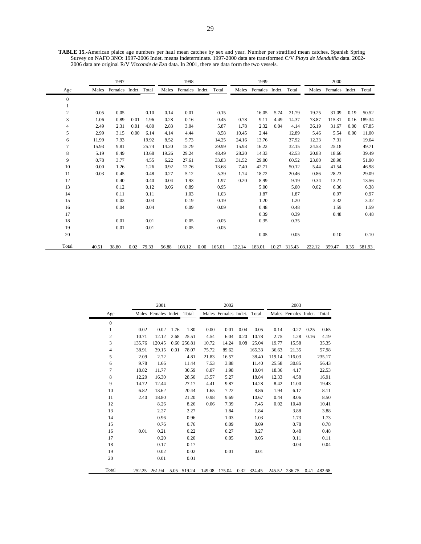**TABLE 15.-**American plaice age numbers per haul mean catches by sex and year. Number per stratified mean catches. Spanish Spring Survey on NAFO 3NO: 1997-2006 Indet. means indeterminate. 1997-2000 data are transformed C/V *Playa de Menduíña* data. 2002- 2006 data are original R/V *Vizconde de Eza* data. In 2001, there are data form the two vessels.

|                |       | 1997                 |      |            |       | 1998           |      |        |        | 1999           |       |        |        | 2000    |        |        |
|----------------|-------|----------------------|------|------------|-------|----------------|------|--------|--------|----------------|-------|--------|--------|---------|--------|--------|
| Age            | Males | Females Indet. Total |      |            | Males | Females Indet. |      | Total  | Males  | Females Indet. |       | Total  | Males  | Females | Indet. | Total  |
| $\mathbf{0}$   |       |                      |      |            |       |                |      |        |        |                |       |        |        |         |        |        |
|                |       |                      |      |            |       |                |      |        |        |                |       |        |        |         |        |        |
| $\overline{2}$ | 0.05  | 0.05                 |      | 0.10       | 0.14  | 0.01           |      | 0.15   |        | 16.05          | 5.74  | 21.79  | 19.25  | 31.09   | 0.19   | 50.52  |
| 3              | 1.06  | 0.89                 | 0.01 | 1.96       | 0.28  | 0.16           |      | 0.45   | 0.78   | 9.11           | 4.49  | 14.37  | 73.87  | 115.31  | 0.16   | 189.34 |
| $\overline{4}$ | 2.49  | 2.31                 | 0.01 | 4.80       | 2.83  | 3.04           |      | 5.87   | 1.78   | 2.32           | 0.04  | 4.14   | 36.19  | 31.67   | 0.00   | 67.85  |
| 5              | 2.99  | 3.15                 | 0.00 | 6.14       | 4.14  | 4.44           |      | 8.58   | 10.45  | 2.44           |       | 12.89  | 5.46   | 5.54    | 0.00   | 11.00  |
| 6              | 11.99 | 7.93                 |      | 19.92      | 8.52  | 5.73           |      | 14.25  | 24.16  | 13.76          |       | 37.92  | 12.33  | 7.31    |        | 19.64  |
| $\overline{7}$ | 15.93 | 9.81                 |      | 25.74      | 14.20 | 15.79          |      | 29.99  | 15.93  | 16.22          |       | 32.15  | 24.53  | 25.18   |        | 49.71  |
| 8              | 5.19  | 8.49                 |      | 13.68      | 19.26 | 29.24          |      | 48.49  | 28.20  | 14.33          |       | 42.53  | 20.83  | 18.66   |        | 39.49  |
| 9              | 0.78  | 3.77                 |      | 4.55       | 6.22  | 27.61          |      | 33.83  | 31.52  | 29.00          |       | 60.52  | 23.00  | 28.90   |        | 51.90  |
| 10             | 0.00  | 1.26                 |      | 1.26       | 0.92  | 12.76          |      | 13.68  | 7.40   | 42.71          |       | 50.12  | 5.44   | 41.54   |        | 46.98  |
| 11             | 0.03  | 0.45                 |      | 0.48       | 0.27  | 5.12           |      | 5.39   | 1.74   | 18.72          |       | 20.46  | 0.86   | 28.23   |        | 29.09  |
| 12             |       | 0.40                 |      | 0.40       | 0.04  | 1.93           |      | 1.97   | 0.20   | 8.99           |       | 9.19   | 0.34   | 13.21   |        | 13.56  |
| 13             |       | 0.12                 |      | 0.12       | 0.06  | 0.89           |      | 0.95   |        | 5.00           |       | 5.00   | 0.02   | 6.36    |        | 6.38   |
| 14             |       | 0.11                 |      | 0.11       |       | 1.03           |      | 1.03   |        | 1.87           |       | 1.87   |        | 0.97    |        | 0.97   |
| 15             |       | 0.03                 |      | 0.03       |       | 0.19           |      | 0.19   |        | 1.20           |       | 1.20   |        | 3.32    |        | 3.32   |
| 16             |       | 0.04                 |      | 0.04       |       | 0.09           |      | 0.09   |        | 0.48           |       | 0.48   |        | 1.59    |        | 1.59   |
| 17             |       |                      |      |            |       |                |      |        |        | 0.39           |       | 0.39   |        | 0.48    |        | 0.48   |
| 18             |       | 0.01                 |      | 0.01       |       | 0.05           |      | 0.05   |        | 0.35           |       | 0.35   |        |         |        |        |
| 19             |       | 0.01                 |      | 0.01       |       | 0.05           |      | 0.05   |        |                |       |        |        |         |        |        |
| 20             |       |                      |      |            |       |                |      |        |        | 0.05           |       | 0.05   |        | 0.10    |        | 0.10   |
| Total          | 40.51 | 38.80                |      | 0.02 79.33 | 56.88 | 108.12         | 0.00 | 165.01 | 122.14 | 183.01         | 10.27 | 315.43 | 222.12 | 359.47  | 0.35   | 581.93 |

|                  |        | 2001                       |      |             |       | 2002                       |      |             |        | 2003                       |      |             |
|------------------|--------|----------------------------|------|-------------|-------|----------------------------|------|-------------|--------|----------------------------|------|-------------|
| Age              |        | Males Females Indet. Total |      |             |       | Males Females Indet. Total |      |             |        | Males Females Indet. Total |      |             |
| $\mathbf{0}$     |        |                            |      |             |       |                            |      |             |        |                            |      |             |
| $\mathbf{1}$     | 0.02   | 0.02                       | 1.76 | 1.80        | 0.00  | 0.01                       | 0.04 | 0.05        | 0.14   | 0.27                       | 0.25 | 0.65        |
| $\boldsymbol{2}$ | 10.71  | 12.12                      | 2.68 | 25.51       | 4.54  | 6.04                       | 0.20 | 10.78       | 2.75   | 1.28                       | 0.16 | 4.19        |
| 3                | 135.76 | 120.45                     |      | 0.60 256.81 | 10.72 | 14.24                      | 0.08 | 25.04       | 19.77  | 15.58                      |      | 35.35       |
| 4                | 38.91  | 39.15                      | 0.01 | 78.07       | 75.72 | 89.62                      |      | 165.33      | 36.63  | 21.35                      |      | 57.98       |
| 5                | 2.09   | 2.72                       |      | 4.81        | 21.83 | 16.57                      |      | 38.40       | 119.14 | 116.03                     |      | 235.17      |
| 6                | 9.78   | 1.66                       |      | 11.44       | 7.53  | 3.88                       |      | 11.40       | 25.58  | 30.85                      |      | 56.43       |
| $\overline{7}$   | 18.82  | 11.77                      |      | 30.59       | 8.07  | 1.98                       |      | 10.04       | 18.36  | 4.17                       |      | 22.53       |
| 8                | 12.20  | 16.30                      |      | 28.50       | 13.57 | 5.27                       |      | 18.84       | 12.33  | 4.58                       |      | 16.91       |
| 9                | 14.72  | 12.44                      |      | 27.17       | 4.41  | 9.87                       |      | 14.28       | 8.42   | 11.00                      |      | 19.43       |
| 10               | 6.82   | 13.62                      |      | 20.44       | 1.65  | 7.22                       |      | 8.86        | 1.94   | 6.17                       |      | 8.11        |
| 11               | 2.40   | 18.80                      |      | 21.20       | 0.98  | 9.69                       |      | 10.67       | 0.44   | 8.06                       |      | 8.50        |
| 12               |        | 8.26                       |      | 8.26        | 0.06  | 7.39                       |      | 7.45        | 0.02   | 10.40                      |      | 10.41       |
| 13               |        | 2.27                       |      | 2.27        |       | 1.84                       |      | 1.84        |        | 3.88                       |      | 3.88        |
| 14               |        | 0.96                       |      | 0.96        |       | 1.03                       |      | 1.03        |        | 1.73                       |      | 1.73        |
| 15               |        | 0.76                       |      | 0.76        |       | 0.09                       |      | 0.09        |        | 0.78                       |      | 0.78        |
| 16               | 0.01   | 0.21                       |      | 0.22        |       | 0.27                       |      | 0.27        |        | 0.48                       |      | 0.48        |
| 17               |        | 0.20                       |      | 0.20        |       | 0.05                       |      | 0.05        |        | 0.11                       |      | 0.11        |
| 18               |        | 0.17                       |      | 0.17        |       |                            |      |             |        | 0.04                       |      | 0.04        |
| 19               |        | 0.02                       |      | 0.02        |       | 0.01                       |      | 0.01        |        |                            |      |             |
| 20               |        | 0.01                       |      | 0.01        |       |                            |      |             |        |                            |      |             |
| Total            | 252.25 | 261.94                     |      | 5.05 519.24 |       | 149.08 175.04              |      | 0.32 324.45 |        | 245.52 236.75              |      | 0.41 482.68 |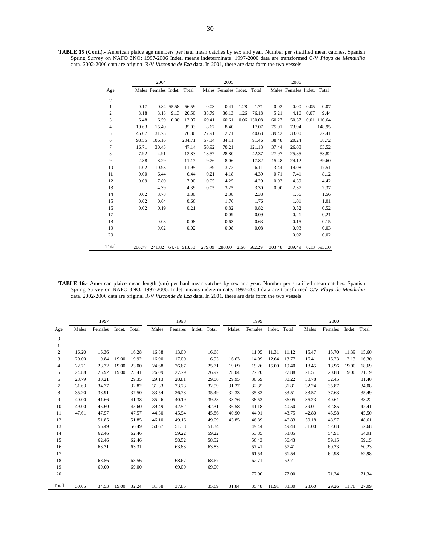**TABLE 15 (Cont.).-** American plaice age numbers per haul mean catches by sex and year. Number per stratified mean catches. Spanish Spring Survey on NAFO 3NO: 1997-2006 Indet. means indeterminate. 1997-2000 data are transformed C/V *Playa de Menduíña*  data. 2002-2006 data are original R/V *Vizconde de Eza* data. In 2001, there are data form the two vessels.

|                |        | 2004                       |            |              |        | 2005                       |      |             |        | 2006                       |      |             |
|----------------|--------|----------------------------|------------|--------------|--------|----------------------------|------|-------------|--------|----------------------------|------|-------------|
| Age            |        | Males Females Indet. Total |            |              |        | Males Females Indet. Total |      |             |        | Males Females Indet. Total |      |             |
| $\mathbf{0}$   |        |                            |            |              |        |                            |      |             |        |                            |      |             |
| 1              | 0.17   |                            | 0.84 55.58 | 56.59        | 0.03   | 0.41                       | 1.28 | 1.71        | 0.02   | 0.00                       | 0.05 | 0.07        |
| $\overline{c}$ | 8.18   | 3.18                       | 9.13       | 20.50        | 38.79  | 36.13                      | 1.26 | 76.18       | 5.21   | 4.16                       | 0.07 | 9.44        |
| 3              | 6.48   | 6.59                       | 0.00       | 13.07        | 69.41  | 60.61                      |      | 0.06 130.08 | 60.27  | 50.37                      |      | 0.01 110.64 |
| 4              | 19.63  | 15.40                      |            | 35.03        | 8.67   | 8.40                       |      | 17.07       | 75.01  | 73.94                      |      | 148.95      |
| 5              | 45.07  | 31.73                      |            | 76.80        | 27.91  | 12.71                      |      | 40.63       | 39.42  | 33.00                      |      | 72.41       |
| 6              | 98.55  | 106.16                     |            | 204.71       | 57.34  | 34.11                      |      | 91.46       | 38.48  | 20.24                      |      | 58.72       |
| 7              | 16.71  | 30.43                      |            | 47.14        | 50.92  | 70.21                      |      | 121.13      | 37.44  | 26.08                      |      | 63.52       |
| 8              | 7.92   | 4.91                       |            | 12.83        | 13.57  | 28.80                      |      | 42.37       | 27.97  | 25.85                      |      | 53.82       |
| 9              | 2.88   | 8.29                       |            | 11.17        | 9.76   | 8.06                       |      | 17.82       | 15.48  | 24.12                      |      | 39.60       |
| 10             | 1.02   | 10.93                      |            | 11.95        | 2.39   | 3.72                       |      | 6.11        | 3.44   | 14.08                      |      | 17.51       |
| 11             | 0.00   | 6.44                       |            | 6.44         | 0.21   | 4.18                       |      | 4.39        | 0.71   | 7.41                       |      | 8.12        |
| 12             | 0.09   | 7.80                       |            | 7.90         | 0.05   | 4.25                       |      | 4.29        | 0.03   | 4.39                       |      | 4.42        |
| 13             |        | 4.39                       |            | 4.39         | 0.05   | 3.25                       |      | 3.30        | 0.00   | 2.37                       |      | 2.37        |
| 14             | 0.02   | 3.78                       |            | 3.80         |        | 2.38                       |      | 2.38        |        | 1.56                       |      | 1.56        |
| 15             | 0.02   | 0.64                       |            | 0.66         |        | 1.76                       |      | 1.76        |        | 1.01                       |      | 1.01        |
| 16             | 0.02   | 0.19                       |            | 0.21         |        | 0.82                       |      | 0.82        |        | 0.52                       |      | 0.52        |
| 17             |        |                            |            |              |        | 0.09                       |      | 0.09        |        | 0.21                       |      | 0.21        |
| 18             |        | 0.08                       |            | 0.08         |        | 0.63                       |      | 0.63        |        | 0.15                       |      | 0.15        |
| 19             |        | 0.02                       |            | 0.02         |        | 0.08                       |      | 0.08        |        | 0.03                       |      | 0.03        |
| 20             |        |                            |            |              |        |                            |      |             |        | 0.02                       |      | 0.02        |
| Total          | 206.77 | 241.82                     |            | 64.71 513.30 | 279.09 | 280.60                     |      | 2.60 562.29 | 303.48 | 289.49                     |      | 0.13 593.10 |

**TABLE 16.-** American plaice mean length (cm) per haul mean catches by sex and year. Number per stratified mean catches. Spanish Spring Survey on NAFO 3NO: 1997-2006. Indet. means indeterminate. 1997-2000 data are transformed C/V *Playa de Menduíña*  data. 2002-2006 data are original R/V *Vizconde de Eza* data. In 2001, there are data form the two vessels.

|                |       | 1997    |              |       |       | 1998    |              |       |       | 1999    |              |       |       | 2000    |              |       |
|----------------|-------|---------|--------------|-------|-------|---------|--------------|-------|-------|---------|--------------|-------|-------|---------|--------------|-------|
| Age            | Males | Females | Indet. Total |       | Males | Females | Indet. Total |       | Males | Females | Indet. Total |       | Males | Females | Indet. Total |       |
| $\mathbf{0}$   |       |         |              |       |       |         |              |       |       |         |              |       |       |         |              |       |
| 1              |       |         |              |       |       |         |              |       |       |         |              |       |       |         |              |       |
| $\overline{2}$ | 16.20 | 16.36   |              | 16.28 | 16.88 | 13.00   |              | 16.68 |       | 11.05   | 11.31        | 11.12 | 15.47 | 15.70   | 11.39        | 15.60 |
| $\mathfrak{Z}$ | 20.00 | 19.84   | 19.00        | 19.92 | 16.90 | 17.00   |              | 16.93 | 16.63 | 14.09   | 12.64        | 13.77 | 16.41 | 16.23   | 12.13        | 16.30 |
| 4              | 22.71 | 23.32   | 19.00        | 23.00 | 24.68 | 26.67   |              | 25.71 | 19.69 | 19.26   | 15.00        | 19.40 | 18.45 | 18.96   | 19.00        | 18.69 |
| 5              | 24.88 | 25.92   | 19.00        | 25.41 | 26.09 | 27.79   |              | 26.97 | 28.04 | 27.20   |              | 27.88 | 21.51 | 20.88   | 19.00        | 21.19 |
| 6              | 28.79 | 30.21   |              | 29.35 | 29.13 | 28.81   |              | 29.00 | 29.95 | 30.69   |              | 30.22 | 30.78 | 32.45   |              | 31.40 |
| $\overline{7}$ | 31.63 | 34.77   |              | 32.82 | 31.33 | 33.73   |              | 32.59 | 31.27 | 32.35   |              | 31.81 | 32.24 | 35.87   |              | 34.08 |
| 8              | 35.20 | 38.91   |              | 37.50 | 33.54 | 36.78   |              | 35.49 | 32.33 | 35.83   |              | 33.51 | 33.57 | 37.63   |              | 35.49 |
| 9              | 40.00 | 41.66   |              | 41.38 | 35.26 | 40.19   |              | 39.28 | 33.76 | 38.53   |              | 36.05 | 35.23 | 40.61   |              | 38.22 |
| 10             | 49.00 | 45.60   |              | 45.60 | 39.49 | 42.52   |              | 42.31 | 36.58 | 41.18   |              | 40.50 | 39.01 | 42.85   |              | 42.41 |
| 11             | 47.61 | 47.57   |              | 47.57 | 44.30 | 45.94   |              | 45.86 | 40.90 | 44.01   |              | 43.75 | 42.80 | 45.58   |              | 45.50 |
| 12             |       | 51.85   |              | 51.85 | 46.10 | 49.16   |              | 49.09 | 43.85 | 46.89   |              | 46.83 | 50.18 | 48.57   |              | 48.61 |
| 13             |       | 56.49   |              | 56.49 | 50.67 | 51.38   |              | 51.34 |       | 49.44   |              | 49.44 | 51.00 | 52.68   |              | 52.68 |
| 14             |       | 62.46   |              | 62.46 |       | 59.22   |              | 59.22 |       | 53.85   |              | 53.85 |       | 54.91   |              | 54.91 |
| 15             |       | 62.46   |              | 62.46 |       | 58.52   |              | 58.52 |       | 56.43   |              | 56.43 |       | 59.15   |              | 59.15 |
| 16             |       | 63.31   |              | 63.31 |       | 63.83   |              | 63.83 |       | 57.41   |              | 57.41 |       | 60.23   |              | 60.23 |
| 17             |       |         |              |       |       |         |              |       |       | 61.54   |              | 61.54 |       | 62.98   |              | 62.98 |
| 18             |       | 68.56   |              | 68.56 |       | 68.67   |              | 68.67 |       | 62.71   |              | 62.71 |       |         |              |       |
| 19             |       | 69.00   |              | 69.00 |       | 69.00   |              | 69.00 |       |         |              |       |       |         |              |       |
| 20             |       |         |              |       |       |         |              |       |       | 77.00   |              | 77.00 |       | 71.34   |              | 71.34 |
| Total          | 30.05 | 34.53   | 19.00        | 32.24 | 31.58 | 37.85   |              | 35.69 | 31.84 | 35.48   | 11.91        | 33.30 | 23.60 | 29.26   | 11.78        | 27.09 |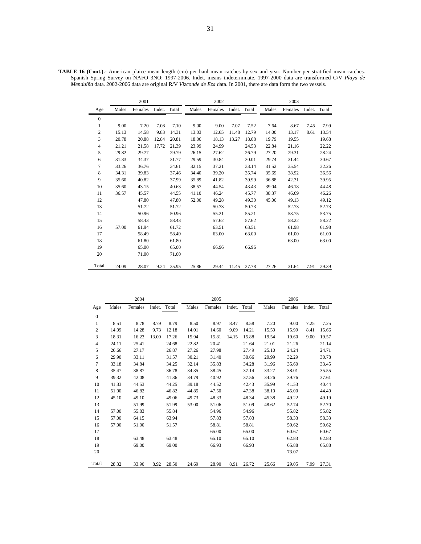|                  |       | 2001    |              |       |       | 2002    |              |       |       | 2003    |              |       |
|------------------|-------|---------|--------------|-------|-------|---------|--------------|-------|-------|---------|--------------|-------|
| Age              | Males | Females | Indet. Total |       | Males | Females | Indet. Total |       | Males | Females | Indet. Total |       |
| $\boldsymbol{0}$ |       |         |              |       |       |         |              |       |       |         |              |       |
| 1                | 9.00  | 7.20    | 7.08         | 7.10  | 9.00  | 9.00    | 7.07         | 7.52  | 7.64  | 8.67    | 7.45         | 7.99  |
| $\mathbf{2}$     | 15.13 | 14.58   | 9.83         | 14.31 | 13.03 | 12.65   | 11.48        | 12.79 | 14.00 | 13.17   | 8.61         | 13.54 |
| 3                | 20.78 | 20.88   | 12.84        | 20.81 | 18.06 | 18.13   | 13.27        | 18.08 | 19.79 | 19.55   |              | 19.68 |
| $\overline{4}$   | 21.21 | 21.58   | 17.72        | 21.39 | 23.99 | 24.99   |              | 24.53 | 22.84 | 21.16   |              | 22.22 |
| 5                | 29.82 | 29.77   |              | 29.79 | 26.15 | 27.62   |              | 26.79 | 27.20 | 29.31   |              | 28.24 |
| 6                | 31.33 | 34.37   |              | 31.77 | 29.59 | 30.84   |              | 30.01 | 29.74 | 31.44   |              | 30.67 |
| 7                | 33.26 | 36.76   |              | 34.61 | 32.15 | 37.21   |              | 33.14 | 31.52 | 35.54   |              | 32.26 |
| 8                | 34.31 | 39.83   |              | 37.46 | 34.40 | 39.20   |              | 35.74 | 35.69 | 38.92   |              | 36.56 |
| 9                | 35.60 | 40.82   |              | 37.99 | 35.89 | 41.82   |              | 39.99 | 36.88 | 42.31   |              | 39.95 |
| 10               | 35.60 | 43.15   |              | 40.63 | 38.57 | 44.54   |              | 43.43 | 39.04 | 46.18   |              | 44.48 |
| 11               | 36.57 | 45.57   |              | 44.55 | 41.10 | 46.24   |              | 45.77 | 38.37 | 46.69   |              | 46.26 |
| 12               |       | 47.80   |              | 47.80 | 52.00 | 49.28   |              | 49.30 | 45.00 | 49.13   |              | 49.12 |
| 13               |       | 51.72   |              | 51.72 |       | 50.73   |              | 50.73 |       | 52.73   |              | 52.73 |
| 14               |       | 50.96   |              | 50.96 |       | 55.21   |              | 55.21 |       | 53.75   |              | 53.75 |
| 15               |       | 58.43   |              | 58.43 |       | 57.62   |              | 57.62 |       | 58.22   |              | 58.22 |
| 16               | 57.00 | 61.94   |              | 61.72 |       | 63.51   |              | 63.51 |       | 61.98   |              | 61.98 |
| 17               |       | 58.49   |              | 58.49 |       | 63.00   |              | 63.00 |       | 61.00   |              | 61.00 |
| 18               |       | 61.80   |              | 61.80 |       |         |              |       |       | 63.00   |              | 63.00 |
| 19               |       | 65.00   |              | 65.00 |       | 66.96   |              | 66.96 |       |         |              |       |
| 20               |       | 71.00   |              | 71.00 |       |         |              |       |       |         |              |       |
| Total            | 24.09 | 28.07   | 9.24         | 25.95 | 25.86 | 29.44   | 11.45        | 27.78 | 27.26 | 31.64   | 7.91         | 29.39 |

**TABLE 16 (Cont.).-** American plaice mean length (cm) per haul mean catches by sex and year. Number per stratified mean catches. Spanish Spring Survey on NAFO 3NO: 1997-2006. Indet. means indeterminate. 1997-2000 data are transformed C/V *Playa de Menduíña* data. 2002-2006 data are original R/V *Vizconde de Eza* data. In 2001, there are data form the two vessels.

|                  |       | 2004    |        |       |       | 2005    |        |       |       | 2006    |        |       |
|------------------|-------|---------|--------|-------|-------|---------|--------|-------|-------|---------|--------|-------|
| Age              | Males | Females | Indet. | Total | Males | Females | Indet. | Total | Males | Females | Indet. | Total |
| $\boldsymbol{0}$ |       |         |        |       |       |         |        |       |       |         |        |       |
| $\mathbf{1}$     | 8.51  | 8.78    | 8.79   | 8.79  | 8.50  | 8.97    | 8.47   | 8.58  | 7.20  | 9.00    | 7.25   | 7.25  |
| $\mathbf{2}$     | 14.09 | 14.28   | 9.73   | 12.18 | 14.01 | 14.60   | 9.09   | 14.21 | 15.50 | 15.99   | 8.41   | 15.66 |
| 3                | 18.31 | 16.23   | 13.00  | 17.26 | 15.94 | 15.81   | 14.15  | 15.88 | 19.54 | 19.60   | 9.00   | 19.57 |
| $\overline{4}$   | 24.11 | 25.41   |        | 24.68 | 22.82 | 20.41   |        | 21.64 | 21.01 | 21.26   |        | 21.14 |
| 5                | 26.66 | 27.17   |        | 26.87 | 27.26 | 27.98   |        | 27.49 | 25.10 | 24.24   |        | 24.71 |
| 6                | 29.90 | 33.11   |        | 31.57 | 30.21 | 31.40   |        | 30.66 | 29.99 | 32.29   |        | 30.78 |
| 7                | 33.18 | 34.84   |        | 34.25 | 32.14 | 35.83   |        | 34.28 | 31.96 | 35.60   |        | 33.45 |
| $\,$ 8 $\,$      | 35.47 | 38.87   |        | 36.78 | 34.35 | 38.45   |        | 37.14 | 33.27 | 38.01   |        | 35.55 |
| 9                | 39.32 | 42.08   |        | 41.36 | 34.79 | 40.92   |        | 37.56 | 34.26 | 39.76   |        | 37.61 |
| 10               | 41.33 | 44.53   |        | 44.25 | 39.18 | 44.52   |        | 42.43 | 35.99 | 41.53   |        | 40.44 |
| 11               | 51.00 | 46.82   |        | 46.82 | 44.85 | 47.50   |        | 47.38 | 38.10 | 45.00   |        | 44.40 |
| 12               | 45.10 | 49.10   |        | 49.06 | 49.73 | 48.33   |        | 48.34 | 45.38 | 49.22   |        | 49.19 |
| 13               |       | 51.99   |        | 51.99 | 53.00 | 51.06   |        | 51.09 | 48.62 | 52.74   |        | 52.70 |
| 14               | 57.00 | 55.83   |        | 55.84 |       | 54.96   |        | 54.96 |       | 55.82   |        | 55.82 |
| 15               | 57.00 | 64.15   |        | 63.94 |       | 57.83   |        | 57.83 |       | 58.33   |        | 58.33 |
| 16               | 57.00 | 51.00   |        | 51.57 |       | 58.81   |        | 58.81 |       | 59.62   |        | 59.62 |
| 17               |       |         |        |       |       | 65.00   |        | 65.00 |       | 60.67   |        | 60.67 |
| 18               |       | 63.48   |        | 63.48 |       | 65.10   |        | 65.10 |       | 62.83   |        | 62.83 |
| 19               |       | 69.00   |        | 69.00 |       | 66.93   |        | 66.93 |       | 65.88   |        | 65.88 |
| 20               |       |         |        |       |       |         |        |       |       | 73.07   |        |       |
| Total            | 28.32 | 33.90   | 8.92   | 28.50 | 24.69 | 28.90   | 8.91   | 26.72 | 25.66 | 29.05   | 7.99   | 27.31 |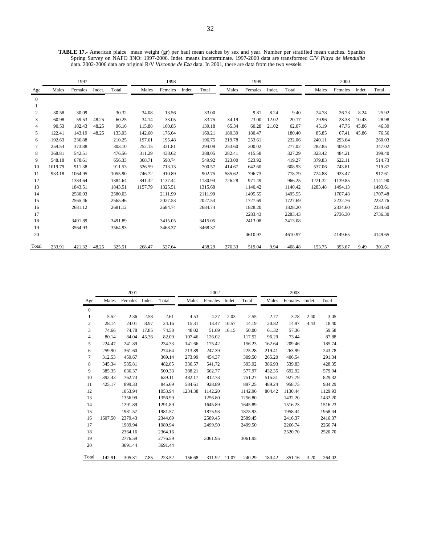**TABLE 17.-** American plaice mean weight (gr) per haul mean catches by sex and year. Number per stratified mean catches. Spanish Spring Survey on NAFO 3NO: 1997-2006. Indet. means indeterminate. 1997-2000 data are transformed C/V *Playa de Menduíña*  data. 2002-2006 data are original R/V *Vizconde de Eza* data. In 2001, there are data from the two vessels.

|              |         | 1997    |        |         |         | 1998    |        |         |        | 1999    |        |         |         | 2000    |        |         |
|--------------|---------|---------|--------|---------|---------|---------|--------|---------|--------|---------|--------|---------|---------|---------|--------|---------|
| Age          | Males   | Females | Indet. | Total   | Males   | Females | Indet. | Total   | Males  | Females | Indet. | Total   | Males   | Females | Indet. | Total   |
| $\mathbf{0}$ |         |         |        |         |         |         |        |         |        |         |        |         |         |         |        |         |
|              |         |         |        |         |         |         |        |         |        |         |        |         |         |         |        |         |
| 2            | 30.58   | 30.09   |        | 30.32   | 34.08   | 13.56   |        | 33.00   |        | 9.81    | 8.24   | 9.40    | 24.78   | 26.73   | 8.24   | 25.92   |
| 3            | 60.98   | 59.53   | 48.25  | 60.25   | 34.14   | 33.05   |        | 33.75   | 34.19  | 23.00   | 12.02  | 20.17   | 29.96   | 28.38   | 10.43  | 28.98   |
| 4            | 90.53   | 102.43  | 48.25  | 96.16   | 115.88  | 160.85  |        | 139.18  | 65.34  | 60.28   | 21.02  | 62.07   | 45.19   | 47.76   | 45.86  | 46.39   |
| 5            | 122.41  | 143.19  | 48.25  | 133.03  | 142.60  | 176.64  |        | 160.21  | 180.39 | 180.47  |        | 180.40  | 85.85   | 67.41   | 45.86  | 76.56   |
| 6            | 192.63  | 236.88  |        | 210.25  | 197.61  | 195.48  |        | 196.75  | 219.78 | 253.61  |        | 232.06  | 240.11  | 293.64  |        | 260.03  |
| 7            | 259.54  | 373.88  |        | 303.10  | 252.15  | 331.81  |        | 294.09  | 253.60 | 300.02  |        | 277.02  | 282.85  | 409.54  |        | 347.02  |
| 8            | 368.81  | 542.51  |        | 476.56  | 311.29  | 438.62  |        | 388.05  | 282.41 | 415.58  |        | 327.29  | 323.42  | 484.21  |        | 399.40  |
| 9            | 548.18  | 678.61  |        | 656.33  | 368.71  | 590.74  |        | 549.92  | 323.00 | 523.92  |        | 419.27  | 379.83  | 622.11  |        | 514.73  |
| 10           | 1019.79 | 911.38  |        | 911.53  | 526.59  | 713.13  |        | 700.57  | 414.67 | 642.60  |        | 608.93  | 537.06  | 743.81  |        | 719.87  |
| 11           | 933.18  | 1064.95 |        | 1055.90 | 746.72  | 910.89  |        | 902.75  | 585.62 | 796.73  |        | 778.79  | 724.88  | 923.47  |        | 917.61  |
| 12           |         | 1384.64 |        | 1384.64 | 841.32  | 1137.44 |        | 1130.94 | 726.28 | 971.49  |        | 966.25  | 1221.32 | 1139.85 |        | 1141.90 |
| 13           |         | 1843.51 |        | 1843.51 | 1157.79 | 1325.51 |        | 1315.68 |        | 1140.42 |        | 1140.42 | 1283.48 | 1494.13 |        | 1493.61 |
| 14           |         | 2580.03 |        | 2580.03 |         | 2111.99 |        | 2111.99 |        | 1495.55 |        | 1495.55 |         | 1707.48 |        | 1707.48 |
| 15           |         | 2565.46 |        | 2565.46 |         | 2027.53 |        | 2027.53 |        | 1727.69 |        | 1727.69 |         | 2232.76 |        | 2232.76 |
| 16           |         | 2681.12 |        | 2681.12 |         | 2684.74 |        | 2684.74 |        | 1828.20 |        | 1828.20 |         | 2334.60 |        | 2334.60 |
| 17           |         |         |        |         |         |         |        |         |        | 2283.43 |        | 2283.43 |         | 2736.30 |        | 2736.30 |
| 18           |         | 3491.89 |        | 3491.89 |         | 3415.05 |        | 3415.05 |        | 2413.08 |        | 2413.08 |         |         |        |         |
| 19           |         | 3564.93 |        | 3564.93 |         | 3468.37 |        | 3468.37 |        |         |        |         |         |         |        |         |
| 20           |         |         |        |         |         |         |        |         |        | 4610.97 |        | 4610.97 |         | 4149.65 |        | 4149.65 |
| Total        | 233.91  | 421.32  | 48.25  | 325.51  | 268.47  | 527.64  |        | 438.29  | 276.33 | 519.04  | 9.94   | 408.48  | 153.75  | 393.67  | 9.49   | 301.87  |

|              |         | 2001    |        |         |         | 2002    |        |         |        | 2003    |        |         |
|--------------|---------|---------|--------|---------|---------|---------|--------|---------|--------|---------|--------|---------|
| Age          | Males   | Females | Indet. | Total   | Males   | Females | Indet. | Total   | Males  | Females | Indet. | Total   |
| $\mathbf{0}$ |         |         |        |         |         |         |        |         |        |         |        |         |
| 1            | 5.52    | 2.36    | 2.58   | 2.61    | 4.53    | 4.27    | 2.03   | 2.55    | 2.77   | 3.78    | 2.40   | 3.05    |
| 2            | 28.14   | 24.01   | 8.97   | 24.16   | 15.31   | 13.47   | 10.57  | 14.19   | 20.82  | 14.97   | 4.43   | 18.40   |
| 3            | 74.66   | 74.78   | 17.85  | 74.58   | 48.02   | 51.69   | 16.15  | 50.00   | 61.32  | 57.36   |        | 59.58   |
| 4            | 80.14   | 84.04   | 45.36  | 82.09   | 107.46  | 126.02  |        | 117.52  | 96.29  | 73.44   |        | 87.88   |
| 5            | 224.47  | 241.89  |        | 234.33  | 141.66  | 175.42  |        | 156.23  | 162.64 | 209.46  |        | 185.74  |
| 6            | 259.90  | 361.60  |        | 274.64  | 213.89  | 247.39  |        | 225.28  | 219.41 | 263.99  |        | 243.78  |
| 7            | 312.53  | 459.67  |        | 369.14  | 273.99  | 454.37  |        | 309.50  | 265.20 | 406.54  |        | 291.34  |
| 8            | 345.34  | 585.81  |        | 482.85  | 336.57  | 541.72  |        | 393.92  | 386.93 | 539.83  |        | 428.35  |
| 9            | 385.35  | 636.37  |        | 500.33  | 388.21  | 662.77  |        | 577.97  | 432.35 | 692.92  |        | 579.94  |
| 10           | 392.43  | 762.73  |        | 639.11  | 482.17  | 812.73  |        | 751.27  | 515.51 | 927.79  |        | 829.32  |
| 11           | 425.17  | 899.33  |        | 845.69  | 584.61  | 928.89  |        | 897.25  | 489.24 | 958.75  |        | 934.29  |
| 12           |         | 1053.94 |        | 1053.94 | 1234.38 | 1142.20 |        | 1142.96 | 804.42 | 1130.44 |        | 1129.93 |
| 13           |         | 1356.99 |        | 1356.99 |         | 1256.80 |        | 1256.80 |        | 1432.20 |        | 1432.20 |
| 14           |         | 1291.89 |        | 1291.89 |         | 1645.89 |        | 1645.89 |        | 1516.23 |        | 1516.23 |
| 15           |         | 1981.57 |        | 1981.57 |         | 1875.93 |        | 1875.93 |        | 1958.44 |        | 1958.44 |
| 16           | 1607.50 | 2379.43 |        | 2344.69 |         | 2589.45 |        | 2589.45 |        | 2416.37 |        | 2416.37 |
| 17           |         | 1989.94 |        | 1989.94 |         | 2499.50 |        | 2499.50 |        | 2266.74 |        | 2266.74 |
| 18           |         | 2364.16 |        | 2364.16 |         |         |        |         |        | 2520.70 |        | 2520.70 |
| 19           |         | 2776.59 |        | 2776.59 |         | 3061.95 |        | 3061.95 |        |         |        |         |
| 20           |         | 3691.44 |        | 3691.44 |         |         |        |         |        |         |        |         |
| Total        | 142.91  | 305.31  | 7.85   | 223.52  | 156.68  | 311.92  | 11.07  | 240.29  | 180.42 | 351.16  | 3.20   | 264.02  |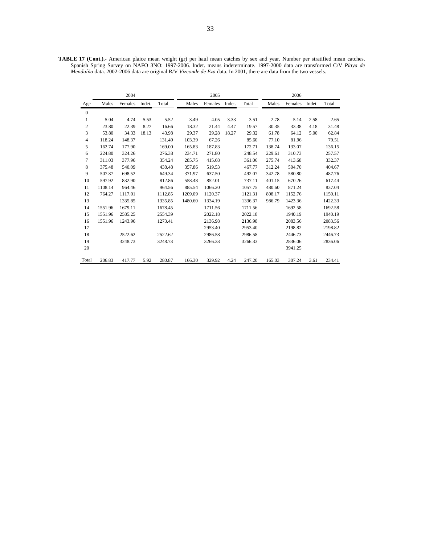**TABLE 17 (Cont.).-** American plaice mean weight (gr) per haul mean catches by sex and year. Number per stratified mean catches. Spanish Spring Survey on NAFO 3NO: 1997-2006. Indet. means indeterminate. 1997-2000 data are transformed C/V *Playa de Menduíña* data. 2002-2006 data are original R/V *Vizconde de Eza* data. In 2001, there are data from the two vessels.

|                | 2004    |         |        |         | 2005    |         |        |         | 2006   |         |        |         |
|----------------|---------|---------|--------|---------|---------|---------|--------|---------|--------|---------|--------|---------|
| Age            | Males   | Females | Indet. | Total   | Males   | Females | Indet. | Total   | Males  | Females | Indet. | Total   |
| $\mathbf{0}$   |         |         |        |         |         |         |        |         |        |         |        |         |
| 1              | 5.04    | 4.74    | 5.53   | 5.52    | 3.49    | 4.05    | 3.33   | 3.51    | 2.78   | 5.14    | 2.58   | 2.65    |
| $\mathfrak{2}$ | 23.80   | 22.39   | 8.27   | 16.66   | 18.32   | 21.44   | 4.47   | 19.57   | 30.35  | 33.38   | 4.18   | 31.48   |
| 3              | 53.80   | 34.33   | 18.13  | 43.98   | 29.37   | 29.28   | 18.27  | 29.32   | 61.78  | 64.12   | 5.00   | 62.84   |
| 4              | 118.24  | 148.37  |        | 131.49  | 103.39  | 67.26   |        | 85.60   | 77.10  | 81.96   |        | 79.51   |
| 5              | 162.74  | 177.90  |        | 169.00  | 165.83  | 187.83  |        | 172.71  | 138.74 | 133.07  |        | 136.15  |
| 6              | 224.80  | 324.26  |        | 276.38  | 234.71  | 271.80  |        | 248.54  | 229.61 | 310.73  |        | 257.57  |
| 7              | 311.03  | 377.96  |        | 354.24  | 285.75  | 415.68  |        | 361.06  | 275.74 | 413.68  |        | 332.37  |
| 8              | 375.48  | 540.09  |        | 438.48  | 357.86  | 519.53  |        | 467.77  | 312.24 | 504.70  |        | 404.67  |
| 9              | 507.87  | 698.52  |        | 649.34  | 371.97  | 637.50  |        | 492.07  | 342.78 | 580.80  |        | 487.76  |
| 10             | 597.92  | 832.90  |        | 812.86  | 558.48  | 852.01  |        | 737.11  | 401.15 | 670.26  |        | 617.44  |
| 11             | 1108.14 | 964.46  |        | 964.56  | 885.54  | 1066.20 |        | 1057.75 | 480.60 | 871.24  |        | 837.04  |
| 12             | 764.27  | 1117.01 |        | 1112.85 | 1209.09 | 1120.37 |        | 1121.31 | 808.17 | 1152.76 |        | 1150.11 |
| 13             |         | 1335.85 |        | 1335.85 | 1480.60 | 1334.19 |        | 1336.37 | 986.79 | 1423.36 |        | 1422.33 |
| 14             | 1551.96 | 1679.11 |        | 1678.45 |         | 1711.56 |        | 1711.56 |        | 1692.58 |        | 1692.58 |
| 15             | 1551.96 | 2585.25 |        | 2554.39 |         | 2022.18 |        | 2022.18 |        | 1940.19 |        | 1940.19 |
| 16             | 1551.96 | 1243.96 |        | 1273.41 |         | 2136.98 |        | 2136.98 |        | 2083.56 |        | 2083.56 |
| 17             |         |         |        |         |         | 2953.40 |        | 2953.40 |        | 2198.82 |        | 2198.82 |
| 18             |         | 2522.62 |        | 2522.62 |         | 2986.58 |        | 2986.58 |        | 2446.73 |        | 2446.73 |
| 19             |         | 3248.73 |        | 3248.73 |         | 3266.33 |        | 3266.33 |        | 2836.06 |        | 2836.06 |
| 20             |         |         |        |         |         |         |        |         |        | 3941.25 |        |         |
| Total          | 206.83  | 417.77  | 5.92   | 280.87  | 166.30  | 329.92  | 4.24   | 247.20  | 165.03 | 307.24  | 3.61   | 234.41  |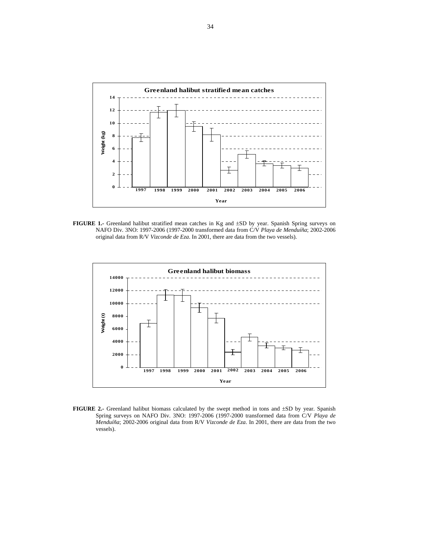

**FIGURE 1.-** Greenland halibut stratified mean catches in Kg and ±SD by year. Spanish Spring surveys on NAFO Div. 3NO: 1997-2006 (1997-2000 transformed data from C/V *Playa de Menduíña*; 2002-2006 original data from R/V *Vizconde de Eza*. In 2001, there are data from the two vessels).



**FIGURE 2.-** Greenland halibut biomass calculated by the swept method in tons and ±SD by year. Spanish Spring surveys on NAFO Div. 3NO: 1997-2006 (1997-2000 transformed data from C/V *Playa de Menduíña*; 2002-2006 original data from R/V *Vizconde de Eza*. In 2001, there are data from the two vessels).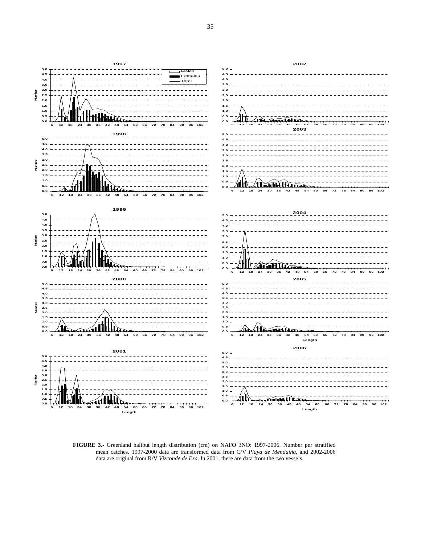

**FIGURE 3.-** Greenland halibut length distribution (cm) on NAFO 3NO: 1997-2006. Number per stratified mean catches. 1997-2000 data are transformed data from C/V *Playa de Menduíña*, and 2002-2006 data are original from R/V *Vizconde de Eza*. In 2001, there are data from the two vessels.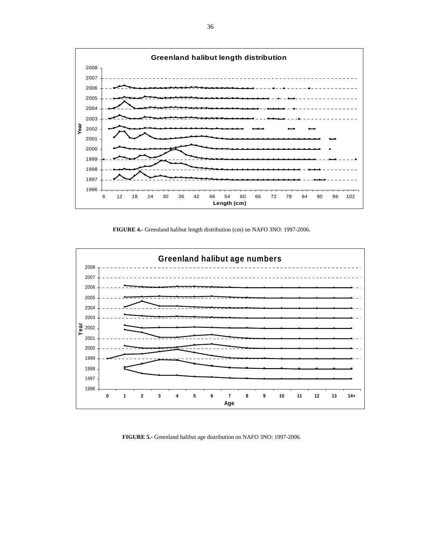

**FIGURE 4.-** Greenland halibut length distribution (cm) on NAFO 3NO: 1997-2006.



**FIGURE 5.-** Greenland halibut age distribution on NAFO 3NO: 1997-2006.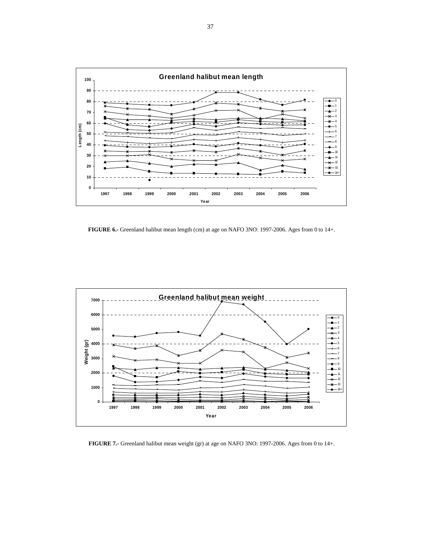

**FIGURE 6.-** Greenland halibut mean length (cm) at age on NAFO 3NO: 1997-2006. Ages from 0 to 14+.



**FIGURE 7.-** Greenland halibut mean weight (gr) at age on NAFO 3NO: 1997-2006. Ages from 0 to 14+.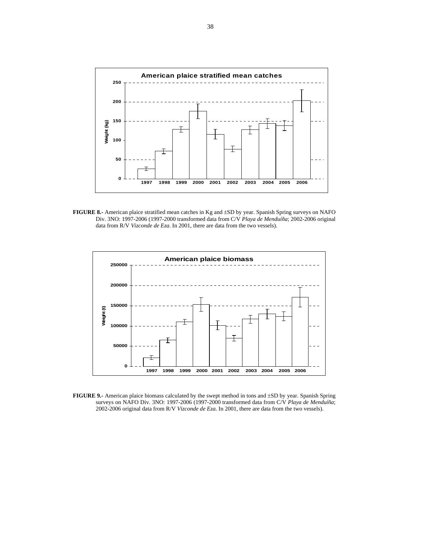

**FIGURE 8.-** American plaice stratified mean catches in Kg and ±SD by year. Spanish Spring surveys on NAFO Div. 3NO: 1997-2006 (1997-2000 transformed data from C/V *Playa de Menduíña*; 2002-2006 original data from R/V *Vizconde de Eza*. In 2001, there are data from the two vessels).



**FIGURE 9.-** American plaice biomass calculated by the swept method in tons and ±SD by year. Spanish Spring surveys on NAFO Div. 3NO: 1997-2006 (1997-2000 transformed data from C/V *Playa de Menduíña*; 2002-2006 original data from R/V *Vizconde de Eza*. In 2001, there are data from the two vessels).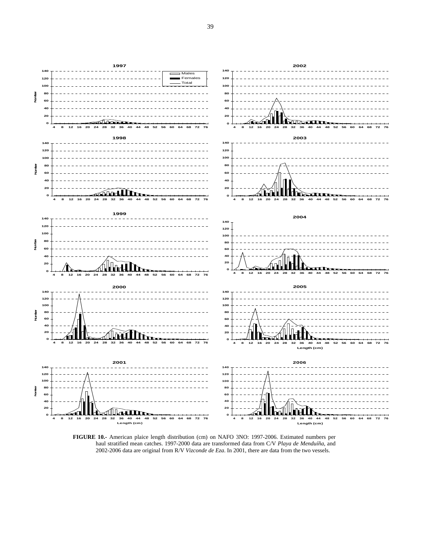

**FIGURE 10.-** American plaice length distribution (cm) on NAFO 3NO: 1997-2006. Estimated numbers per haul stratified mean catches. 1997-2000 data are transformed data from C/V *Playa de Menduíña*, and 2002-2006 data are original from R/V *Vizconde de Eza*. In 2001, there are data from the two vessels.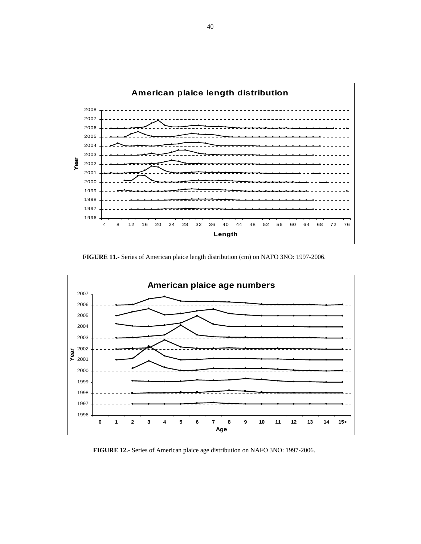

**FIGURE 11.-** Series of American plaice length distribution (cm) on NAFO 3NO: 1997-2006.



**FIGURE 12.-** Series of American plaice age distribution on NAFO 3NO: 1997-2006.